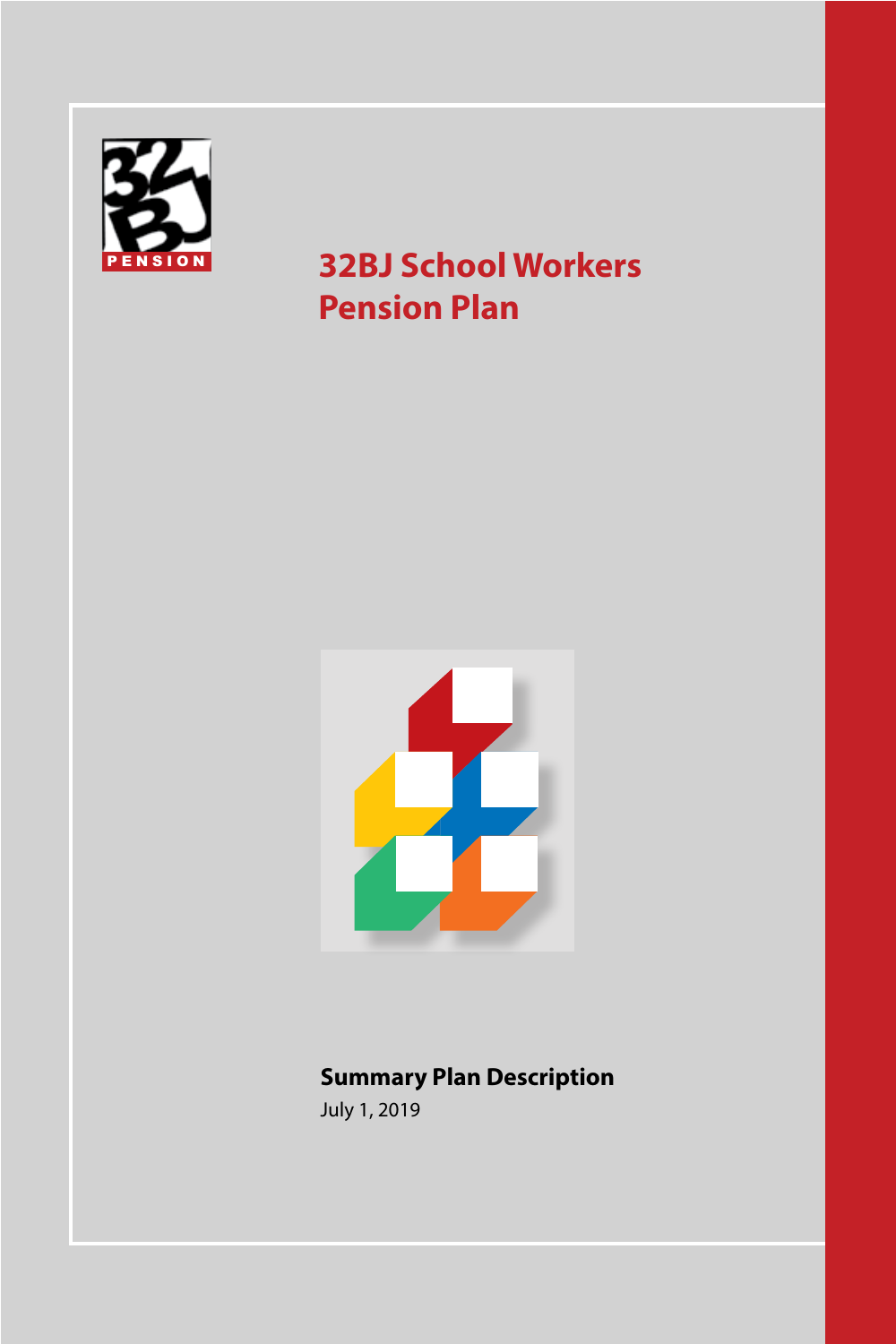

# **32BJ School Workers Pension Plan**



# **Summary Plan Description**

July 1, 2019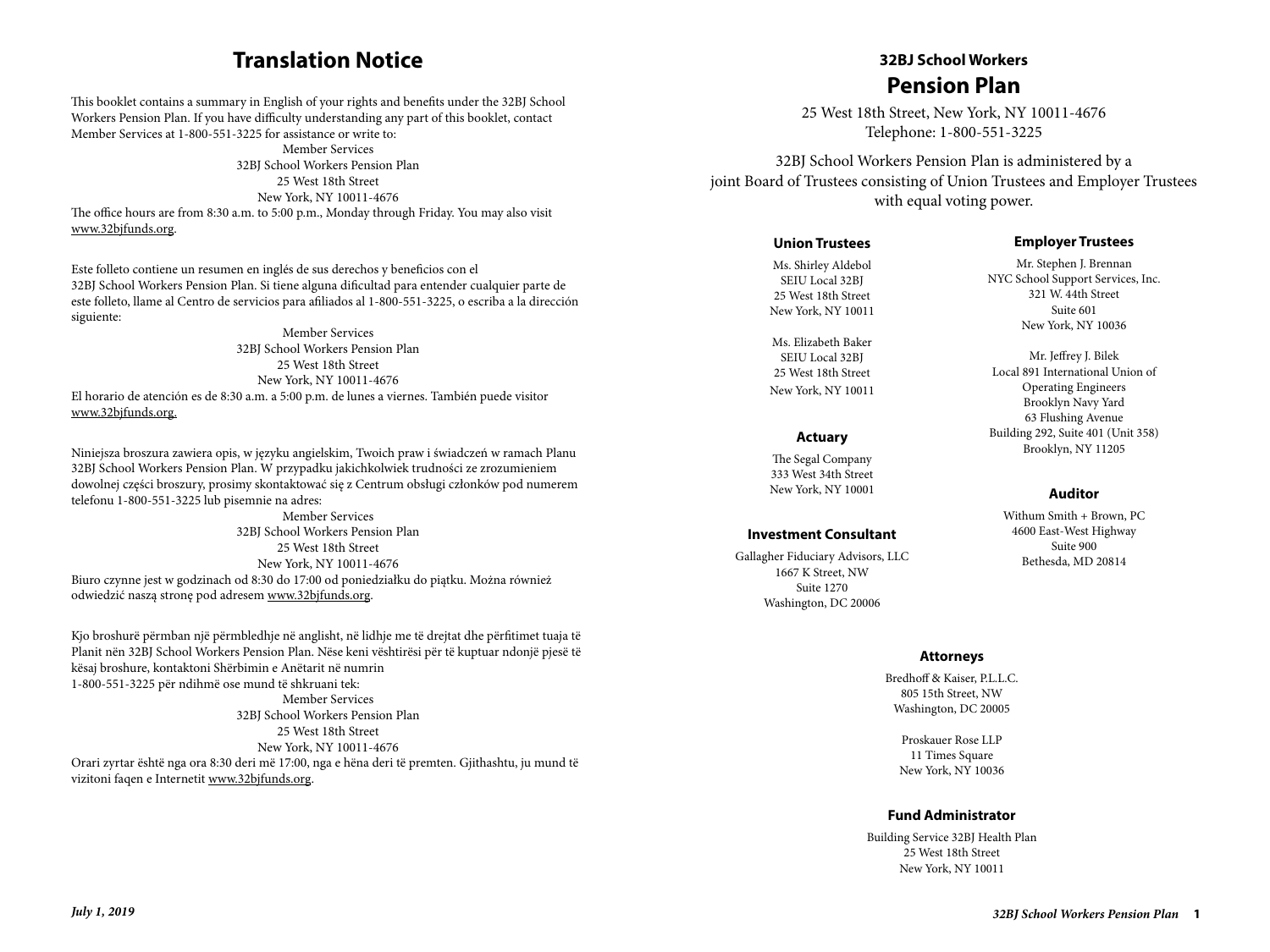## **Translation Notice**

This booklet contains a summary in English of your rights and benefits under the 32BJ School Workers Pension Plan. If you have difficulty understanding any part of this booklet, contact Member Services at 1-800-551-3225 for assistance or write to:

Member Services 32BJ School Workers Pension Plan 25 West 18th Street New York, NY 10011-4676 The office hours are from 8:30 a.m. to 5:00 p.m., Monday through Friday. You may also visit www.32bjfunds.org.

Este folleto contiene un resumen en inglés de sus derechos y beneficios con el 32BJ School Workers Pension Plan. Si tiene alguna dificultad para entender cualquier parte de este folleto, llame al Centro de servicios para afiliados al 1-800-551-3225, o escriba a la dirección siguiente:

Member Services 32BJ School Workers Pension Plan 25 West 18th Street New York, NY 10011-4676 El horario de atención es de 8:30 a.m. a 5:00 p.m. de lunes a viernes. También puede visitor www.32bjfunds.org.

Niniejsza broszura zawiera opis, w języku angielskim, Twoich praw i świadczeń w ramach Planu 32BJ School Workers Pension Plan. W przypadku jakichkolwiek trudności ze zrozumieniem dowolnej części broszury, prosimy skontaktować się z Centrum obsługi członków pod numerem telefonu 1-800-551-3225 lub pisemnie na adres:

Member Services 32BJ School Workers Pension Plan 25 West 18th Street New York, NY 10011-4676 Biuro czynne jest w godzinach od 8:30 do 17:00 od poniedziałku do piątku. Można również odwiedzić naszą stronę pod adresem www.32bjfunds.org.

Kjo broshurë përmban një përmbledhje në anglisht, në lidhje me të drejtat dhe përfitimet tuaja të Planit nën 32BJ School Workers Pension Plan. Nëse keni vështirësi për të kuptuar ndonjë pjesë të kësaj broshure, kontaktoni Shërbimin e Anëtarit në numrin 1-800-551-3225 për ndihmë ose mund të shkruani tek: Member Services 32BJ School Workers Pension Plan 25 West 18th Street New York, NY 10011-4676 Orari zyrtar është nga ora 8:30 deri më 17:00, nga e hëna deri të premten. Gjithashtu, ju mund të vizitoni faqen e Internetit www.32bjfunds.org.

## **32BJ School Workers Contact Information \_ Member Services Pension Plan**

25 West 18th Street, New York, NY 10011-4676  $\frac{25}{25}$  West four street, New York, NY Your Tool of Members.

32BJ School Workers Pension Plan is administered by a **joint Board of Trustees consisting of Union Trustees and Employer Trustees** with equal voting power. found Doard of Trustees consisting of

#### **Union Trustees New York, NY 10011-4676**

Ms. Shirley Aldebol SEIU Local 32BJ 25 West 18th Street New York, NY 10011

Ms. Elizabeth Baker SEIU Local 32BJ 25 West 18th Street New York, NY 10011

#### **Actuary**

The Segal Company 333 West 34th Street New York, NY 10001

#### **Investment Consultant**

Gallagher Fiduciary Advisors, LLC 1667 K Street, NW Suite 1270 Washington, DC 20006

#### **Employer Trustees**

Mr. Stephen J. Brennan NYC School Support Services, Inc. 321 W. 44th Street Suite 601 New York, NY 10036

Mr. Jeffrey J. Bilek Local 891 International Union of Operating Engineers Brooklyn Navy Yard 63 Flushing Avenue Building 292, Suite 401 (Unit 358) Brooklyn, NY 11205

#### **Auditor**

Withum Smith + Brown, PC 4600 East-West Highway Suite 900 Bethesda, MD 20814

#### **Attorneys**

Bredhoff & Kaiser, P.L.L.C. 805 15th Street, NW Washington, DC 20005

Proskauer Rose LLP 11 Times Square New York, NY 10036

#### **Fund Administrator**

Building Service 32BJ Health Plan 25 West 18th Street New York, NY 10011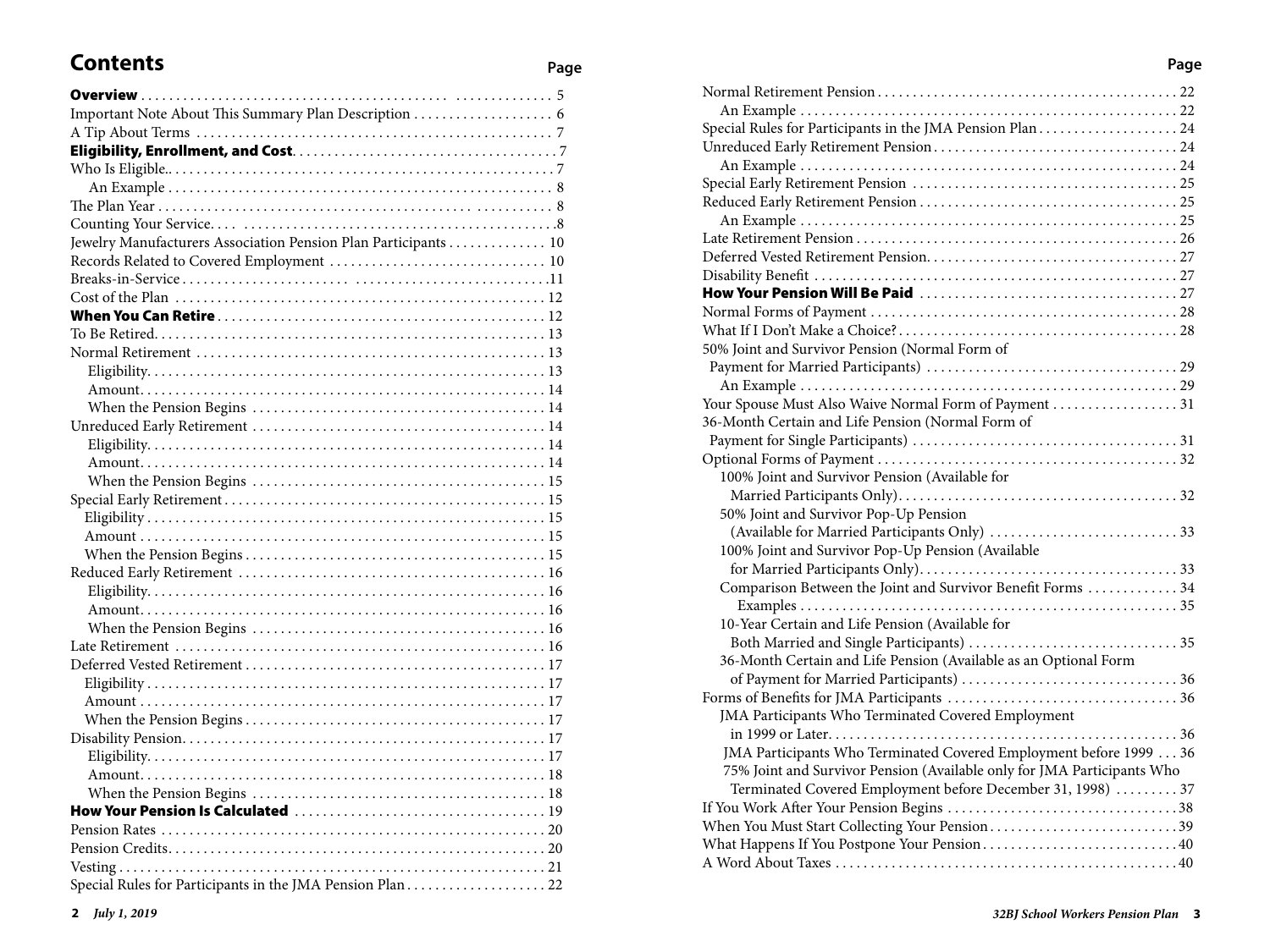# **Contents Page**

| Jewelry Manufacturers Association Pension Plan Participants  10 |  |
|-----------------------------------------------------------------|--|
|                                                                 |  |
|                                                                 |  |
|                                                                 |  |
|                                                                 |  |
|                                                                 |  |
|                                                                 |  |
|                                                                 |  |
|                                                                 |  |
|                                                                 |  |
|                                                                 |  |
|                                                                 |  |
|                                                                 |  |
|                                                                 |  |
|                                                                 |  |
|                                                                 |  |
|                                                                 |  |
|                                                                 |  |
|                                                                 |  |
|                                                                 |  |
|                                                                 |  |
|                                                                 |  |
|                                                                 |  |
|                                                                 |  |
|                                                                 |  |
|                                                                 |  |
|                                                                 |  |
|                                                                 |  |
|                                                                 |  |
|                                                                 |  |
|                                                                 |  |
|                                                                 |  |
|                                                                 |  |
|                                                                 |  |
|                                                                 |  |
|                                                                 |  |

| 50% Joint and Survivor Pension (Normal Form of                          |  |
|-------------------------------------------------------------------------|--|
|                                                                         |  |
|                                                                         |  |
| Your Spouse Must Also Waive Normal Form of Payment 31                   |  |
| 36-Month Certain and Life Pension (Normal Form of                       |  |
|                                                                         |  |
|                                                                         |  |
| 100% Joint and Survivor Pension (Available for                          |  |
|                                                                         |  |
| 50% Joint and Survivor Pop-Up Pension                                   |  |
|                                                                         |  |
| 100% Joint and Survivor Pop-Up Pension (Available                       |  |
|                                                                         |  |
| Comparison Between the Joint and Survivor Benefit Forms  34             |  |
|                                                                         |  |
| 10-Year Certain and Life Pension (Available for                         |  |
|                                                                         |  |
| 36-Month Certain and Life Pension (Available as an Optional Form        |  |
|                                                                         |  |
| JMA Participants Who Terminated Covered Employment                      |  |
|                                                                         |  |
| JMA Participants Who Terminated Covered Employment before 1999 36       |  |
| 75% Joint and Survivor Pension (Available only for JMA Participants Who |  |
| Terminated Covered Employment before December 31, 1998)  37             |  |
|                                                                         |  |
| When You Must Start Collecting Your Pension39                           |  |
|                                                                         |  |
|                                                                         |  |
|                                                                         |  |

#### **Page**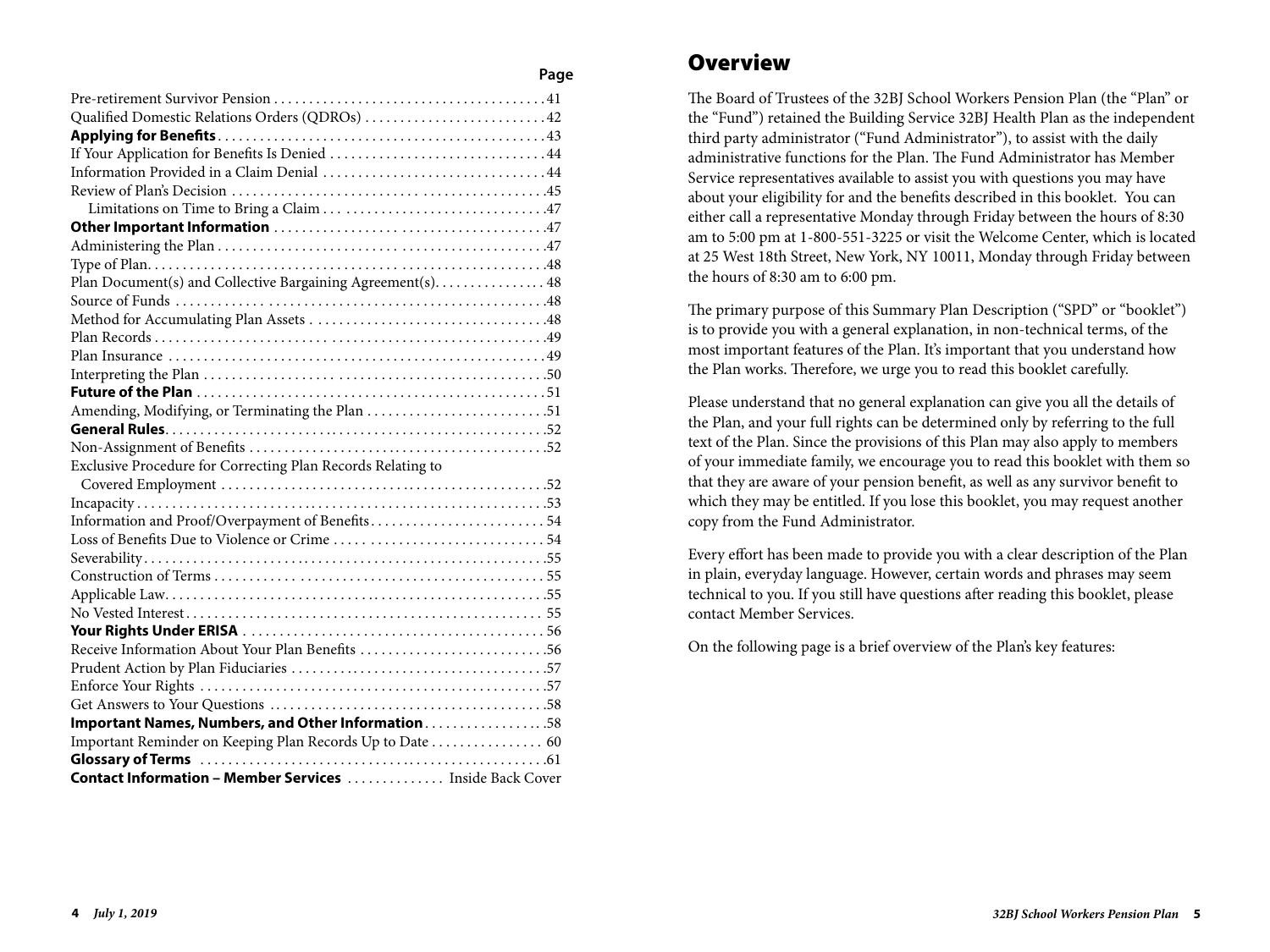| Qualified Domestic Relations Orders (QDROs) 42                  |
|-----------------------------------------------------------------|
|                                                                 |
|                                                                 |
|                                                                 |
|                                                                 |
|                                                                 |
|                                                                 |
|                                                                 |
|                                                                 |
| Plan Document(s) and Collective Bargaining Agreement(s). 48     |
|                                                                 |
|                                                                 |
|                                                                 |
|                                                                 |
|                                                                 |
|                                                                 |
| Amending, Modifying, or Terminating the Plan 51                 |
|                                                                 |
|                                                                 |
| Exclusive Procedure for Correcting Plan Records Relating to     |
|                                                                 |
|                                                                 |
|                                                                 |
|                                                                 |
|                                                                 |
|                                                                 |
|                                                                 |
|                                                                 |
|                                                                 |
| Receive Information About Your Plan Benefits 56                 |
|                                                                 |
|                                                                 |
|                                                                 |
| Important Names, Numbers, and Other Information58               |
| Important Reminder on Keeping Plan Records Up to Date  60       |
|                                                                 |
| <b>Contact Information - Member Services </b> Inside Back Cover |

## **Overview**

The Board of Trustees of the 32BJ School Workers Pension Plan (the "Plan" or the "Fund") retained the Building Service 32BJ Health Plan as the independent third party administrator ("Fund Administrator"), to assist with the daily administrative functions for the Plan. The Fund Administrator has Member Service representatives available to assist you with questions you may have about your eligibility for and the benefits described in this booklet. You can either call a representative Monday through Friday between the hours of 8:30 am to 5:00 pm at 1-800-551-3225 or visit the Welcome Center, which is located at 25 West 18th Street, New York, NY 10011, Monday through Friday between the hours of 8:30 am to 6:00 pm.

The primary purpose of this Summary Plan Description ("SPD" or "booklet") is to provide you with a general explanation, in non-technical terms, of the most important features of the Plan. It's important that you understand how the Plan works. Therefore, we urge you to read this booklet carefully.

Please understand that no general explanation can give you all the details of the Plan, and your full rights can be determined only by referring to the full text of the Plan. Since the provisions of this Plan may also apply to members of your immediate family, we encourage you to read this booklet with them so that they are aware of your pension benefit, as well as any survivor benefit to which they may be entitled. If you lose this booklet, you may request another copy from the Fund Administrator.

Every effort has been made to provide you with a clear description of the Plan in plain, everyday language. However, certain words and phrases may seem technical to you. If you still have questions after reading this booklet, please contact Member Services.

On the following page is a brief overview of the Plan's key features: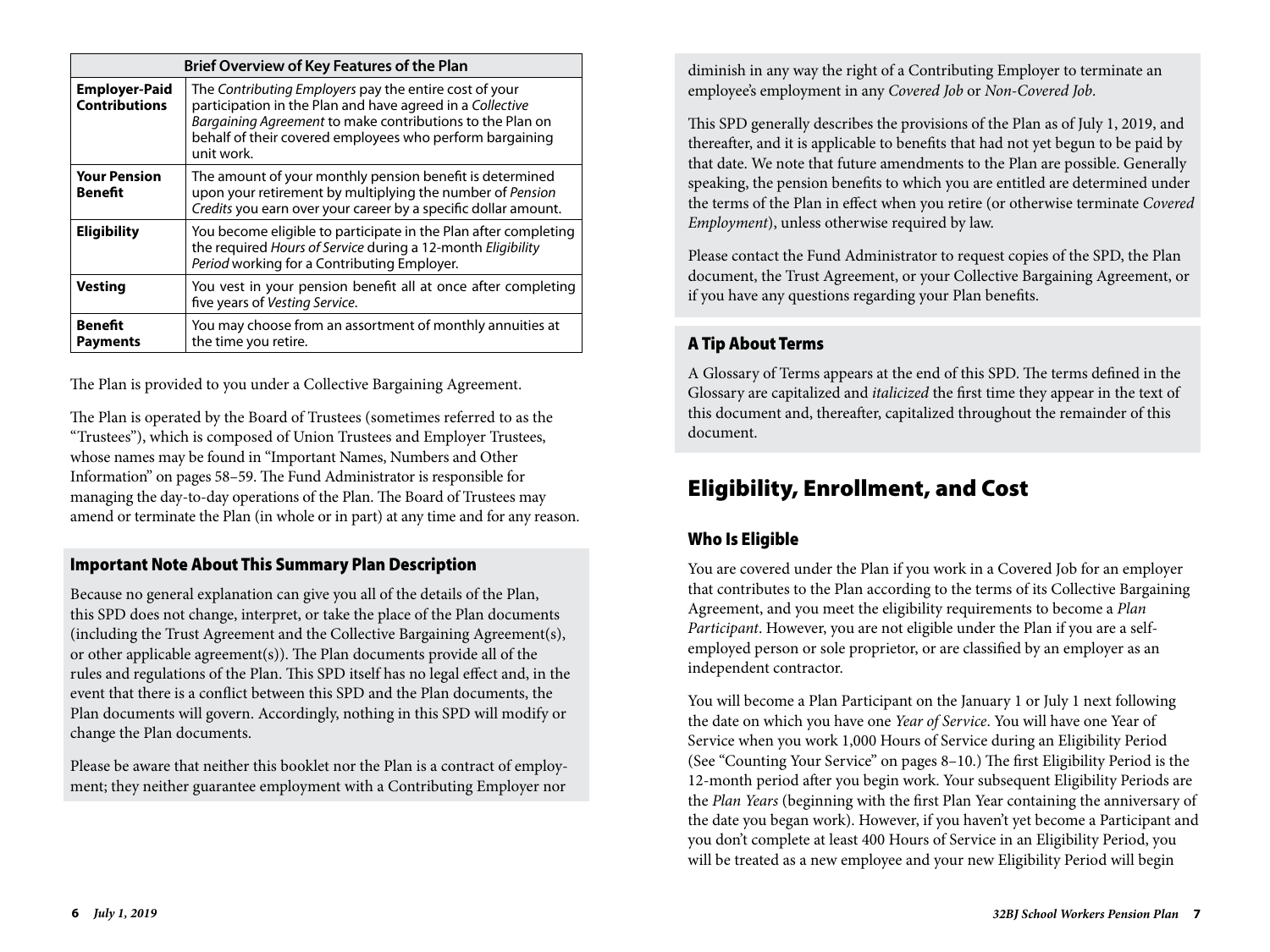| <b>Brief Overview of Key Features of the Plan</b> |                                                                                                                                                                                                                                                            |  |  |  |  |  |  |  |
|---------------------------------------------------|------------------------------------------------------------------------------------------------------------------------------------------------------------------------------------------------------------------------------------------------------------|--|--|--|--|--|--|--|
| <b>Employer-Paid</b><br><b>Contributions</b>      | The Contributing Employers pay the entire cost of your<br>participation in the Plan and have agreed in a Collective<br>Bargaining Agreement to make contributions to the Plan on<br>behalf of their covered employees who perform bargaining<br>unit work. |  |  |  |  |  |  |  |
| <b>Your Pension</b><br><b>Benefit</b>             | The amount of your monthly pension benefit is determined<br>upon your retirement by multiplying the number of Pension<br>Credits you earn over your career by a specific dollar amount.                                                                    |  |  |  |  |  |  |  |
| <b>Eligibility</b>                                | You become eligible to participate in the Plan after completing<br>the required Hours of Service during a 12-month Eligibility<br>Period working for a Contributing Employer.                                                                              |  |  |  |  |  |  |  |
| <b>Vesting</b>                                    | You vest in your pension benefit all at once after completing<br>five years of Vesting Service.                                                                                                                                                            |  |  |  |  |  |  |  |
| <b>Benefit</b><br><b>Payments</b>                 | You may choose from an assortment of monthly annuities at<br>the time you retire.                                                                                                                                                                          |  |  |  |  |  |  |  |

The Plan is provided to you under a Collective Bargaining Agreement.

The Plan is operated by the Board of Trustees (sometimes referred to as the "Trustees"), which is composed of Union Trustees and Employer Trustees, whose names may be found in "Important Names, Numbers and Other Information" on pages 58–59. The Fund Administrator is responsible for managing the day-to-day operations of the Plan. The Board of Trustees may amend or terminate the Plan (in whole or in part) at any time and for any reason.

## Important Note About This Summary Plan Description

Because no general explanation can give you all of the details of the Plan, this SPD does not change, interpret, or take the place of the Plan documents (including the Trust Agreement and the Collective Bargaining Agreement(s), or other applicable agreement(s)). The Plan documents provide all of the rules and regulations of the Plan. This SPD itself has no legal effect and, in the event that there is a conflict between this SPD and the Plan documents, the Plan documents will govern. Accordingly, nothing in this SPD will modify or change the Plan documents.

Please be aware that neither this booklet nor the Plan is a contract of employment; they neither guarantee employment with a Contributing Employer nor

diminish in any way the right of a Contributing Employer to terminate an employee's employment in any *Covered Job* or *Non-Covered Job*.

This SPD generally describes the provisions of the Plan as of July 1, 2019, and thereafter, and it is applicable to benefits that had not yet begun to be paid by that date. We note that future amendments to the Plan are possible. Generally speaking, the pension benefits to which you are entitled are determined under the terms of the Plan in effect when you retire (or otherwise terminate *Covered Employment*), unless otherwise required by law.

Please contact the Fund Administrator to request copies of the SPD, the Plan document, the Trust Agreement, or your Collective Bargaining Agreement, or if you have any questions regarding your Plan benefits.

## A Tip About Terms

A Glossary of Terms appears at the end of this SPD. The terms defined in the Glossary are capitalized and *italicized* the first time they appear in the text of this document and, thereafter, capitalized throughout the remainder of this document.

# Eligibility, Enrollment, and Cost

## Who Is Eligible

You are covered under the Plan if you work in a Covered Job for an employer that contributes to the Plan according to the terms of its Collective Bargaining Agreement, and you meet the eligibility requirements to become a *Plan Participant*. However, you are not eligible under the Plan if you are a selfemployed person or sole proprietor, or are classified by an employer as an independent contractor.

You will become a Plan Participant on the January 1 or July 1 next following the date on which you have one *Year of Service*. You will have one Year of Service when you work 1,000 Hours of Service during an Eligibility Period (See "Counting Your Service" on pages 8–10.) The first Eligibility Period is the 12-month period after you begin work. Your subsequent Eligibility Periods are the *Plan Years* (beginning with the first Plan Year containing the anniversary of the date you began work). However, if you haven't yet become a Participant and you don't complete at least 400 Hours of Service in an Eligibility Period, you will be treated as a new employee and your new Eligibility Period will begin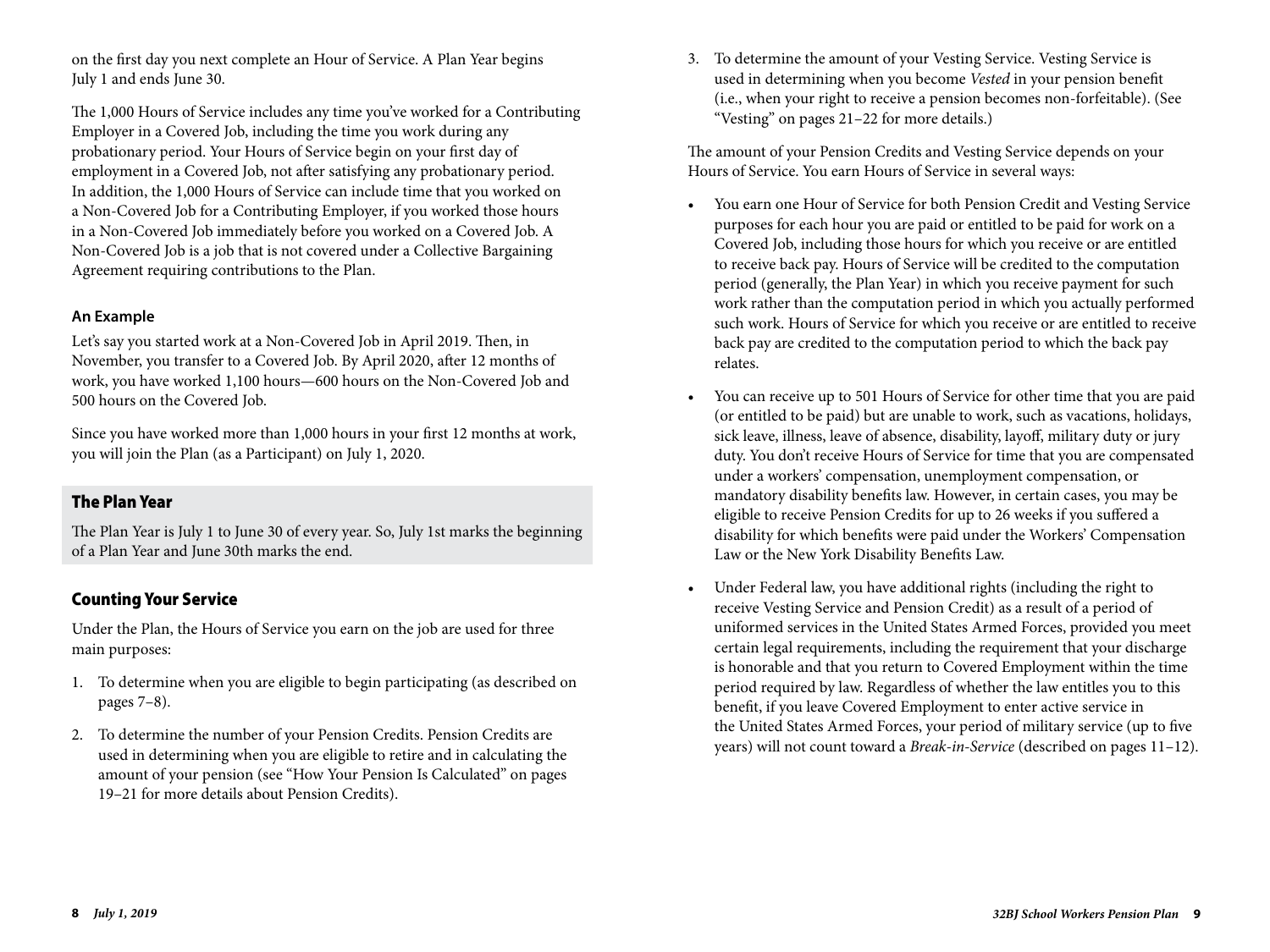on the first day you next complete an Hour of Service. A Plan Year begins July 1 and ends June 30.

The 1,000 Hours of Service includes any time you've worked for a Contributing Employer in a Covered Job, including the time you work during any probationary period. Your Hours of Service begin on your first day of employment in a Covered Job, not after satisfying any probationary period. In addition, the 1,000 Hours of Service can include time that you worked on a Non-Covered Job for a Contributing Employer, if you worked those hours in a Non-Covered Job immediately before you worked on a Covered Job. A Non-Covered Job is a job that is not covered under a Collective Bargaining Agreement requiring contributions to the Plan.

#### **An Example**

Let's say you started work at a Non-Covered Job in April 2019. Then, in November, you transfer to a Covered Job. By April 2020, after 12 months of work, you have worked 1,100 hours—600 hours on the Non-Covered Job and 500 hours on the Covered Job.

Since you have worked more than 1,000 hours in your first 12 months at work, you will join the Plan (as a Participant) on July 1, 2020.

#### The Plan Year

The Plan Year is July 1 to June 30 of every year. So, July 1st marks the beginning of a Plan Year and June 30th marks the end.

### Counting Your Service

Under the Plan, the Hours of Service you earn on the job are used for three main purposes:

- 1. To determine when you are eligible to begin participating (as described on pages 7–8).
- 2. To determine the number of your Pension Credits. Pension Credits are used in determining when you are eligible to retire and in calculating the amount of your pension (see "How Your Pension Is Calculated" on pages 19–21 for more details about Pension Credits).

3. To determine the amount of your Vesting Service. Vesting Service is used in determining when you become *Vested* in your pension benefit (i.e., when your right to receive a pension becomes non-forfeitable). (See "Vesting" on pages 21–22 for more details.)

The amount of your Pension Credits and Vesting Service depends on your Hours of Service. You earn Hours of Service in several ways:

- You earn one Hour of Service for both Pension Credit and Vesting Service purposes for each hour you are paid or entitled to be paid for work on a Covered Job, including those hours for which you receive or are entitled to receive back pay. Hours of Service will be credited to the computation period (generally, the Plan Year) in which you receive payment for such work rather than the computation period in which you actually performed such work. Hours of Service for which you receive or are entitled to receive back pay are credited to the computation period to which the back pay relates.
- You can receive up to 501 Hours of Service for other time that you are paid (or entitled to be paid) but are unable to work, such as vacations, holidays, sick leave, illness, leave of absence, disability, layoff, military duty or jury duty. You don't receive Hours of Service for time that you are compensated under a workers' compensation, unemployment compensation, or mandatory disability benefits law. However, in certain cases, you may be eligible to receive Pension Credits for up to 26 weeks if you suffered a disability for which benefits were paid under the Workers' Compensation Law or the New York Disability Benefits Law.
- Under Federal law, you have additional rights (including the right to receive Vesting Service and Pension Credit) as a result of a period of uniformed services in the United States Armed Forces, provided you meet certain legal requirements, including the requirement that your discharge is honorable and that you return to Covered Employment within the time period required by law. Regardless of whether the law entitles you to this benefit, if you leave Covered Employment to enter active service in the United States Armed Forces, your period of military service (up to five years) will not count toward a *Break-in-Service* (described on pages 11–12).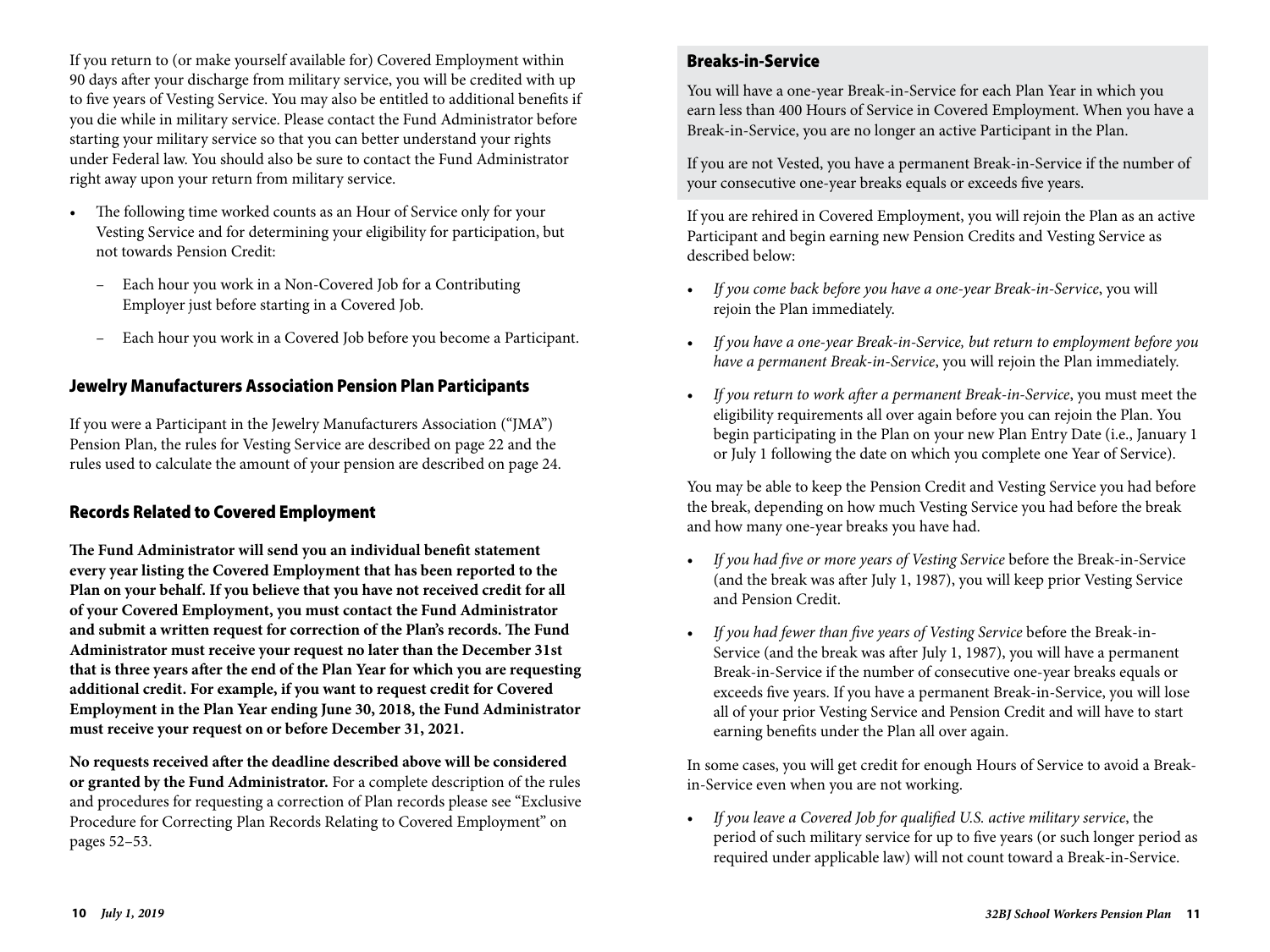If you return to (or make yourself available for) Covered Employment within 90 days after your discharge from military service, you will be credited with up to five years of Vesting Service. You may also be entitled to additional benefits if you die while in military service. Please contact the Fund Administrator before starting your military service so that you can better understand your rights under Federal law. You should also be sure to contact the Fund Administrator right away upon your return from military service.

- The following time worked counts as an Hour of Service only for your Vesting Service and for determining your eligibility for participation, but not towards Pension Credit:
	- Each hour you work in a Non-Covered Job for a Contributing Employer just before starting in a Covered Job.
	- Each hour you work in a Covered Job before you become a Participant.

#### Jewelry Manufacturers Association Pension Plan Participants

If you were a Participant in the Jewelry Manufacturers Association ("JMA") Pension Plan, the rules for Vesting Service are described on page 22 and the rules used to calculate the amount of your pension are described on page 24.

#### Records Related to Covered Employment

**The Fund Administrator will send you an individual benefit statement every year listing the Covered Employment that has been reported to the Plan on your behalf. If you believe that you have not received credit for all of your Covered Employment, you must contact the Fund Administrator and submit a written request for correction of the Plan's records. The Fund Administrator must receive your request no later than the December 31st that is three years after the end of the Plan Year for which you are requesting additional credit. For example, if you want to request credit for Covered Employment in the Plan Year ending June 30, 2018, the Fund Administrator must receive your request on or before December 31, 2021.**

**No requests received after the deadline described above will be considered or granted by the Fund Administrator.** For a complete description of the rules and procedures for requesting a correction of Plan records please see "Exclusive Procedure for Correcting Plan Records Relating to Covered Employment" on pages 52–53.

#### Breaks-in-Service

You will have a one-year Break-in-Service for each Plan Year in which you earn less than 400 Hours of Service in Covered Employment. When you have a Break-in-Service, you are no longer an active Participant in the Plan.

If you are not Vested, you have a permanent Break-in-Service if the number of your consecutive one-year breaks equals or exceeds five years.

If you are rehired in Covered Employment, you will rejoin the Plan as an active Participant and begin earning new Pension Credits and Vesting Service as described below:

- *If you come back before you have a one-year Break-in-Service*, you will rejoin the Plan immediately.
- *If you have a one-year Break-in-Service, but return to employment before you have a permanent Break-in-Service*, you will rejoin the Plan immediately.
- *If you return to work after a permanent Break-in-Service*, you must meet the eligibility requirements all over again before you can rejoin the Plan. You begin participating in the Plan on your new Plan Entry Date (i.e., January 1 or July 1 following the date on which you complete one Year of Service).

You may be able to keep the Pension Credit and Vesting Service you had before the break, depending on how much Vesting Service you had before the break and how many one-year breaks you have had.

- *If you had five or more years of Vesting Service* before the Break-in-Service (and the break was after July 1, 1987), you will keep prior Vesting Service and Pension Credit.
- *If you had fewer than five years of Vesting Service* before the Break-in-Service (and the break was after July 1, 1987), you will have a permanent Break-in-Service if the number of consecutive one-year breaks equals or exceeds five years. If you have a permanent Break-in-Service, you will lose all of your prior Vesting Service and Pension Credit and will have to start earning benefits under the Plan all over again.

In some cases, you will get credit for enough Hours of Service to avoid a Breakin-Service even when you are not working.

• *If you leave a Covered Job for qualified U.S. active military service*, the period of such military service for up to five years (or such longer period as required under applicable law) will not count toward a Break-in-Service.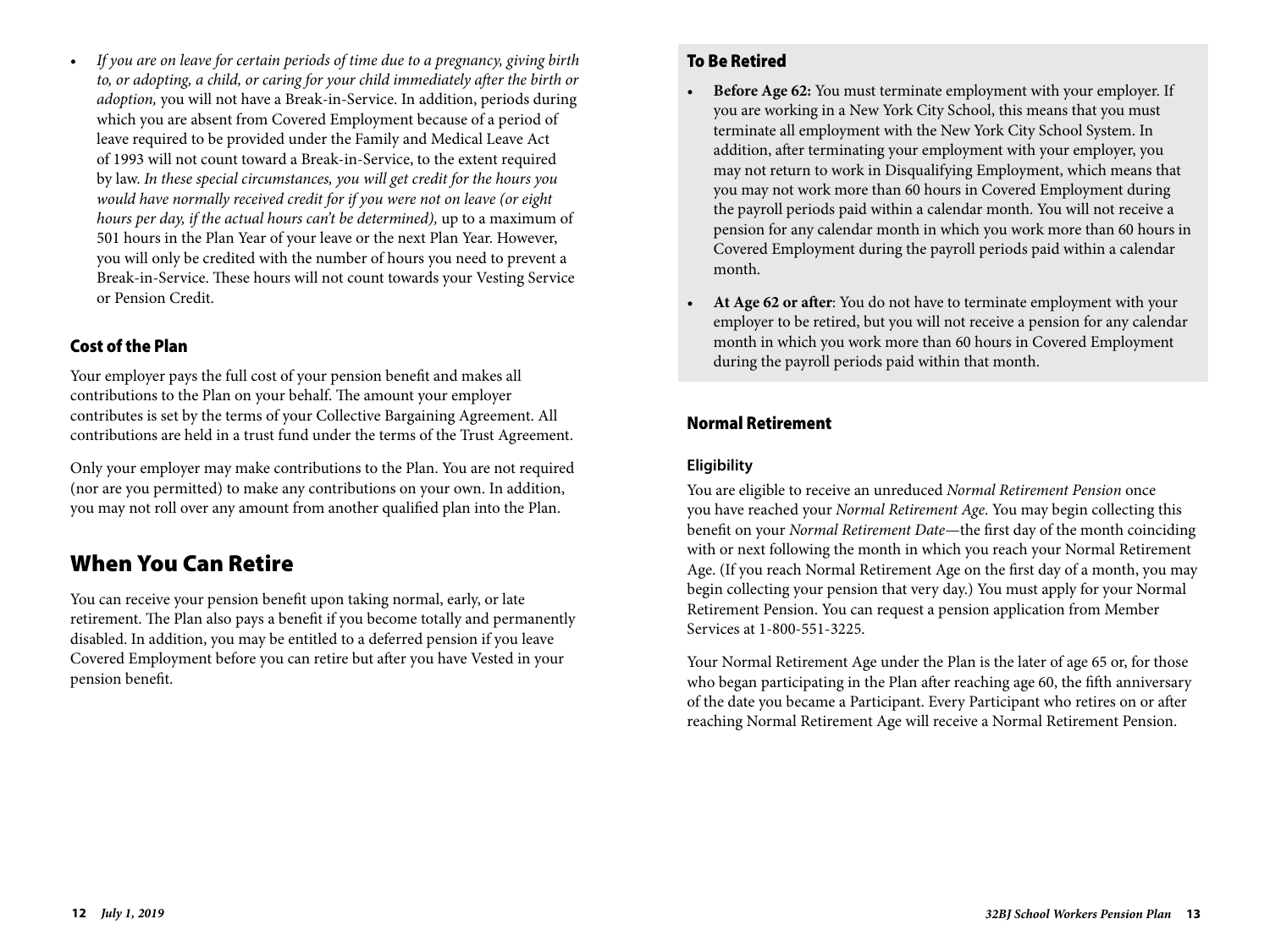• *If you are on leave for certain periods of time due to a pregnancy, giving birth to, or adopting, a child, or caring for your child immediately after the birth or adoption,* you will not have a Break-in-Service. In addition, periods during which you are absent from Covered Employment because of a period of leave required to be provided under the Family and Medical Leave Act of 1993 will not count toward a Break-in-Service, to the extent required by law. *In these special circumstances, you will get credit for the hours you would have normally received credit for if you were not on leave (or eight hours per day, if the actual hours can't be determined),* up to a maximum of 501 hours in the Plan Year of your leave or the next Plan Year. However, you will only be credited with the number of hours you need to prevent a Break-in-Service. These hours will not count towards your Vesting Service or Pension Credit.

## Cost of the Plan

Your employer pays the full cost of your pension benefit and makes all contributions to the Plan on your behalf. The amount your employer contributes is set by the terms of your Collective Bargaining Agreement. All contributions are held in a trust fund under the terms of the Trust Agreement.

Only your employer may make contributions to the Plan. You are not required (nor are you permitted) to make any contributions on your own. In addition, you may not roll over any amount from another qualified plan into the Plan.

## When You Can Retire

You can receive your pension benefit upon taking normal, early, or late retirement. The Plan also pays a benefit if you become totally and permanently disabled. In addition, you may be entitled to a deferred pension if you leave Covered Employment before you can retire but after you have Vested in your pension benefit.

## To Be Retired

- **Before Age 62:** You must terminate employment with your employer. If you are working in a New York City School, this means that you must terminate all employment with the New York City School System. In addition, after terminating your employment with your employer, you may not return to work in Disqualifying Employment, which means that you may not work more than 60 hours in Covered Employment during the payroll periods paid within a calendar month. You will not receive a pension for any calendar month in which you work more than 60 hours in Covered Employment during the payroll periods paid within a calendar month.
- **At Age 62 or after**: You do not have to terminate employment with your employer to be retired, but you will not receive a pension for any calendar month in which you work more than 60 hours in Covered Employment during the payroll periods paid within that month.

## Normal Retirement

#### **Eligibility**

You are eligible to receive an unreduced *Normal Retirement Pension* once you have reached your *Normal Retirement Age*. You may begin collecting this benefit on your *Normal Retirement Date*—the first day of the month coinciding with or next following the month in which you reach your Normal Retirement Age. (If you reach Normal Retirement Age on the first day of a month, you may begin collecting your pension that very day.) You must apply for your Normal Retirement Pension. You can request a pension application from Member Services at 1-800-551-3225.

Your Normal Retirement Age under the Plan is the later of age 65 or, for those who began participating in the Plan after reaching age 60, the fifth anniversary of the date you became a Participant. Every Participant who retires on or after reaching Normal Retirement Age will receive a Normal Retirement Pension.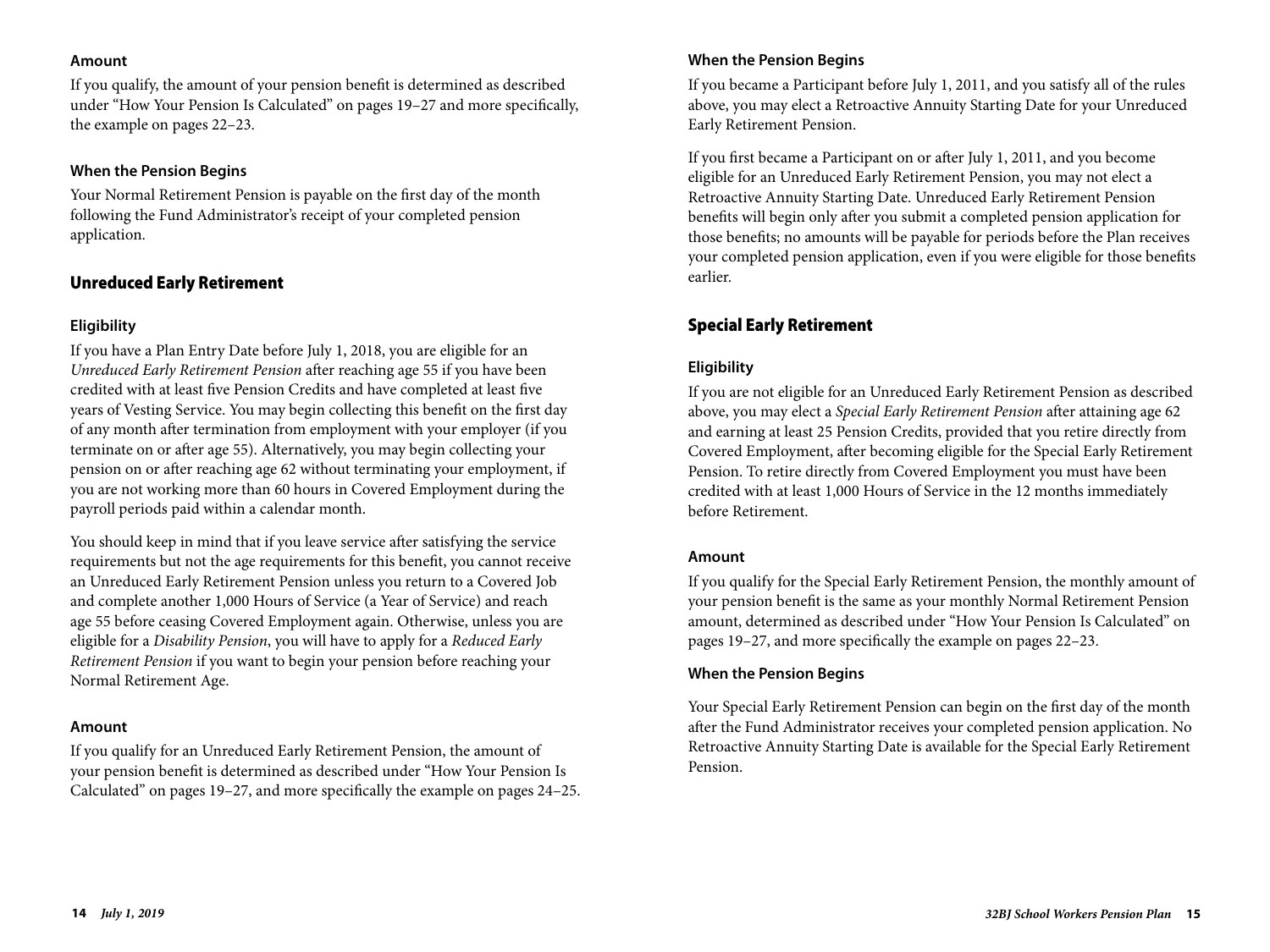#### **Amount**

If you qualify, the amount of your pension benefit is determined as described under "How Your Pension Is Calculated" on pages 19–27 and more specifically, the example on pages 22–23.

#### **When the Pension Begins**

Your Normal Retirement Pension is payable on the first day of the month following the Fund Administrator's receipt of your completed pension application.

#### Unreduced Early Retirement

#### **Eligibility**

If you have a Plan Entry Date before July 1, 2018, you are eligible for an *Unreduced Early Retirement Pension* after reaching age 55 if you have been credited with at least five Pension Credits and have completed at least five years of Vesting Service. You may begin collecting this benefit on the first day of any month after termination from employment with your employer (if you terminate on or after age 55). Alternatively, you may begin collecting your pension on or after reaching age 62 without terminating your employment, if you are not working more than 60 hours in Covered Employment during the payroll periods paid within a calendar month.

You should keep in mind that if you leave service after satisfying the service requirements but not the age requirements for this benefit, you cannot receive an Unreduced Early Retirement Pension unless you return to a Covered Job and complete another 1,000 Hours of Service (a Year of Service) and reach age 55 before ceasing Covered Employment again. Otherwise, unless you are eligible for a *Disability Pension*, you will have to apply for a *Reduced Early Retirement Pension* if you want to begin your pension before reaching your Normal Retirement Age.

#### **Amount**

If you qualify for an Unreduced Early Retirement Pension, the amount of your pension benefit is determined as described under "How Your Pension Is Calculated" on pages 19–27, and more specifically the example on pages 24–25.

#### **When the Pension Begins**

If you became a Participant before July 1, 2011, and you satisfy all of the rules above, you may elect a Retroactive Annuity Starting Date for your Unreduced Early Retirement Pension.

If you first became a Participant on or after July 1, 2011, and you become eligible for an Unreduced Early Retirement Pension, you may not elect a Retroactive Annuity Starting Date. Unreduced Early Retirement Pension benefits will begin only after you submit a completed pension application for those benefits; no amounts will be payable for periods before the Plan receives your completed pension application, even if you were eligible for those benefits earlier.

## Special Early Retirement

### **Eligibility**

If you are not eligible for an Unreduced Early Retirement Pension as described above, you may elect a *Special Early Retirement Pension* after attaining age 62 and earning at least 25 Pension Credits, provided that you retire directly from Covered Employment, after becoming eligible for the Special Early Retirement Pension. To retire directly from Covered Employment you must have been credited with at least 1,000 Hours of Service in the 12 months immediately before Retirement.

#### **Amount**

If you qualify for the Special Early Retirement Pension, the monthly amount of your pension benefit is the same as your monthly Normal Retirement Pension amount, determined as described under "How Your Pension Is Calculated" on pages 19–27, and more specifically the example on pages 22–23.

#### **When the Pension Begins**

Your Special Early Retirement Pension can begin on the first day of the month after the Fund Administrator receives your completed pension application. No Retroactive Annuity Starting Date is available for the Special Early Retirement Pension.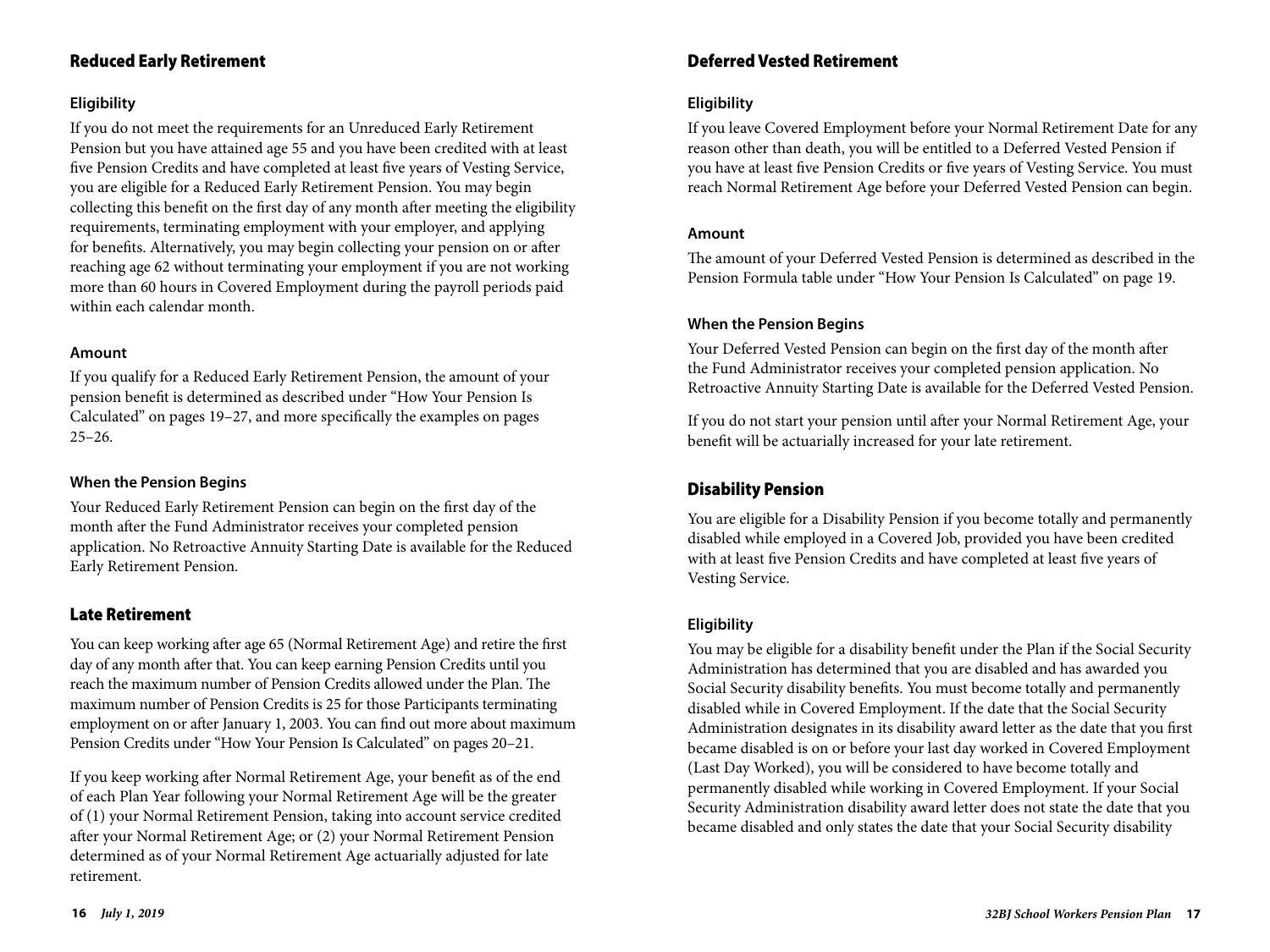## Reduced Early Retirement

#### **Eligibility**

If you do not meet the requirements for an Unreduced Early Retirement Pension but you have attained age 55 and you have been credited with at least five Pension Credits and have completed at least five years of Vesting Service, you are eligible for a Reduced Early Retirement Pension. You may begin collecting this benefit on the first day of any month after meeting the eligibility requirements, terminating employment with your employer, and applying for benefits. Alternatively, you may begin collecting your pension on or after reaching age 62 without terminating your employment if you are not working more than 60 hours in Covered Employment during the payroll periods paid within each calendar month.

#### **Amount**

If you qualify for a Reduced Early Retirement Pension, the amount of your pension benefit is determined as described under "How Your Pension Is Calculated" on pages 19–27, and more specifically the examples on pages  $25 - 26.$ 

#### **When the Pension Begins**

Your Reduced Early Retirement Pension can begin on the first day of the month after the Fund Administrator receives your completed pension application. No Retroactive Annuity Starting Date is available for the Reduced Early Retirement Pension.

### Late Retirement

You can keep working after age 65 (Normal Retirement Age) and retire the first day of any month after that. You can keep earning Pension Credits until you reach the maximum number of Pension Credits allowed under the Plan. The maximum number of Pension Credits is 25 for those Participants terminating employment on or after January 1, 2003. You can find out more about maximum Pension Credits under "How Your Pension Is Calculated" on pages 20–21.

If you keep working after Normal Retirement Age, your benefit as of the end of each Plan Year following your Normal Retirement Age will be the greater of (1) your Normal Retirement Pension, taking into account service credited after your Normal Retirement Age; or (2) your Normal Retirement Pension determined as of your Normal Retirement Age actuarially adjusted for late retirement.

### Deferred Vested Retirement

#### **Eligibility**

If you leave Covered Employment before your Normal Retirement Date for any reason other than death, you will be entitled to a Deferred Vested Pension if you have at least five Pension Credits or five years of Vesting Service. You must reach Normal Retirement Age before your Deferred Vested Pension can begin.

#### **Amount**

The amount of your Deferred Vested Pension is determined as described in the Pension Formula table under "How Your Pension Is Calculated" on page 19.

#### **When the Pension Begins**

Your Deferred Vested Pension can begin on the first day of the month after the Fund Administrator receives your completed pension application. No Retroactive Annuity Starting Date is available for the Deferred Vested Pension.

If you do not start your pension until after your Normal Retirement Age, your benefit will be actuarially increased for your late retirement.

## Disability Pension

You are eligible for a Disability Pension if you become totally and permanently disabled while employed in a Covered Job, provided you have been credited with at least five Pension Credits and have completed at least five years of Vesting Service.

#### **Eligibility**

You may be eligible for a disability benefit under the Plan if the Social Security Administration has determined that you are disabled and has awarded you Social Security disability benefits. You must become totally and permanently disabled while in Covered Employment. If the date that the Social Security Administration designates in its disability award letter as the date that you first became disabled is on or before your last day worked in Covered Employment (Last Day Worked), you will be considered to have become totally and permanently disabled while working in Covered Employment. If your Social Security Administration disability award letter does not state the date that you became disabled and only states the date that your Social Security disability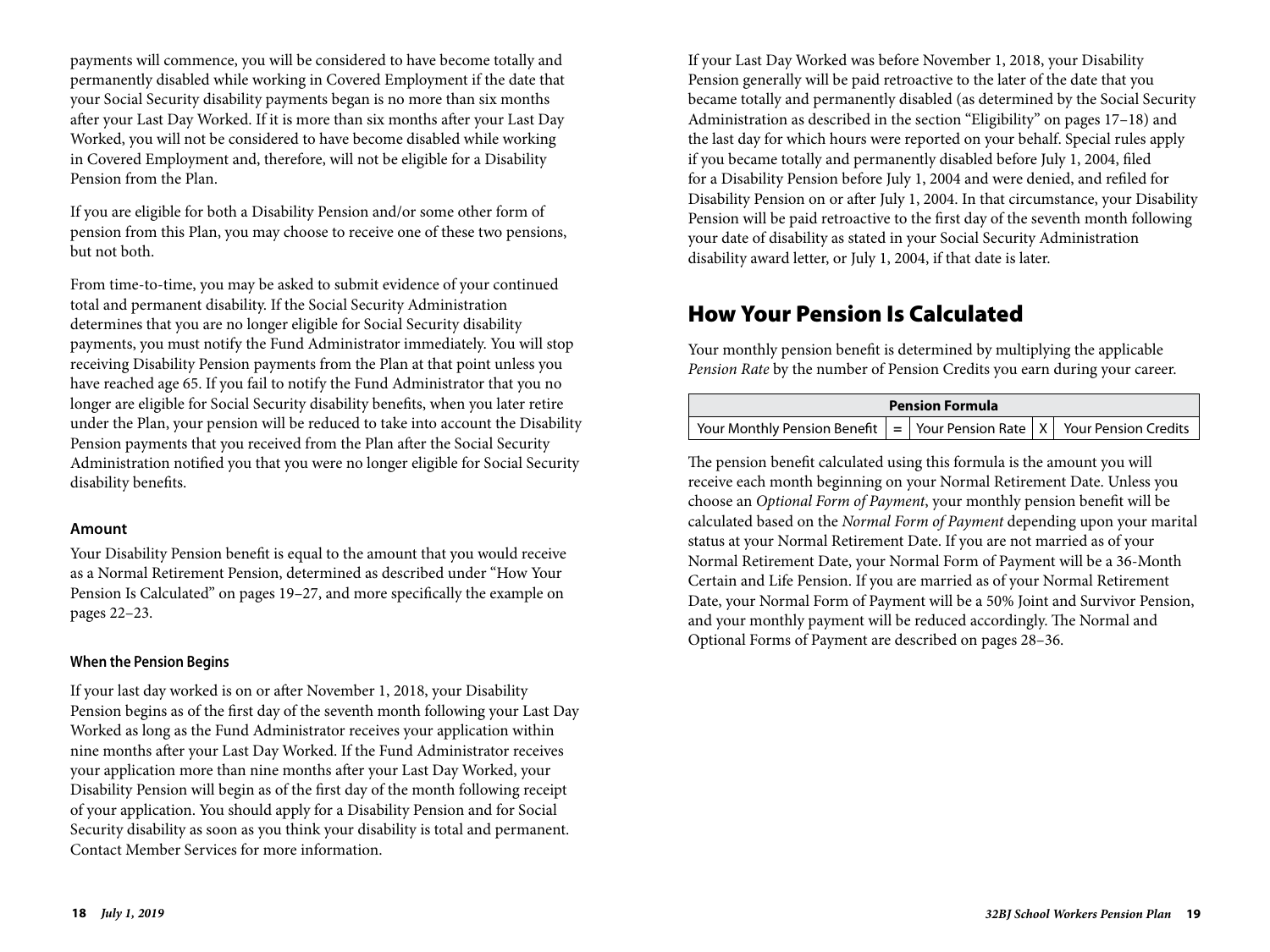payments will commence, you will be considered to have become totally and permanently disabled while working in Covered Employment if the date that your Social Security disability payments began is no more than six months after your Last Day Worked. If it is more than six months after your Last Day Worked, you will not be considered to have become disabled while working in Covered Employment and, therefore, will not be eligible for a Disability Pension from the Plan.

If you are eligible for both a Disability Pension and/or some other form of pension from this Plan, you may choose to receive one of these two pensions, but not both.

From time-to-time, you may be asked to submit evidence of your continued total and permanent disability. If the Social Security Administration determines that you are no longer eligible for Social Security disability payments, you must notify the Fund Administrator immediately. You will stop receiving Disability Pension payments from the Plan at that point unless you have reached age 65. If you fail to notify the Fund Administrator that you no longer are eligible for Social Security disability benefits, when you later retire under the Plan, your pension will be reduced to take into account the Disability Pension payments that you received from the Plan after the Social Security Administration notified you that you were no longer eligible for Social Security disability benefits.

#### **Amount**

Your Disability Pension benefit is equal to the amount that you would receive as a Normal Retirement Pension, determined as described under "How Your Pension Is Calculated" on pages 19–27, and more specifically the example on pages 22–23.

#### **When the Pension Begins**

If your last day worked is on or after November 1, 2018, your Disability Pension begins as of the first day of the seventh month following your Last Day Worked as long as the Fund Administrator receives your application within nine months after your Last Day Worked. If the Fund Administrator receives your application more than nine months after your Last Day Worked, your Disability Pension will begin as of the first day of the month following receipt of your application. You should apply for a Disability Pension and for Social Security disability as soon as you think your disability is total and permanent. Contact Member Services for more information.

If your Last Day Worked was before November 1, 2018, your Disability Pension generally will be paid retroactive to the later of the date that you became totally and permanently disabled (as determined by the Social Security Administration as described in the section "Eligibility" on pages 17–18) and the last day for which hours were reported on your behalf. Special rules apply if you became totally and permanently disabled before July 1, 2004, filed for a Disability Pension before July 1, 2004 and were denied, and refiled for Disability Pension on or after July 1, 2004. In that circumstance, your Disability Pension will be paid retroactive to the first day of the seventh month following your date of disability as stated in your Social Security Administration disability award letter, or July 1, 2004, if that date is later.

## How Your Pension Is Calculated

Your monthly pension benefit is determined by multiplying the applicable *Pension Rate* by the number of Pension Credits you earn during your career.

| <b>Pension Formula</b>                                                                          |  |  |  |  |  |
|-------------------------------------------------------------------------------------------------|--|--|--|--|--|
| Your Monthly Pension Benefit $\vert$ = Your Pension Rate $\vert$ X $\vert$ Your Pension Credits |  |  |  |  |  |

The pension benefit calculated using this formula is the amount you will receive each month beginning on your Normal Retirement Date. Unless you choose an *Optional Form of Payment*, your monthly pension benefit will be calculated based on the *Normal Form of Payment* depending upon your marital status at your Normal Retirement Date. If you are not married as of your Normal Retirement Date, your Normal Form of Payment will be a 36-Month Certain and Life Pension. If you are married as of your Normal Retirement Date, your Normal Form of Payment will be a 50% Joint and Survivor Pension, and your monthly payment will be reduced accordingly. The Normal and Optional Forms of Payment are described on pages 28–36.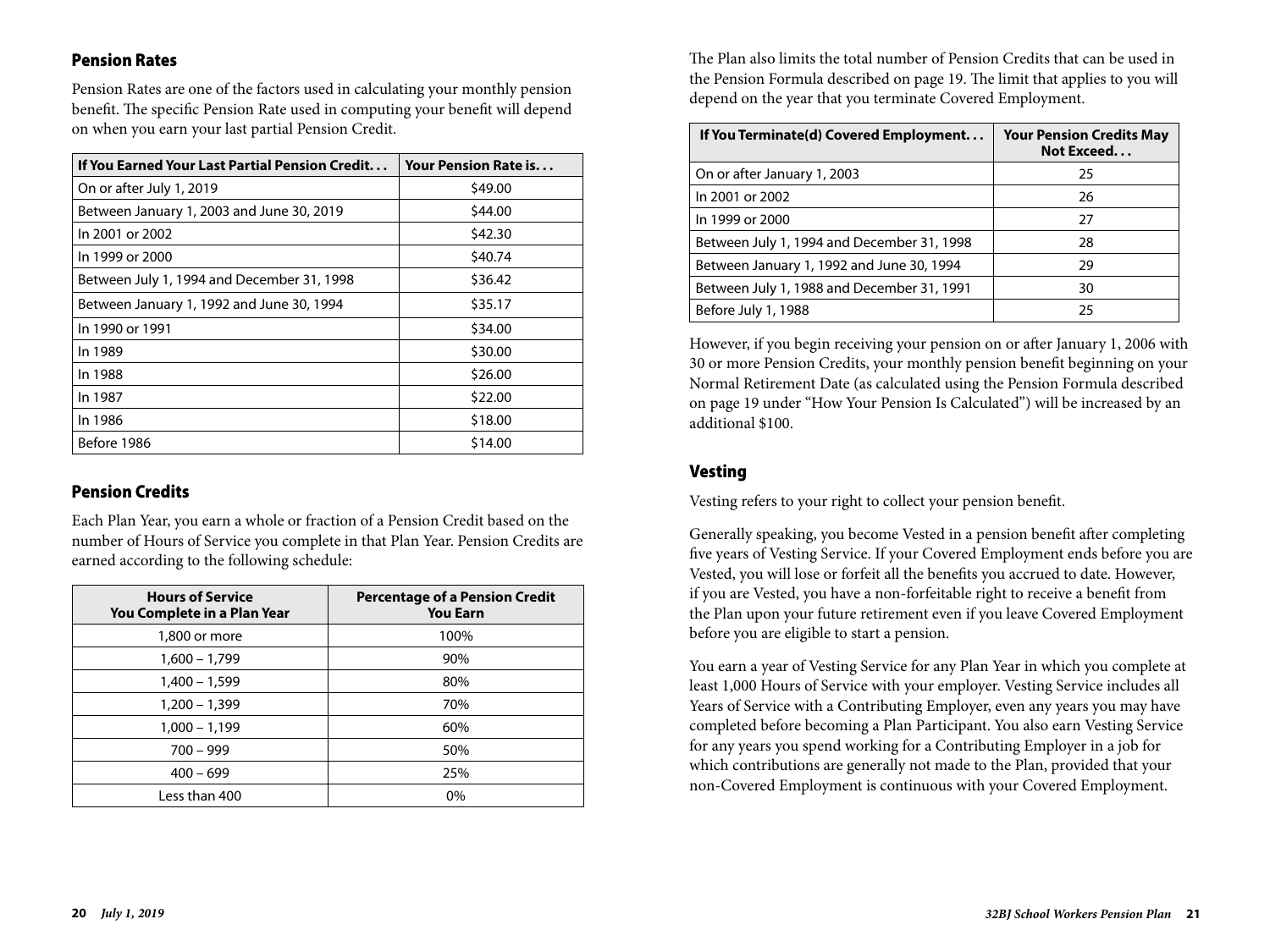#### Pension Rates

Pension Rates are one of the factors used in calculating your monthly pension benefit. The specific Pension Rate used in computing your benefit will depend on when you earn your last partial Pension Credit.

| If You Earned Your Last Partial Pension Credit | Your Pension Rate is |
|------------------------------------------------|----------------------|
| On or after July 1, 2019                       | \$49.00              |
| Between January 1, 2003 and June 30, 2019      | \$44.00              |
| In 2001 or 2002                                | \$42.30              |
| In 1999 or 2000                                | \$40.74              |
| Between July 1, 1994 and December 31, 1998     | \$36.42              |
| Between January 1, 1992 and June 30, 1994      | \$35.17              |
| In 1990 or 1991                                | \$34.00              |
| In 1989                                        | \$30.00              |
| In 1988                                        | \$26.00              |
| In 1987                                        | \$22.00              |
| In 1986                                        | \$18.00              |
| Before 1986                                    | \$14.00              |

### Pension Credits

Each Plan Year, you earn a whole or fraction of a Pension Credit based on the number of Hours of Service you complete in that Plan Year. Pension Credits are earned according to the following schedule:

| <b>Hours of Service</b><br>You Complete in a Plan Year | <b>Percentage of a Pension Credit</b><br><b>You Earn</b> |
|--------------------------------------------------------|----------------------------------------------------------|
| 1,800 or more                                          | 100%                                                     |
| $1,600 - 1,799$                                        | 90%                                                      |
| $1,400 - 1,599$                                        | 80%                                                      |
| $1,200 - 1,399$                                        | 70%                                                      |
| $1,000 - 1,199$                                        | 60%                                                      |
| $700 - 999$                                            | 50%                                                      |
| $400 - 699$                                            | 25%                                                      |
| Less than 400                                          | $0\%$                                                    |

The Plan also limits the total number of Pension Credits that can be used in the Pension Formula described on page 19. The limit that applies to you will depend on the year that you terminate Covered Employment.

| If You Terminate(d) Covered Employment     | <b>Your Pension Credits May</b><br>Not Exceed |
|--------------------------------------------|-----------------------------------------------|
| On or after January 1, 2003                | 25                                            |
| In 2001 or 2002                            | 26                                            |
| In 1999 or 2000                            | 27                                            |
| Between July 1, 1994 and December 31, 1998 | 28                                            |
| Between January 1, 1992 and June 30, 1994  | 29                                            |
| Between July 1, 1988 and December 31, 1991 | 30                                            |
| Before July 1, 1988                        | 25                                            |

However, if you begin receiving your pension on or after January 1, 2006 with 30 or more Pension Credits, your monthly pension benefit beginning on your Normal Retirement Date (as calculated using the Pension Formula described on page 19 under "How Your Pension Is Calculated") will be increased by an additional \$100.

#### Vesting

Vesting refers to your right to collect your pension benefit.

Generally speaking, you become Vested in a pension benefit after completing five years of Vesting Service. If your Covered Employment ends before you are Vested, you will lose or forfeit all the benefits you accrued to date. However, if you are Vested, you have a non-forfeitable right to receive a benefit from the Plan upon your future retirement even if you leave Covered Employment before you are eligible to start a pension.

You earn a year of Vesting Service for any Plan Year in which you complete at least 1,000 Hours of Service with your employer. Vesting Service includes all Years of Service with a Contributing Employer, even any years you may have completed before becoming a Plan Participant. You also earn Vesting Service for any years you spend working for a Contributing Employer in a job for which contributions are generally not made to the Plan, provided that your non-Covered Employment is continuous with your Covered Employment.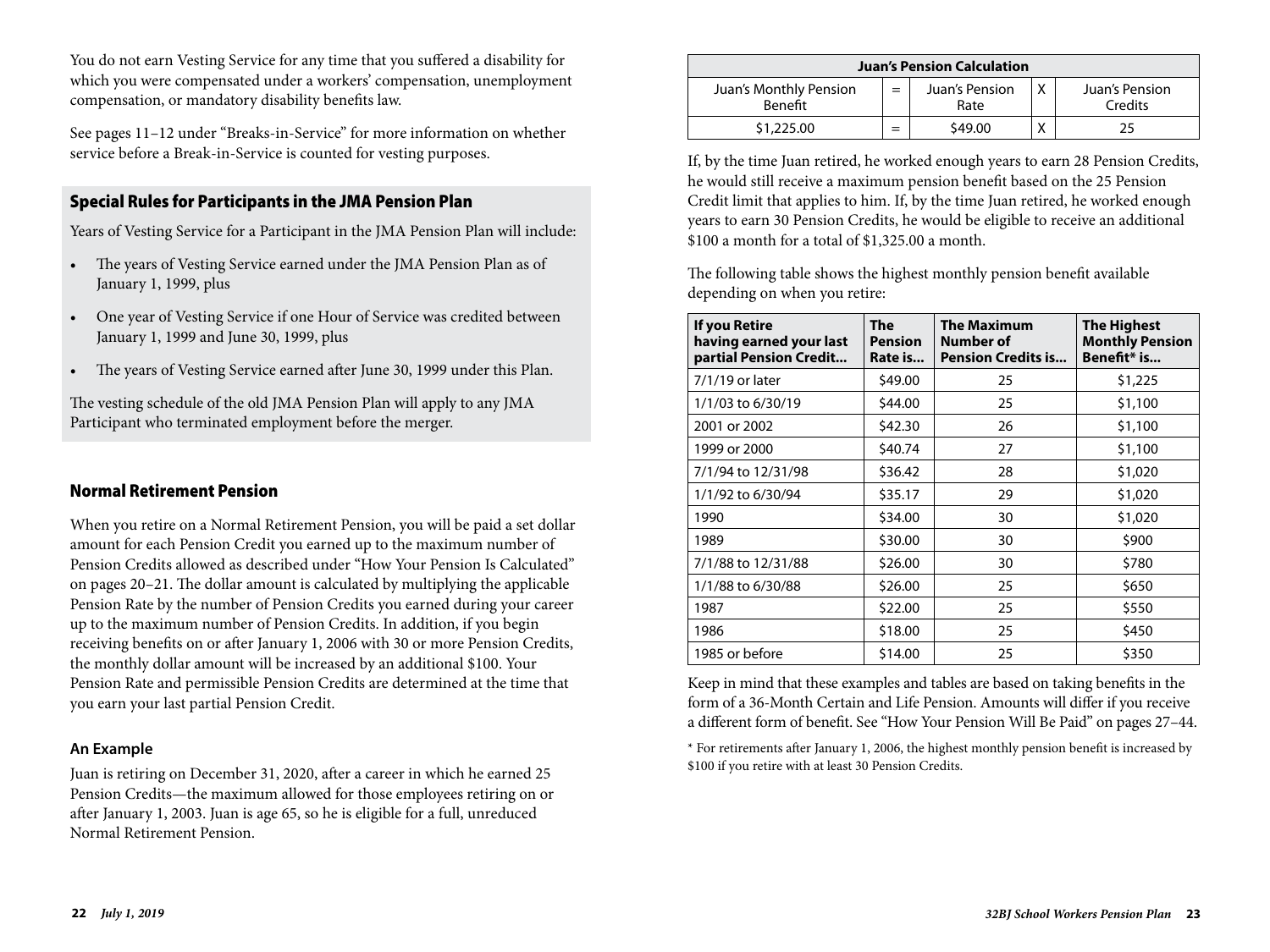You do not earn Vesting Service for any time that you suffered a disability for which you were compensated under a workers' compensation, unemployment compensation, or mandatory disability benefits law.

See pages 11–12 under "Breaks-in-Service" for more information on whether service before a Break-in-Service is counted for vesting purposes.

### Special Rules for Participants in the JMA Pension Plan

Years of Vesting Service for a Participant in the JMA Pension Plan will include:

- The years of Vesting Service earned under the JMA Pension Plan as of January 1, 1999, plus
- One year of Vesting Service if one Hour of Service was credited between January 1, 1999 and June 30, 1999, plus
- The years of Vesting Service earned after June 30, 1999 under this Plan.

The vesting schedule of the old JMA Pension Plan will apply to any JMA Participant who terminated employment before the merger.

## Normal Retirement Pension

When you retire on a Normal Retirement Pension, you will be paid a set dollar amount for each Pension Credit you earned up to the maximum number of Pension Credits allowed as described under "How Your Pension Is Calculated" on pages 20–21. The dollar amount is calculated by multiplying the applicable Pension Rate by the number of Pension Credits you earned during your career up to the maximum number of Pension Credits. In addition, if you begin receiving benefits on or after January 1, 2006 with 30 or more Pension Credits, the monthly dollar amount will be increased by an additional \$100. Your Pension Rate and permissible Pension Credits are determined at the time that you earn your last partial Pension Credit.

#### **An Example**

Juan is retiring on December 31, 2020, after a career in which he earned 25 Pension Credits—the maximum allowed for those employees retiring on or after January 1, 2003. Juan is age 65, so he is eligible for a full, unreduced Normal Retirement Pension.

| <b>Juan's Pension Calculation</b> |     |                        |   |                           |  |  |
|-----------------------------------|-----|------------------------|---|---------------------------|--|--|
| Juan's Monthly Pension<br>Benefit | $=$ | Juan's Pension<br>Rate | Χ | Juan's Pension<br>Credits |  |  |
| \$1,225.00                        |     | \$49.00                |   | 25                        |  |  |

If, by the time Juan retired, he worked enough years to earn 28 Pension Credits, he would still receive a maximum pension benefit based on the 25 Pension Credit limit that applies to him. If, by the time Juan retired, he worked enough years to earn 30 Pension Credits, he would be eligible to receive an additional \$100 a month for a total of \$1,325.00 a month.

The following table shows the highest monthly pension benefit available depending on when you retire:

| If you Retire<br>having earned your last<br>partial Pension Credit | The<br><b>Pension</b><br>Rate is | <b>The Maximum</b><br>Number of<br><b>Pension Credits is</b> | <b>The Highest</b><br><b>Monthly Pension</b><br>Benefit* is |
|--------------------------------------------------------------------|----------------------------------|--------------------------------------------------------------|-------------------------------------------------------------|
| 7/1/19 or later                                                    | \$49.00                          | 25                                                           | \$1,225                                                     |
| 1/1/03 to 6/30/19                                                  | \$44.00                          | 25                                                           | \$1,100                                                     |
| 2001 or 2002                                                       | \$42.30                          | 26                                                           | \$1,100                                                     |
| 1999 or 2000                                                       | \$40.74                          | 27                                                           | \$1,100                                                     |
| 7/1/94 to 12/31/98                                                 | \$36.42                          | 28                                                           | \$1,020                                                     |
| 1/1/92 to 6/30/94                                                  | \$35.17                          | 29                                                           | \$1,020                                                     |
| 1990                                                               | \$34.00                          | 30                                                           | \$1,020                                                     |
| 1989                                                               | \$30.00                          | 30                                                           | \$900                                                       |
| 7/1/88 to 12/31/88                                                 | \$26.00                          | 30                                                           | \$780                                                       |
| 1/1/88 to 6/30/88                                                  | \$26.00                          | 25                                                           | \$650                                                       |
| 1987                                                               | \$22.00                          | 25                                                           | \$550                                                       |
| 1986                                                               | \$18.00                          | 25                                                           | \$450                                                       |
| 1985 or before                                                     | \$14.00                          | 25                                                           | \$350                                                       |

Keep in mind that these examples and tables are based on taking benefits in the form of a 36-Month Certain and Life Pension. Amounts will differ if you receive a different form of benefit. See "How Your Pension Will Be Paid" on pages 27–44.

\* For retirements after January 1, 2006, the highest monthly pension benefit is increased by \$100 if you retire with at least 30 Pension Credits.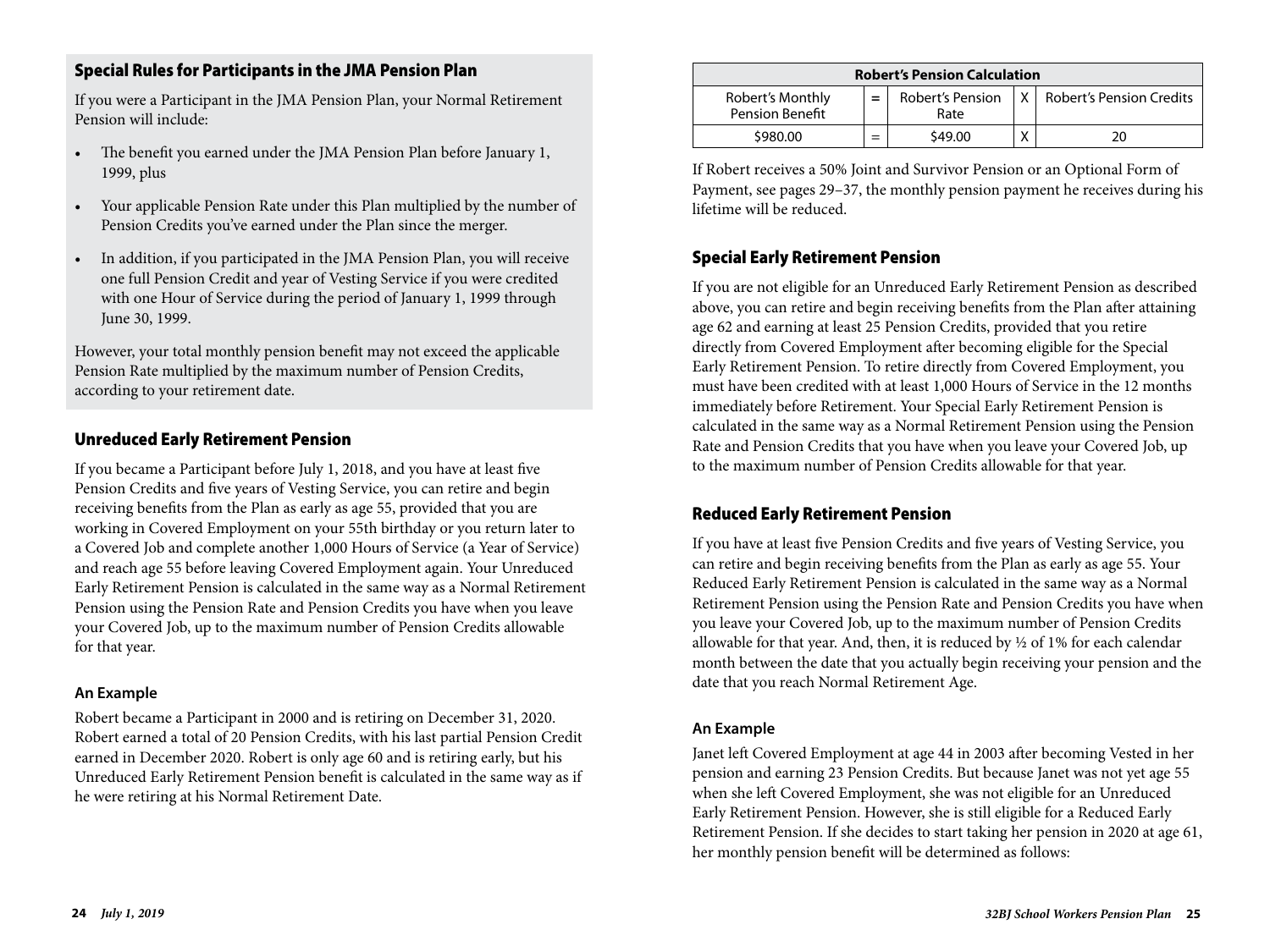## Special Rules for Participants in the JMA Pension Plan

If you were a Participant in the JMA Pension Plan, your Normal Retirement Pension will include:

- The benefit you earned under the JMA Pension Plan before January 1, 1999, plus
- Your applicable Pension Rate under this Plan multiplied by the number of Pension Credits you've earned under the Plan since the merger.
- In addition, if you participated in the JMA Pension Plan, you will receive one full Pension Credit and year of Vesting Service if you were credited with one Hour of Service during the period of January 1, 1999 through June 30, 1999.

However, your total monthly pension benefit may not exceed the applicable Pension Rate multiplied by the maximum number of Pension Credits, according to your retirement date.

## Unreduced Early Retirement Pension

If you became a Participant before July 1, 2018, and you have at least five Pension Credits and five years of Vesting Service, you can retire and begin receiving benefits from the Plan as early as age 55, provided that you are working in Covered Employment on your 55th birthday or you return later to a Covered Job and complete another 1,000 Hours of Service (a Year of Service) and reach age 55 before leaving Covered Employment again. Your Unreduced Early Retirement Pension is calculated in the same way as a Normal Retirement Pension using the Pension Rate and Pension Credits you have when you leave your Covered Job, up to the maximum number of Pension Credits allowable for that year.

### **An Example**

Robert became a Participant in 2000 and is retiring on December 31, 2020. Robert earned a total of 20 Pension Credits, with his last partial Pension Credit earned in December 2020. Robert is only age 60 and is retiring early, but his Unreduced Early Retirement Pension benefit is calculated in the same way as if he were retiring at his Normal Retirement Date.

| <b>Robert's Pension Calculation</b>        |     |                          |   |                              |  |  |  |  |
|--------------------------------------------|-----|--------------------------|---|------------------------------|--|--|--|--|
| Robert's Monthly<br><b>Pension Benefit</b> | $=$ | Robert's Pension<br>Rate |   | X   Robert's Pension Credits |  |  |  |  |
| \$980.00                                   |     | \$49.00                  | v | 20                           |  |  |  |  |

If Robert receives a 50% Joint and Survivor Pension or an Optional Form of Payment, see pages 29–37, the monthly pension payment he receives during his lifetime will be reduced.

## Special Early Retirement Pension

If you are not eligible for an Unreduced Early Retirement Pension as described above, you can retire and begin receiving benefits from the Plan after attaining age 62 and earning at least 25 Pension Credits, provided that you retire directly from Covered Employment after becoming eligible for the Special Early Retirement Pension. To retire directly from Covered Employment, you must have been credited with at least 1,000 Hours of Service in the 12 months immediately before Retirement. Your Special Early Retirement Pension is calculated in the same way as a Normal Retirement Pension using the Pension Rate and Pension Credits that you have when you leave your Covered Job, up to the maximum number of Pension Credits allowable for that year.

### Reduced Early Retirement Pension

If you have at least five Pension Credits and five years of Vesting Service, you can retire and begin receiving benefits from the Plan as early as age 55. Your Reduced Early Retirement Pension is calculated in the same way as a Normal Retirement Pension using the Pension Rate and Pension Credits you have when you leave your Covered Job, up to the maximum number of Pension Credits allowable for that year. And, then, it is reduced by ½ of 1% for each calendar month between the date that you actually begin receiving your pension and the date that you reach Normal Retirement Age.

#### **An Example**

Janet left Covered Employment at age 44 in 2003 after becoming Vested in her pension and earning 23 Pension Credits. But because Janet was not yet age 55 when she left Covered Employment, she was not eligible for an Unreduced Early Retirement Pension. However, she is still eligible for a Reduced Early Retirement Pension. If she decides to start taking her pension in 2020 at age 61, her monthly pension benefit will be determined as follows: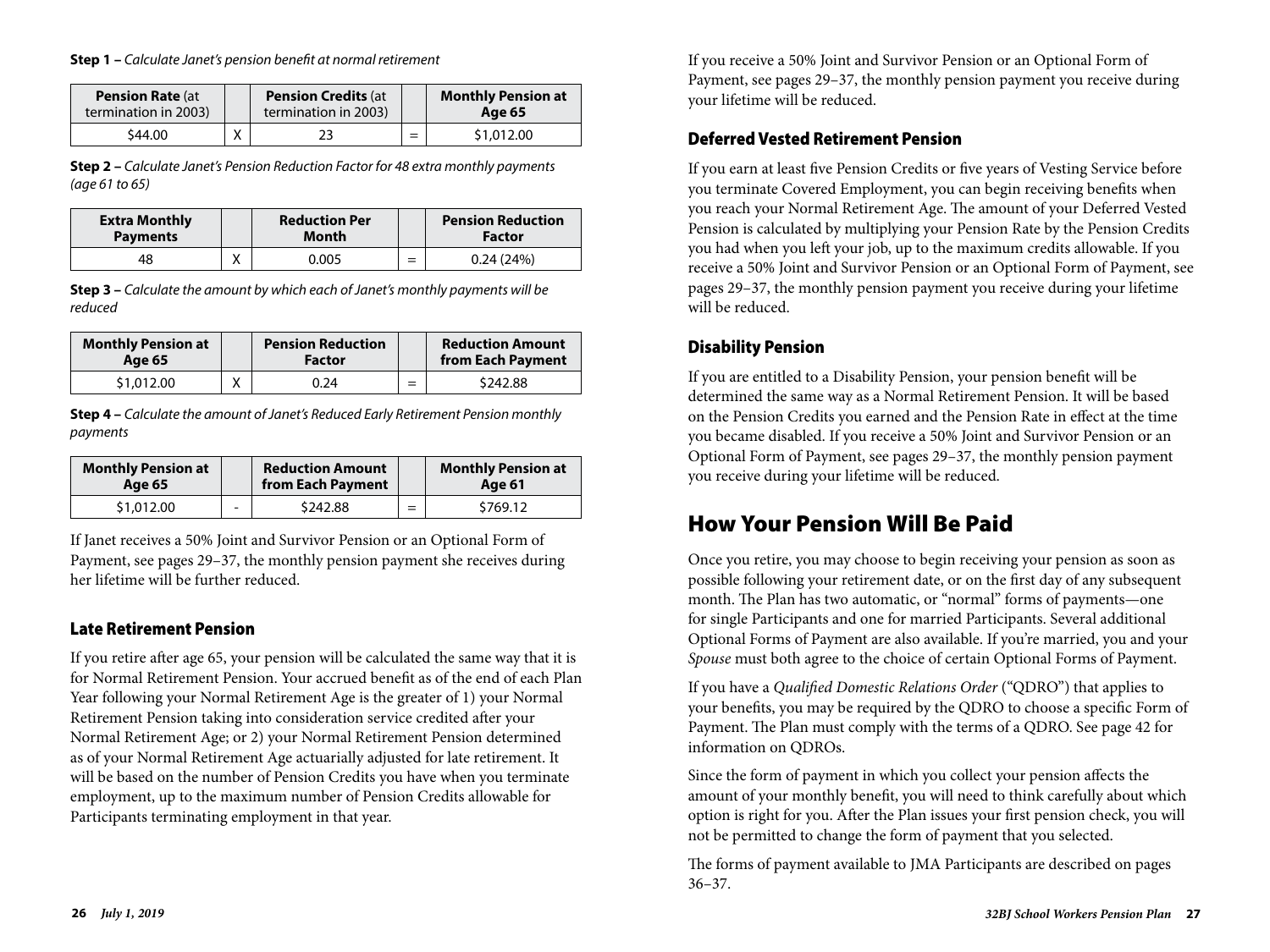#### **Step 1 –** *Calculate Janet's pension benefit at normal retirement*

| <b>Pension Rate (at</b><br>termination in 2003) | <b>Pension Credits (at</b><br>termination in 2003) |     | <b>Monthly Pension at</b><br>Age 65 |
|-------------------------------------------------|----------------------------------------------------|-----|-------------------------------------|
| \$44.00                                         | 23                                                 | $=$ | \$1,012.00                          |

**Step 2 –** *Calculate Janet's Pension Reduction Factor for 48 extra monthly payments (age 61 to 65)*

| <b>Extra Monthly</b><br><b>Payments</b> | <b>Reduction Per</b><br>Month |                               | <b>Pension Reduction</b><br><b>Factor</b> |
|-----------------------------------------|-------------------------------|-------------------------------|-------------------------------------------|
| 48                                      | 0.005                         | $\overline{\phantom{0}}$<br>= | 0.24(24%)                                 |

**Step 3 –** *Calculate the amount by which each of Janet's monthly payments will be reduced*

| <b>Monthly Pension at</b><br>Age 65 | <b>Pension Reduction</b><br><b>Factor</b> |     | <b>Reduction Amount</b><br>from Each Payment |
|-------------------------------------|-------------------------------------------|-----|----------------------------------------------|
| \$1,012.00                          | 0.24                                      | $=$ | \$242.88                                     |

**Step 4 –** *Calculate the amount of Janet's Reduced Early Retirement Pension monthly payments*

| <b>Monthly Pension at</b> |                          | <b>Reduction Amount</b> |   | <b>Monthly Pension at</b> |
|---------------------------|--------------------------|-------------------------|---|---------------------------|
| Age 65                    |                          | from Each Payment       |   | Age 61                    |
| \$1,012.00                | $\overline{\phantom{0}}$ | \$242.88                | - | \$769.12                  |

If Janet receives a 50% Joint and Survivor Pension or an Optional Form of Payment, see pages 29–37, the monthly pension payment she receives during her lifetime will be further reduced.

### Late Retirement Pension

If you retire after age 65, your pension will be calculated the same way that it is for Normal Retirement Pension. Your accrued benefit as of the end of each Plan Year following your Normal Retirement Age is the greater of 1) your Normal Retirement Pension taking into consideration service credited after your Normal Retirement Age; or 2) your Normal Retirement Pension determined as of your Normal Retirement Age actuarially adjusted for late retirement. It will be based on the number of Pension Credits you have when you terminate employment, up to the maximum number of Pension Credits allowable for Participants terminating employment in that year.

If you receive a 50% Joint and Survivor Pension or an Optional Form of Payment, see pages 29–37, the monthly pension payment you receive during your lifetime will be reduced.

#### Deferred Vested Retirement Pension

If you earn at least five Pension Credits or five years of Vesting Service before you terminate Covered Employment, you can begin receiving benefits when you reach your Normal Retirement Age. The amount of your Deferred Vested Pension is calculated by multiplying your Pension Rate by the Pension Credits you had when you left your job, up to the maximum credits allowable. If you receive a 50% Joint and Survivor Pension or an Optional Form of Payment, see pages 29–37, the monthly pension payment you receive during your lifetime will be reduced.

## Disability Pension

If you are entitled to a Disability Pension, your pension benefit will be determined the same way as a Normal Retirement Pension. It will be based on the Pension Credits you earned and the Pension Rate in effect at the time you became disabled. If you receive a 50% Joint and Survivor Pension or an Optional Form of Payment, see pages 29–37, the monthly pension payment you receive during your lifetime will be reduced.

## How Your Pension Will Be Paid

Once you retire, you may choose to begin receiving your pension as soon as possible following your retirement date, or on the first day of any subsequent month. The Plan has two automatic, or "normal" forms of payments—one for single Participants and one for married Participants. Several additional Optional Forms of Payment are also available. If you're married, you and your *Spouse* must both agree to the choice of certain Optional Forms of Payment.

If you have a *Qualified Domestic Relations Order* ("QDRO") that applies to your benefits, you may be required by the QDRO to choose a specific Form of Payment. The Plan must comply with the terms of a QDRO. See page 42 for information on QDROs.

Since the form of payment in which you collect your pension affects the amount of your monthly benefit, you will need to think carefully about which option is right for you. After the Plan issues your first pension check, you will not be permitted to change the form of payment that you selected.

The forms of payment available to JMA Participants are described on pages 36–37.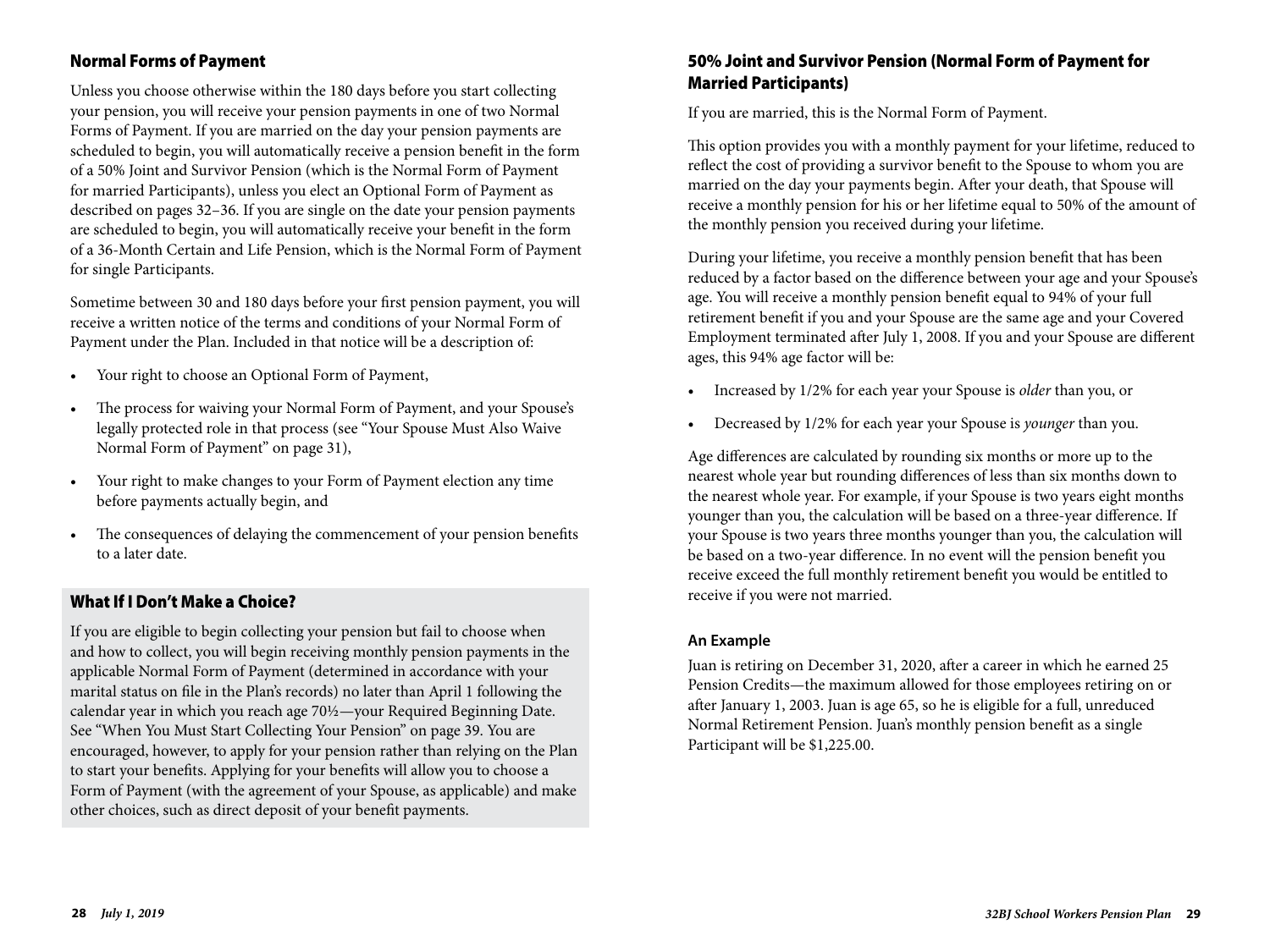## Normal Forms of Payment

Unless you choose otherwise within the 180 days before you start collecting your pension, you will receive your pension payments in one of two Normal Forms of Payment. If you are married on the day your pension payments are scheduled to begin, you will automatically receive a pension benefit in the form of a 50% Joint and Survivor Pension (which is the Normal Form of Payment for married Participants), unless you elect an Optional Form of Payment as described on pages 32–36. If you are single on the date your pension payments are scheduled to begin, you will automatically receive your benefit in the form of a 36-Month Certain and Life Pension, which is the Normal Form of Payment for single Participants.

Sometime between 30 and 180 days before your first pension payment, you will receive a written notice of the terms and conditions of your Normal Form of Payment under the Plan. Included in that notice will be a description of:

- Your right to choose an Optional Form of Payment,
- The process for waiving your Normal Form of Payment, and your Spouse's legally protected role in that process (see "Your Spouse Must Also Waive Normal Form of Payment" on page 31),
- Your right to make changes to your Form of Payment election any time before payments actually begin, and
- The consequences of delaying the commencement of your pension benefits to a later date.

#### What If I Don't Make a Choice?

If you are eligible to begin collecting your pension but fail to choose when and how to collect, you will begin receiving monthly pension payments in the applicable Normal Form of Payment (determined in accordance with your marital status on file in the Plan's records) no later than April 1 following the calendar year in which you reach age 70½—your Required Beginning Date. See "When You Must Start Collecting Your Pension" on page 39. You are encouraged, however, to apply for your pension rather than relying on the Plan to start your benefits. Applying for your benefits will allow you to choose a Form of Payment (with the agreement of your Spouse, as applicable) and make other choices, such as direct deposit of your benefit payments.

#### 50% Joint and Survivor Pension (Normal Form of Payment for Married Participants)

If you are married, this is the Normal Form of Payment.

This option provides you with a monthly payment for your lifetime, reduced to reflect the cost of providing a survivor benefit to the Spouse to whom you are married on the day your payments begin. After your death, that Spouse will receive a monthly pension for his or her lifetime equal to 50% of the amount of the monthly pension you received during your lifetime.

During your lifetime, you receive a monthly pension benefit that has been reduced by a factor based on the difference between your age and your Spouse's age. You will receive a monthly pension benefit equal to 94% of your full retirement benefit if you and your Spouse are the same age and your Covered Employment terminated after July 1, 2008. If you and your Spouse are different ages, this 94% age factor will be:

- Increased by 1/2% for each year your Spouse is *older* than you, or
- Decreased by 1/2% for each year your Spouse is *younger* than you.

Age differences are calculated by rounding six months or more up to the nearest whole year but rounding differences of less than six months down to the nearest whole year. For example, if your Spouse is two years eight months younger than you, the calculation will be based on a three-year difference. If your Spouse is two years three months younger than you, the calculation will be based on a two-year difference. In no event will the pension benefit you receive exceed the full monthly retirement benefit you would be entitled to receive if you were not married.

#### **An Example**

Juan is retiring on December 31, 2020, after a career in which he earned 25 Pension Credits—the maximum allowed for those employees retiring on or after January 1, 2003. Juan is age 65, so he is eligible for a full, unreduced Normal Retirement Pension. Juan's monthly pension benefit as a single Participant will be \$1,225.00.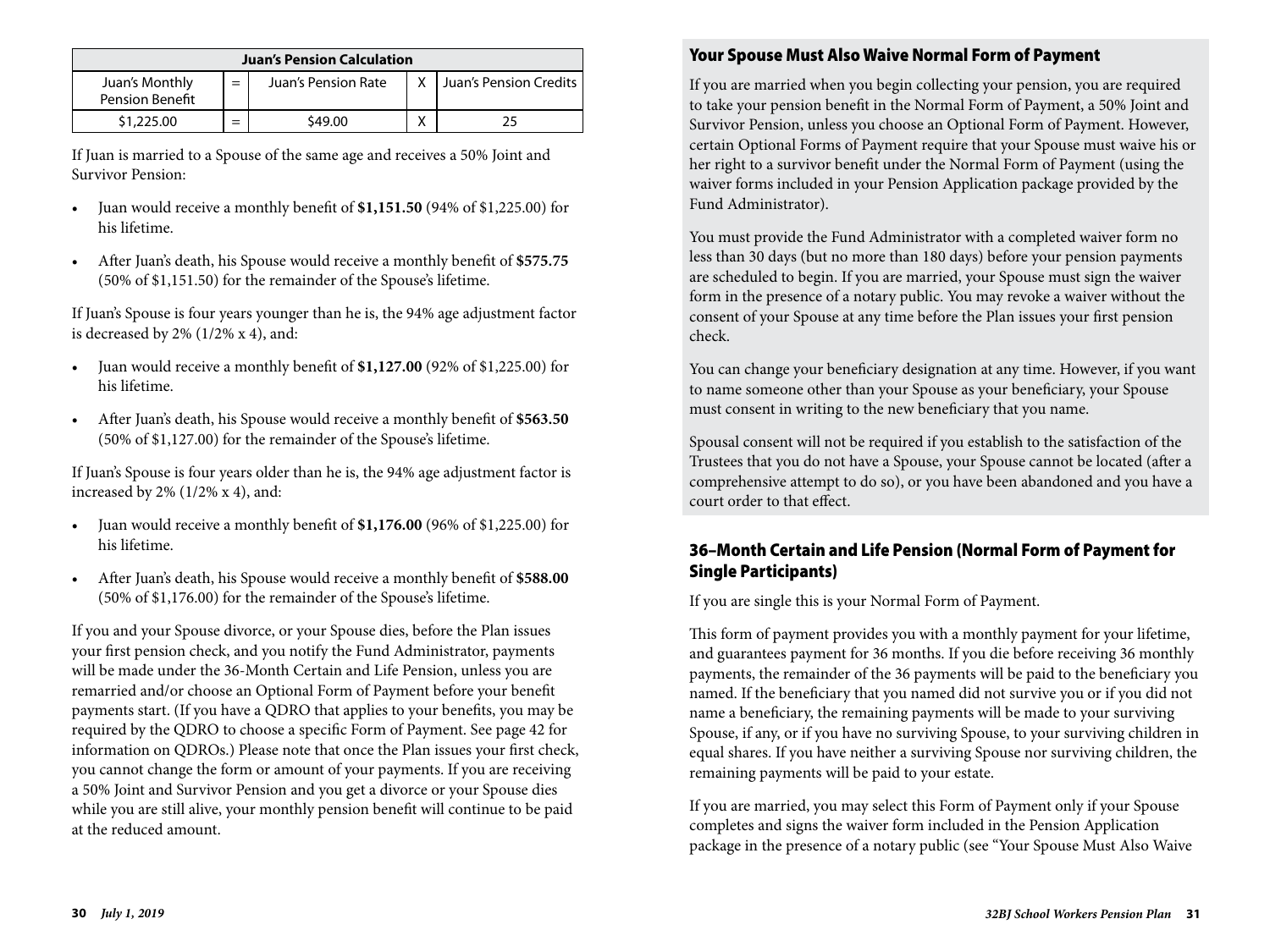| <b>Juan's Pension Calculation</b> |     |                     |  |                        |
|-----------------------------------|-----|---------------------|--|------------------------|
| Juan's Monthly<br>Pension Benefit | $=$ | Juan's Pension Rate |  | Juan's Pension Credits |
| \$1,225.00                        | $=$ | \$49.00             |  |                        |

If Juan is married to a Spouse of the same age and receives a 50% Joint and Survivor Pension:

- Juan would receive a monthly benefit of **\$1,151.50** (94% of \$1,225.00) for his lifetime.
- After Juan's death, his Spouse would receive a monthly benefit of **\$575.75** (50% of \$1,151.50) for the remainder of the Spouse's lifetime.

If Juan's Spouse is four years younger than he is, the 94% age adjustment factor is decreased by  $2\%$  (1/2% x 4), and:

- Juan would receive a monthly benefit of **\$1,127.00** (92% of \$1,225.00) for his lifetime.
- After Juan's death, his Spouse would receive a monthly benefit of **\$563.50** (50% of \$1,127.00) for the remainder of the Spouse's lifetime.

If Juan's Spouse is four years older than he is, the 94% age adjustment factor is increased by 2% (1/2% x 4), and:

- Juan would receive a monthly benefit of **\$1,176.00** (96% of \$1,225.00) for his lifetime.
- After Juan's death, his Spouse would receive a monthly benefit of **\$588.00** (50% of \$1,176.00) for the remainder of the Spouse's lifetime.

If you and your Spouse divorce, or your Spouse dies, before the Plan issues your first pension check, and you notify the Fund Administrator, payments will be made under the 36-Month Certain and Life Pension, unless you are remarried and/or choose an Optional Form of Payment before your benefit payments start. (If you have a QDRO that applies to your benefits, you may be required by the QDRO to choose a specific Form of Payment. See page 42 for information on QDROs.) Please note that once the Plan issues your first check, you cannot change the form or amount of your payments. If you are receiving a 50% Joint and Survivor Pension and you get a divorce or your Spouse dies while you are still alive, your monthly pension benefit will continue to be paid at the reduced amount.

## Your Spouse Must Also Waive Normal Form of Payment

If you are married when you begin collecting your pension, you are required to take your pension benefit in the Normal Form of Payment, a 50% Joint and Survivor Pension, unless you choose an Optional Form of Payment. However, certain Optional Forms of Payment require that your Spouse must waive his or her right to a survivor benefit under the Normal Form of Payment (using the waiver forms included in your Pension Application package provided by the Fund Administrator).

You must provide the Fund Administrator with a completed waiver form no less than 30 days (but no more than 180 days) before your pension payments are scheduled to begin. If you are married, your Spouse must sign the waiver form in the presence of a notary public. You may revoke a waiver without the consent of your Spouse at any time before the Plan issues your first pension check.

You can change your beneficiary designation at any time. However, if you want to name someone other than your Spouse as your beneficiary, your Spouse must consent in writing to the new beneficiary that you name.

Spousal consent will not be required if you establish to the satisfaction of the Trustees that you do not have a Spouse, your Spouse cannot be located (after a comprehensive attempt to do so), or you have been abandoned and you have a court order to that effect.

## 36–Month Certain and Life Pension (Normal Form of Payment for Single Participants)

If you are single this is your Normal Form of Payment.

This form of payment provides you with a monthly payment for your lifetime, and guarantees payment for 36 months. If you die before receiving 36 monthly payments, the remainder of the 36 payments will be paid to the beneficiary you named. If the beneficiary that you named did not survive you or if you did not name a beneficiary, the remaining payments will be made to your surviving Spouse, if any, or if you have no surviving Spouse, to your surviving children in equal shares. If you have neither a surviving Spouse nor surviving children, the remaining payments will be paid to your estate.

If you are married, you may select this Form of Payment only if your Spouse completes and signs the waiver form included in the Pension Application package in the presence of a notary public (see "Your Spouse Must Also Waive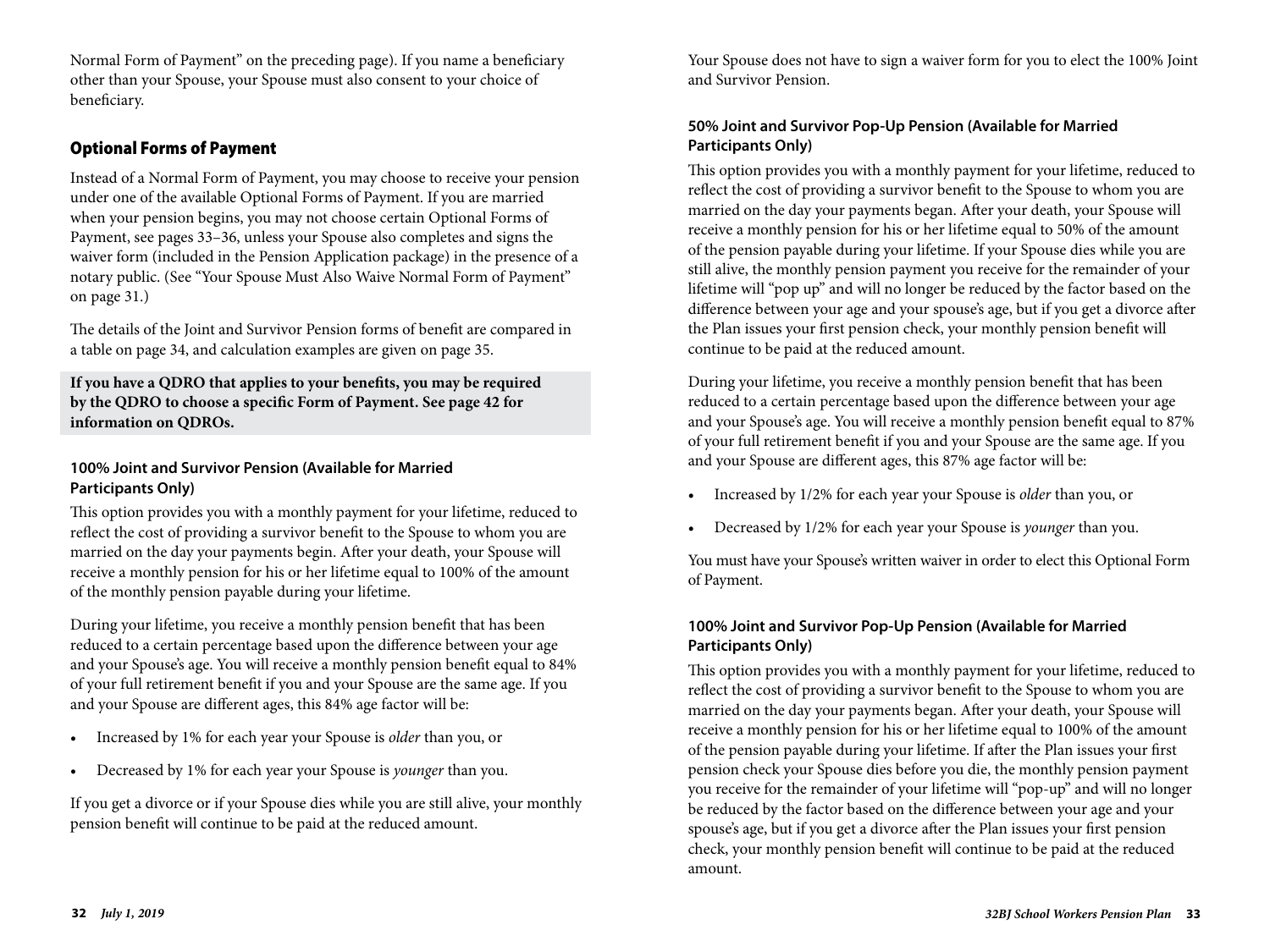Normal Form of Payment" on the preceding page). If you name a beneficiary other than your Spouse, your Spouse must also consent to your choice of beneficiary.

## Optional Forms of Payment

Instead of a Normal Form of Payment, you may choose to receive your pension under one of the available Optional Forms of Payment. If you are married when your pension begins, you may not choose certain Optional Forms of Payment, see pages 33–36, unless your Spouse also completes and signs the waiver form (included in the Pension Application package) in the presence of a notary public. (See "Your Spouse Must Also Waive Normal Form of Payment" on page 31.)

The details of the Joint and Survivor Pension forms of benefit are compared in a table on page 34, and calculation examples are given on page 35.

**If you have a QDRO that applies to your benefits, you may be required by the QDRO to choose a specific Form of Payment. See page 42 for information on QDROs.** 

#### **100% Joint and Survivor Pension (Available for Married Participants Only)**

This option provides you with a monthly payment for your lifetime, reduced to reflect the cost of providing a survivor benefit to the Spouse to whom you are married on the day your payments begin. After your death, your Spouse will receive a monthly pension for his or her lifetime equal to 100% of the amount of the monthly pension payable during your lifetime.

During your lifetime, you receive a monthly pension benefit that has been reduced to a certain percentage based upon the difference between your age and your Spouse's age. You will receive a monthly pension benefit equal to 84% of your full retirement benefit if you and your Spouse are the same age. If you and your Spouse are different ages, this 84% age factor will be:

- Increased by 1% for each year your Spouse is *older* than you, or
- Decreased by 1% for each year your Spouse is *younger* than you.

If you get a divorce or if your Spouse dies while you are still alive, your monthly pension benefit will continue to be paid at the reduced amount.

Your Spouse does not have to sign a waiver form for you to elect the 100% Joint and Survivor Pension.

## **50% Joint and Survivor Pop-Up Pension (Available for Married Participants Only)**

This option provides you with a monthly payment for your lifetime, reduced to reflect the cost of providing a survivor benefit to the Spouse to whom you are married on the day your payments began. After your death, your Spouse will receive a monthly pension for his or her lifetime equal to 50% of the amount of the pension payable during your lifetime. If your Spouse dies while you are still alive, the monthly pension payment you receive for the remainder of your lifetime will "pop up" and will no longer be reduced by the factor based on the difference between your age and your spouse's age, but if you get a divorce after the Plan issues your first pension check, your monthly pension benefit will continue to be paid at the reduced amount.

During your lifetime, you receive a monthly pension benefit that has been reduced to a certain percentage based upon the difference between your age and your Spouse's age. You will receive a monthly pension benefit equal to 87% of your full retirement benefit if you and your Spouse are the same age. If you and your Spouse are different ages, this 87% age factor will be:

- Increased by 1/2% for each year your Spouse is *older* than you, or
- Decreased by 1/2% for each year your Spouse is *younger* than you.

You must have your Spouse's written waiver in order to elect this Optional Form of Payment.

#### **100% Joint and Survivor Pop-Up Pension (Available for Married Participants Only)**

This option provides you with a monthly payment for your lifetime, reduced to reflect the cost of providing a survivor benefit to the Spouse to whom you are married on the day your payments began. After your death, your Spouse will receive a monthly pension for his or her lifetime equal to 100% of the amount of the pension payable during your lifetime. If after the Plan issues your first pension check your Spouse dies before you die, the monthly pension payment you receive for the remainder of your lifetime will "pop-up" and will no longer be reduced by the factor based on the difference between your age and your spouse's age, but if you get a divorce after the Plan issues your first pension check, your monthly pension benefit will continue to be paid at the reduced amount.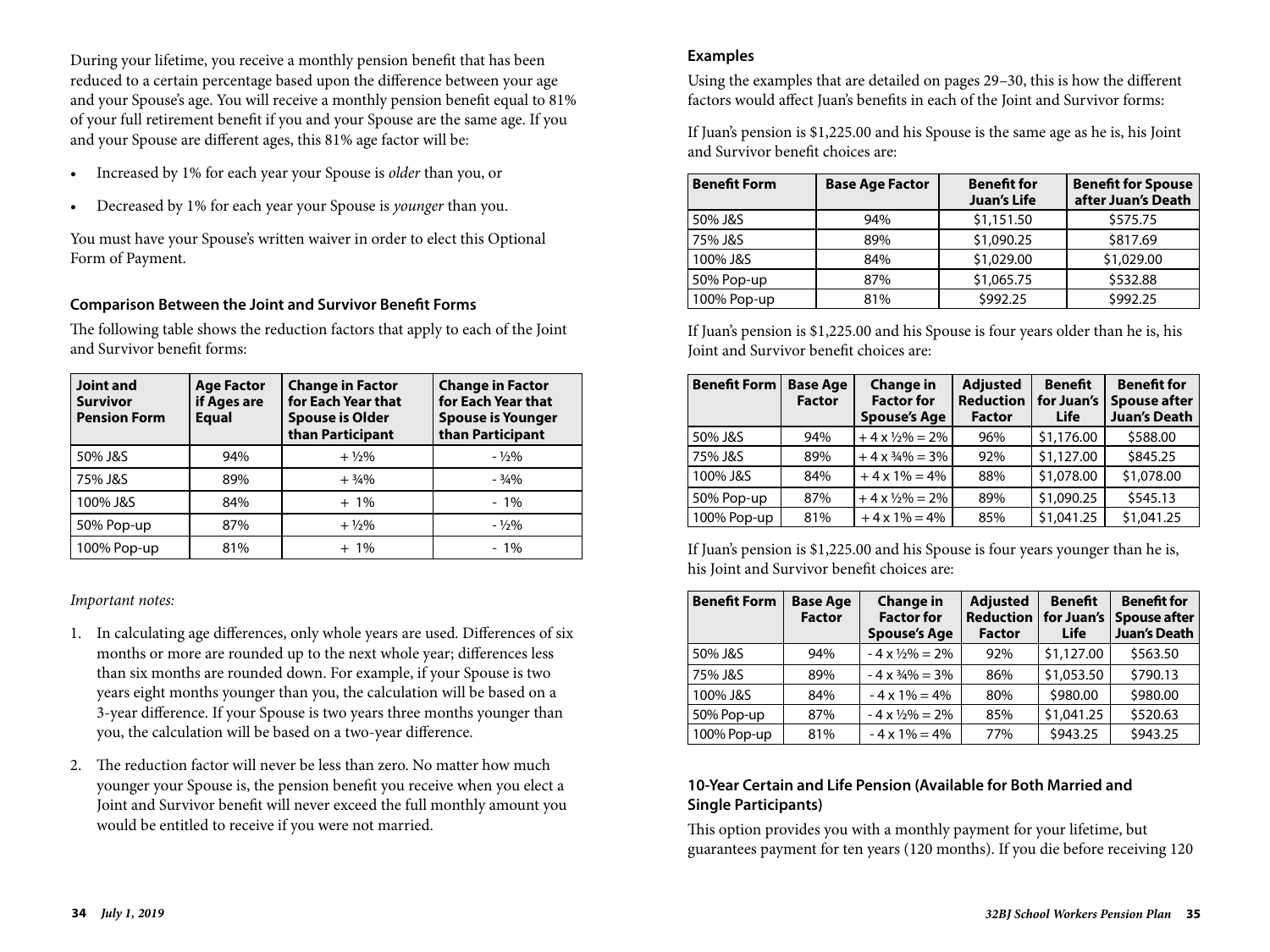During your lifetime, you receive a monthly pension benefit that has been reduced to a certain percentage based upon the difference between your age and your Spouse's age. You will receive a monthly pension benefit equal to 81% of your full retirement benefit if you and your Spouse are the same age. If you and your Spouse are different ages, this 81% age factor will be:

- Increased by 1% for each year your Spouse is *older* than you, or
- Decreased by 1% for each year your Spouse is *younger* than you.

You must have your Spouse's written waiver in order to elect this Optional Form of Payment.

#### **Comparison Between the Joint and Survivor Benefit Forms**

The following table shows the reduction factors that apply to each of the Joint and Survivor benefit forms:

| <b>Joint and</b><br><b>Survivor</b><br><b>Pension Form</b> | <b>Age Factor</b><br>if Ages are<br><b>Equal</b> | <b>Change in Factor</b><br>for Each Year that<br><b>Spouse is Older</b><br>than Participant | <b>Change in Factor</b><br>for Each Year that<br><b>Spouse is Younger</b><br>than Participant |
|------------------------------------------------------------|--------------------------------------------------|---------------------------------------------------------------------------------------------|-----------------------------------------------------------------------------------------------|
| 50% J&S                                                    | 94%                                              | $+ \frac{1}{2}\%$                                                                           | $-1/2\%$                                                                                      |
| 75% J&S                                                    | 89%                                              | $+3/4%$                                                                                     | $-3/4%$                                                                                       |
| 100% J&S                                                   | 84%                                              | $+1\%$                                                                                      | $-1\%$                                                                                        |
| 50% Pop-up                                                 | 87%                                              | $+ \frac{1}{2}\%$                                                                           | $-1/2%$                                                                                       |
| 100% Pop-up                                                | 81%                                              | $+1\%$                                                                                      | $-1\%$                                                                                        |

#### *Important notes:*

- 1. In calculating age differences, only whole years are used. Differences of six months or more are rounded up to the next whole year; differences less than six months are rounded down. For example, if your Spouse is two years eight months younger than you, the calculation will be based on a 3-year difference. If your Spouse is two years three months younger than you, the calculation will be based on a two-year difference.
- 2. The reduction factor will never be less than zero. No matter how much younger your Spouse is, the pension benefit you receive when you elect a Joint and Survivor benefit will never exceed the full monthly amount you would be entitled to receive if you were not married.

#### **Examples**

Using the examples that are detailed on pages 29–30, this is how the different factors would affect Juan's benefits in each of the Joint and Survivor forms:

If Juan's pension is \$1,225.00 and his Spouse is the same age as he is, his Joint and Survivor benefit choices are:

| <b>Benefit Form</b> | <b>Base Age Factor</b> | <b>Benefit for</b><br><b>Juan's Life</b> | <b>Benefit for Spouse</b><br>after Juan's Death |
|---------------------|------------------------|------------------------------------------|-------------------------------------------------|
| 50% J&S             | 94%                    | \$1,151.50                               | \$575.75                                        |
| 75% J&S             | 89%                    | \$1,090.25                               | \$817.69                                        |
| 100% J&S            | 84%                    | \$1,029.00                               | \$1,029.00                                      |
| 50% Pop-up          | 87%                    | \$1,065.75                               | \$532.88                                        |
| 100% Pop-up         | 81%                    | \$992.25                                 | \$992.25                                        |

If Juan's pension is \$1,225.00 and his Spouse is four years older than he is, his Joint and Survivor benefit choices are:

| <b>Benefit Form</b> | <b>Base Age</b><br><b>Factor</b> | <b>Change in</b><br><b>Factor for</b><br><b>Spouse's Age</b> | <b>Adjusted</b><br><b>Reduction</b><br><b>Factor</b> | <b>Benefit</b><br>for Juan's<br><b>Life</b> | <b>Benefit for</b><br><b>Spouse after</b><br><b>Juan's Death</b> |
|---------------------|----------------------------------|--------------------------------------------------------------|------------------------------------------------------|---------------------------------------------|------------------------------------------------------------------|
| 50% J&S             | 94%                              | $+4x\frac{1}{2}\% = 2\%$                                     | 96%                                                  | \$1,176.00                                  | \$588.00                                                         |
| 75% J&S             | 89%                              | $+4x\frac{3}{4}\% = 3\%$                                     | 92%                                                  | \$1,127.00                                  | \$845.25                                                         |
| 100% J&S            | 84%                              | $+4x1\% = 4\%$                                               | 88%                                                  | \$1,078.00                                  | \$1,078.00                                                       |
| 50% Pop-up          | 87%                              | $+4x\frac{1}{2}\% = 2\%$                                     | 89%                                                  | \$1,090.25                                  | \$545.13                                                         |
| 100% Pop-up         | 81%                              | $+4x1\% = 4\%$                                               | 85%                                                  | \$1,041.25                                  | \$1,041.25                                                       |

If Juan's pension is \$1,225.00 and his Spouse is four years younger than he is, his Joint and Survivor benefit choices are:

| <b>Benefit Form</b> | <b>Base Age</b><br><b>Factor</b> | <b>Change in</b><br><b>Factor for</b><br><b>Spouse's Age</b> | <b>Adjusted</b><br><b>Reduction</b><br><b>Factor</b> | <b>Benefit</b><br>for Juan's<br>Life | <b>Benefit for</b><br><b>Spouse after</b><br><b>Juan's Death</b> |
|---------------------|----------------------------------|--------------------------------------------------------------|------------------------------------------------------|--------------------------------------|------------------------------------------------------------------|
| 50% J&S             | 94%                              | $-4 \times \frac{1}{2}\% = 2\%$                              | 92%                                                  | \$1,127.00                           | \$563.50                                                         |
| 75% J&S             | 89%                              | $-4 \times \frac{3}{4}\% = 3\%$                              | 86%                                                  | \$1,053.50                           | \$790.13                                                         |
| 100% J&S            | 84%                              | $-4 \times 1\% = 4\%$                                        | 80%                                                  | \$980.00                             | \$980.00                                                         |
| 50% Pop-up          | 87%                              | $-4 \times \frac{1}{2}\% = 2\%$                              | 85%                                                  | \$1,041.25                           | \$520.63                                                         |
| 100% Pop-up         | 81%                              | $-4 \times 1\% = 4\%$                                        | 77%                                                  | \$943.25                             | \$943.25                                                         |

#### **10-Year Certain and Life Pension (Available for Both Married and Single Participants)**

This option provides you with a monthly payment for your lifetime, but guarantees payment for ten years (120 months). If you die before receiving 120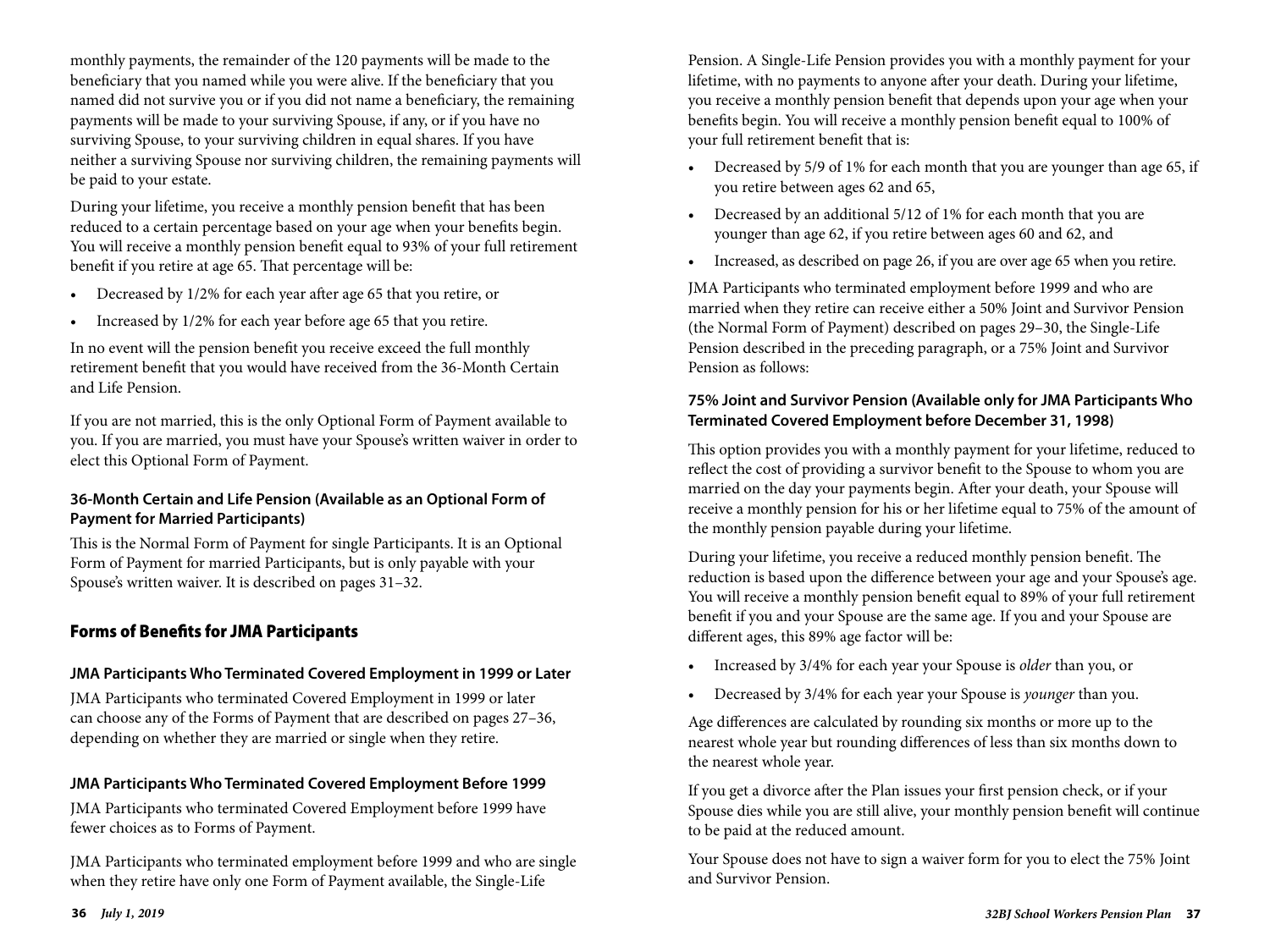monthly payments, the remainder of the 120 payments will be made to the beneficiary that you named while you were alive. If the beneficiary that you named did not survive you or if you did not name a beneficiary, the remaining payments will be made to your surviving Spouse, if any, or if you have no surviving Spouse, to your surviving children in equal shares. If you have neither a surviving Spouse nor surviving children, the remaining payments will be paid to your estate.

During your lifetime, you receive a monthly pension benefit that has been reduced to a certain percentage based on your age when your benefits begin. You will receive a monthly pension benefit equal to 93% of your full retirement benefit if you retire at age 65. That percentage will be:

- Decreased by 1/2% for each year after age 65 that you retire, or
- Increased by 1/2% for each year before age 65 that you retire.

In no event will the pension benefit you receive exceed the full monthly retirement benefit that you would have received from the 36-Month Certain and Life Pension.

If you are not married, this is the only Optional Form of Payment available to you. If you are married, you must have your Spouse's written waiver in order to elect this Optional Form of Payment.

#### **36-Month Certain and Life Pension (Available as an Optional Form of Payment for Married Participants)**

This is the Normal Form of Payment for single Participants. It is an Optional Form of Payment for married Participants, but is only payable with your Spouse's written waiver. It is described on pages 31–32.

### Forms of Benefits for JMA Participants

#### **JMA Participants Who Terminated Covered Employment in 1999 or Later**

JMA Participants who terminated Covered Employment in 1999 or later can choose any of the Forms of Payment that are described on pages 27–36, depending on whether they are married or single when they retire.

#### **JMA Participants Who Terminated Covered Employment Before 1999**

JMA Participants who terminated Covered Employment before 1999 have fewer choices as to Forms of Payment.

JMA Participants who terminated employment before 1999 and who are single when they retire have only one Form of Payment available, the Single-Life

Pension. A Single-Life Pension provides you with a monthly payment for your lifetime, with no payments to anyone after your death. During your lifetime, you receive a monthly pension benefit that depends upon your age when your benefits begin. You will receive a monthly pension benefit equal to 100% of your full retirement benefit that is:

- Decreased by 5/9 of 1% for each month that you are younger than age 65, if you retire between ages 62 and 65,
- Decreased by an additional 5/12 of 1% for each month that you are younger than age 62, if you retire between ages 60 and 62, and
- Increased, as described on page 26, if you are over age 65 when you retire.

JMA Participants who terminated employment before 1999 and who are married when they retire can receive either a 50% Joint and Survivor Pension (the Normal Form of Payment) described on pages 29–30, the Single-Life Pension described in the preceding paragraph, or a 75% Joint and Survivor Pension as follows:

#### **75% Joint and Survivor Pension (Available only for JMA Participants Who Terminated Covered Employment before December 31, 1998)**

This option provides you with a monthly payment for your lifetime, reduced to reflect the cost of providing a survivor benefit to the Spouse to whom you are married on the day your payments begin. After your death, your Spouse will receive a monthly pension for his or her lifetime equal to 75% of the amount of the monthly pension payable during your lifetime.

During your lifetime, you receive a reduced monthly pension benefit. The reduction is based upon the difference between your age and your Spouse's age. You will receive a monthly pension benefit equal to 89% of your full retirement benefit if you and your Spouse are the same age. If you and your Spouse are different ages, this 89% age factor will be:

- Increased by 3/4% for each year your Spouse is *older* than you, or
- Decreased by 3/4% for each year your Spouse is *younger* than you.

Age differences are calculated by rounding six months or more up to the nearest whole year but rounding differences of less than six months down to the nearest whole year.

If you get a divorce after the Plan issues your first pension check, or if your Spouse dies while you are still alive, your monthly pension benefit will continue to be paid at the reduced amount.

Your Spouse does not have to sign a waiver form for you to elect the 75% Joint and Survivor Pension.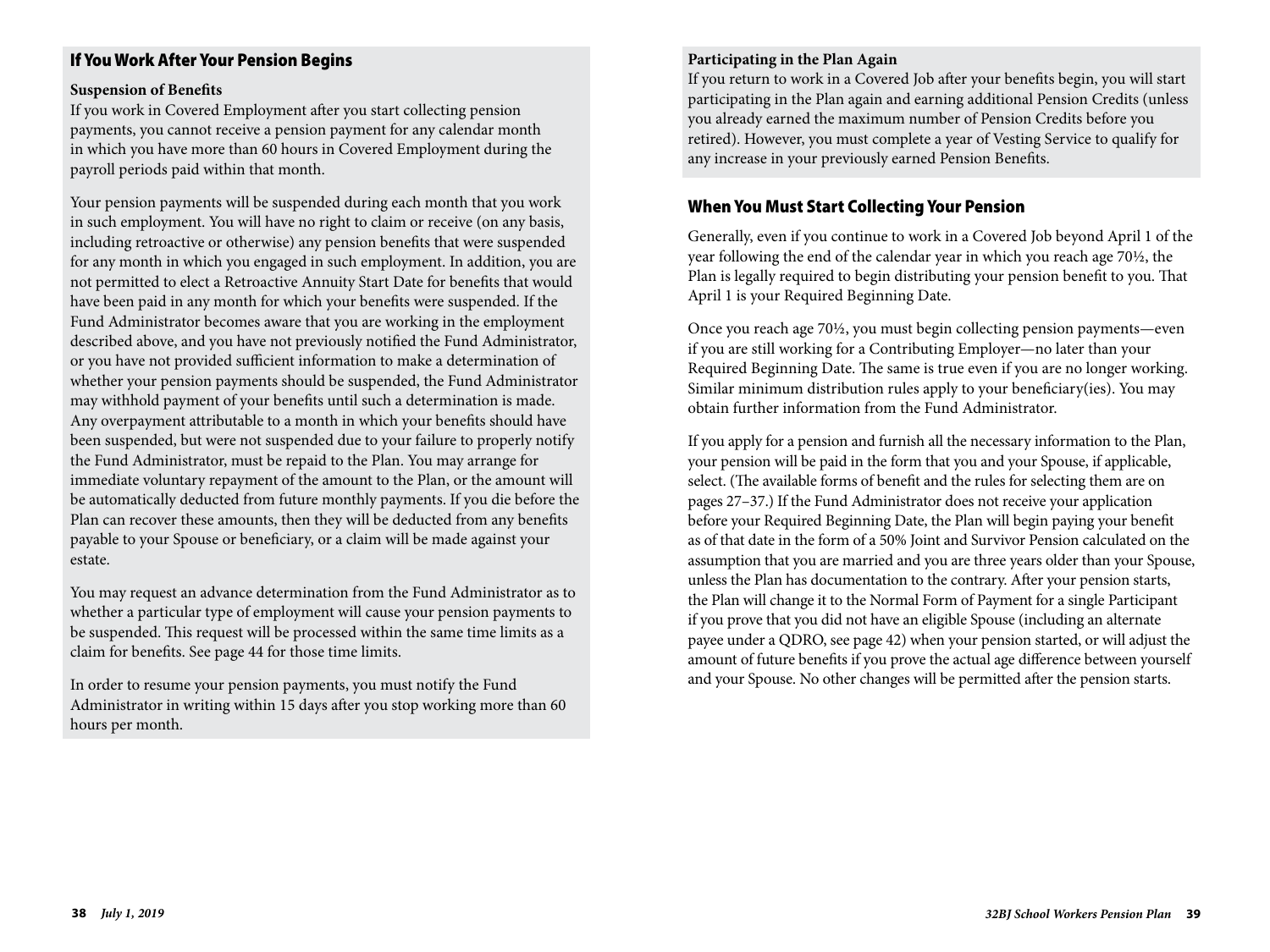## If You Work After Your Pension Begins

#### **Suspension of Benefits**

If you work in Covered Employment after you start collecting pension payments, you cannot receive a pension payment for any calendar month in which you have more than 60 hours in Covered Employment during the payroll periods paid within that month.

Your pension payments will be suspended during each month that you work in such employment. You will have no right to claim or receive (on any basis, including retroactive or otherwise) any pension benefits that were suspended for any month in which you engaged in such employment. In addition, you are not permitted to elect a Retroactive Annuity Start Date for benefits that would have been paid in any month for which your benefits were suspended. If the Fund Administrator becomes aware that you are working in the employment described above, and you have not previously notified the Fund Administrator, or you have not provided sufficient information to make a determination of whether your pension payments should be suspended, the Fund Administrator may withhold payment of your benefits until such a determination is made. Any overpayment attributable to a month in which your benefits should have been suspended, but were not suspended due to your failure to properly notify the Fund Administrator, must be repaid to the Plan. You may arrange for immediate voluntary repayment of the amount to the Plan, or the amount will be automatically deducted from future monthly payments. If you die before the Plan can recover these amounts, then they will be deducted from any benefits payable to your Spouse or beneficiary, or a claim will be made against your estate.

You may request an advance determination from the Fund Administrator as to whether a particular type of employment will cause your pension payments to be suspended. This request will be processed within the same time limits as a claim for benefits. See page 44 for those time limits.

In order to resume your pension payments, you must notify the Fund Administrator in writing within 15 days after you stop working more than 60 hours per month.

#### **Participating in the Plan Again**

If you return to work in a Covered Job after your benefits begin, you will start participating in the Plan again and earning additional Pension Credits (unless you already earned the maximum number of Pension Credits before you retired). However, you must complete a year of Vesting Service to qualify for any increase in your previously earned Pension Benefits.

#### When You Must Start Collecting Your Pension

Generally, even if you continue to work in a Covered Job beyond April 1 of the year following the end of the calendar year in which you reach age 70½, the Plan is legally required to begin distributing your pension benefit to you. That April 1 is your Required Beginning Date.

Once you reach age 70½, you must begin collecting pension payments—even if you are still working for a Contributing Employer—no later than your Required Beginning Date. The same is true even if you are no longer working. Similar minimum distribution rules apply to your beneficiary(ies). You may obtain further information from the Fund Administrator.

If you apply for a pension and furnish all the necessary information to the Plan, your pension will be paid in the form that you and your Spouse, if applicable, select. (The available forms of benefit and the rules for selecting them are on pages 27–37.) If the Fund Administrator does not receive your application before your Required Beginning Date, the Plan will begin paying your benefit as of that date in the form of a 50% Joint and Survivor Pension calculated on the assumption that you are married and you are three years older than your Spouse, unless the Plan has documentation to the contrary. After your pension starts, the Plan will change it to the Normal Form of Payment for a single Participant if you prove that you did not have an eligible Spouse (including an alternate payee under a QDRO, see page 42) when your pension started, or will adjust the amount of future benefits if you prove the actual age difference between yourself and your Spouse. No other changes will be permitted after the pension starts.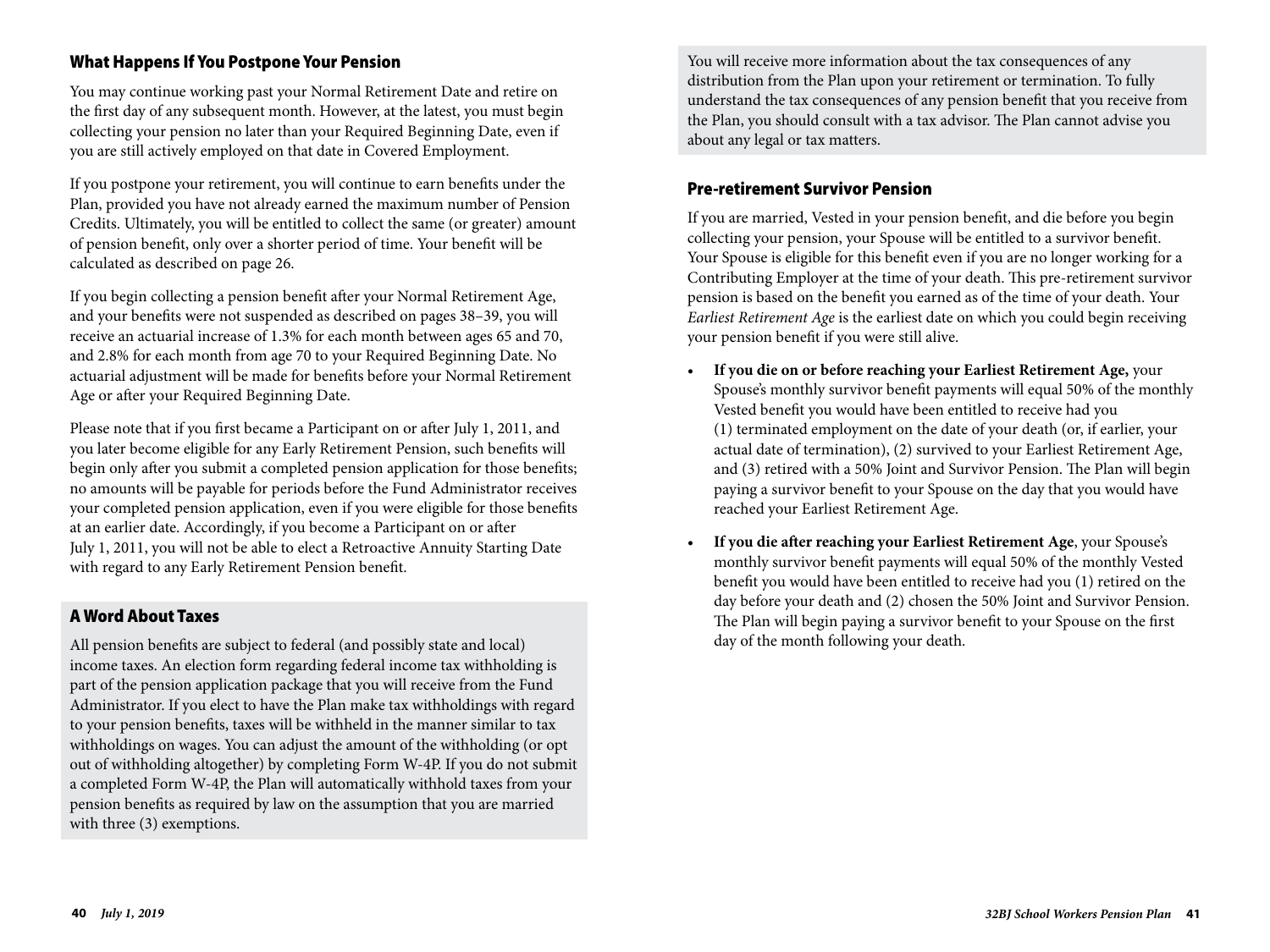## What Happens If You Postpone Your Pension

You may continue working past your Normal Retirement Date and retire on the first day of any subsequent month. However, at the latest, you must begin collecting your pension no later than your Required Beginning Date, even if you are still actively employed on that date in Covered Employment.

If you postpone your retirement, you will continue to earn benefits under the Plan, provided you have not already earned the maximum number of Pension Credits. Ultimately, you will be entitled to collect the same (or greater) amount of pension benefit, only over a shorter period of time. Your benefit will be calculated as described on page 26.

If you begin collecting a pension benefit after your Normal Retirement Age, and your benefits were not suspended as described on pages 38–39, you will receive an actuarial increase of 1.3% for each month between ages 65 and 70, and 2.8% for each month from age 70 to your Required Beginning Date. No actuarial adjustment will be made for benefits before your Normal Retirement Age or after your Required Beginning Date.

Please note that if you first became a Participant on or after July 1, 2011, and you later become eligible for any Early Retirement Pension, such benefits will begin only after you submit a completed pension application for those benefits; no amounts will be payable for periods before the Fund Administrator receives your completed pension application, even if you were eligible for those benefits at an earlier date. Accordingly, if you become a Participant on or after July 1, 2011, you will not be able to elect a Retroactive Annuity Starting Date with regard to any Early Retirement Pension benefit.

#### A Word About Taxes

All pension benefits are subject to federal (and possibly state and local) income taxes. An election form regarding federal income tax withholding is part of the pension application package that you will receive from the Fund Administrator. If you elect to have the Plan make tax withholdings with regard to your pension benefits, taxes will be withheld in the manner similar to tax withholdings on wages. You can adjust the amount of the withholding (or opt out of withholding altogether) by completing Form W-4P. If you do not submit a completed Form W-4P, the Plan will automatically withhold taxes from your pension benefits as required by law on the assumption that you are married with three (3) exemptions.

You will receive more information about the tax consequences of any distribution from the Plan upon your retirement or termination. To fully understand the tax consequences of any pension benefit that you receive from the Plan, you should consult with a tax advisor. The Plan cannot advise you about any legal or tax matters.

#### Pre-retirement Survivor Pension

If you are married, Vested in your pension benefit, and die before you begin collecting your pension, your Spouse will be entitled to a survivor benefit. Your Spouse is eligible for this benefit even if you are no longer working for a Contributing Employer at the time of your death. This pre-retirement survivor pension is based on the benefit you earned as of the time of your death. Your *Earliest Retirement Age* is the earliest date on which you could begin receiving your pension benefit if you were still alive.

- **If you die on or before reaching your Earliest Retirement Age,** your Spouse's monthly survivor benefit payments will equal 50% of the monthly Vested benefit you would have been entitled to receive had you (1) terminated employment on the date of your death (or, if earlier, your actual date of termination), (2) survived to your Earliest Retirement Age, and (3) retired with a 50% Joint and Survivor Pension. The Plan will begin paying a survivor benefit to your Spouse on the day that you would have reached your Earliest Retirement Age.
- **If you die after reaching your Earliest Retirement Age**, your Spouse's monthly survivor benefit payments will equal 50% of the monthly Vested benefit you would have been entitled to receive had you (1) retired on the day before your death and (2) chosen the 50% Joint and Survivor Pension. The Plan will begin paying a survivor benefit to your Spouse on the first day of the month following your death.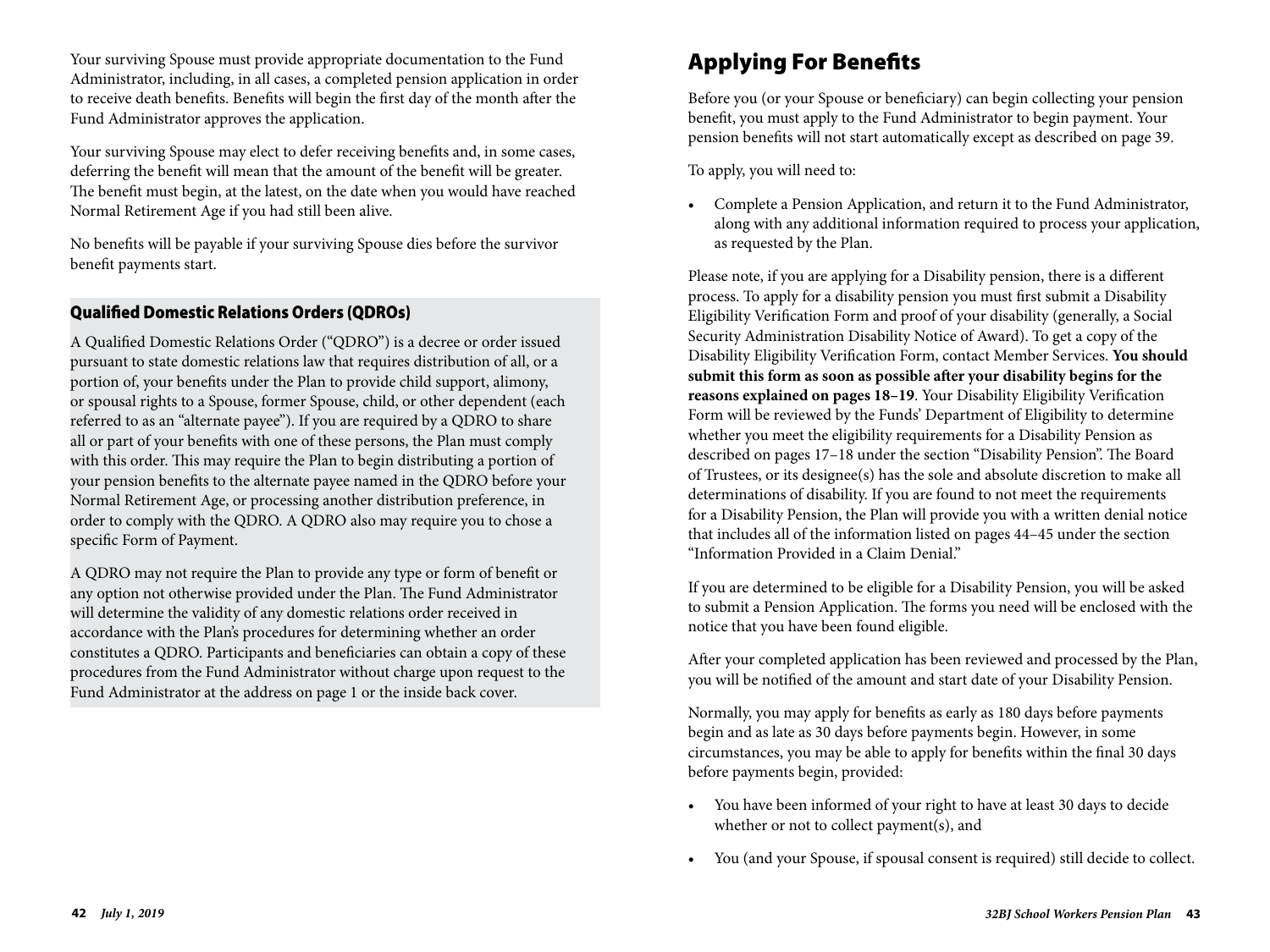Your surviving Spouse must provide appropriate documentation to the Fund Administrator, including, in all cases, a completed pension application in order to receive death benefits. Benefits will begin the first day of the month after the Fund Administrator approves the application.

Your surviving Spouse may elect to defer receiving benefits and, in some cases, deferring the benefit will mean that the amount of the benefit will be greater. The benefit must begin, at the latest, on the date when you would have reached Normal Retirement Age if you had still been alive.

No benefits will be payable if your surviving Spouse dies before the survivor benefit payments start.

## Qualified Domestic Relations Orders (QDROs)

A Qualified Domestic Relations Order ("QDRO") is a decree or order issued pursuant to state domestic relations law that requires distribution of all, or a portion of, your benefits under the Plan to provide child support, alimony, or spousal rights to a Spouse, former Spouse, child, or other dependent (each referred to as an "alternate payee"). If you are required by a QDRO to share all or part of your benefits with one of these persons, the Plan must comply with this order. This may require the Plan to begin distributing a portion of your pension benefits to the alternate payee named in the QDRO before your Normal Retirement Age, or processing another distribution preference, in order to comply with the QDRO. A QDRO also may require you to chose a specific Form of Payment.

A QDRO may not require the Plan to provide any type or form of benefit or any option not otherwise provided under the Plan. The Fund Administrator will determine the validity of any domestic relations order received in accordance with the Plan's procedures for determining whether an order constitutes a QDRO. Participants and beneficiaries can obtain a copy of these procedures from the Fund Administrator without charge upon request to the Fund Administrator at the address on page 1 or the inside back cover.

# Applying For Benefits

Before you (or your Spouse or beneficiary) can begin collecting your pension benefit, you must apply to the Fund Administrator to begin payment. Your pension benefits will not start automatically except as described on page 39.

To apply, you will need to:

• Complete a Pension Application, and return it to the Fund Administrator, along with any additional information required to process your application, as requested by the Plan.

Please note, if you are applying for a Disability pension, there is a different process. To apply for a disability pension you must first submit a Disability Eligibility Verification Form and proof of your disability (generally, a Social Security Administration Disability Notice of Award). To get a copy of the Disability Eligibility Verification Form, contact Member Services. **You should submit this form as soon as possible after your disability begins for the reasons explained on pages 18–19**. Your Disability Eligibility Verification Form will be reviewed by the Funds' Department of Eligibility to determine whether you meet the eligibility requirements for a Disability Pension as described on pages 17–18 under the section "Disability Pension". The Board of Trustees, or its designee(s) has the sole and absolute discretion to make all determinations of disability. If you are found to not meet the requirements for a Disability Pension, the Plan will provide you with a written denial notice that includes all of the information listed on pages 44–45 under the section "Information Provided in a Claim Denial."

If you are determined to be eligible for a Disability Pension, you will be asked to submit a Pension Application. The forms you need will be enclosed with the notice that you have been found eligible.

After your completed application has been reviewed and processed by the Plan, you will be notified of the amount and start date of your Disability Pension.

Normally, you may apply for benefits as early as 180 days before payments begin and as late as 30 days before payments begin. However, in some circumstances, you may be able to apply for benefits within the final 30 days before payments begin, provided:

- You have been informed of your right to have at least 30 days to decide whether or not to collect payment(s), and
- You (and your Spouse, if spousal consent is required) still decide to collect.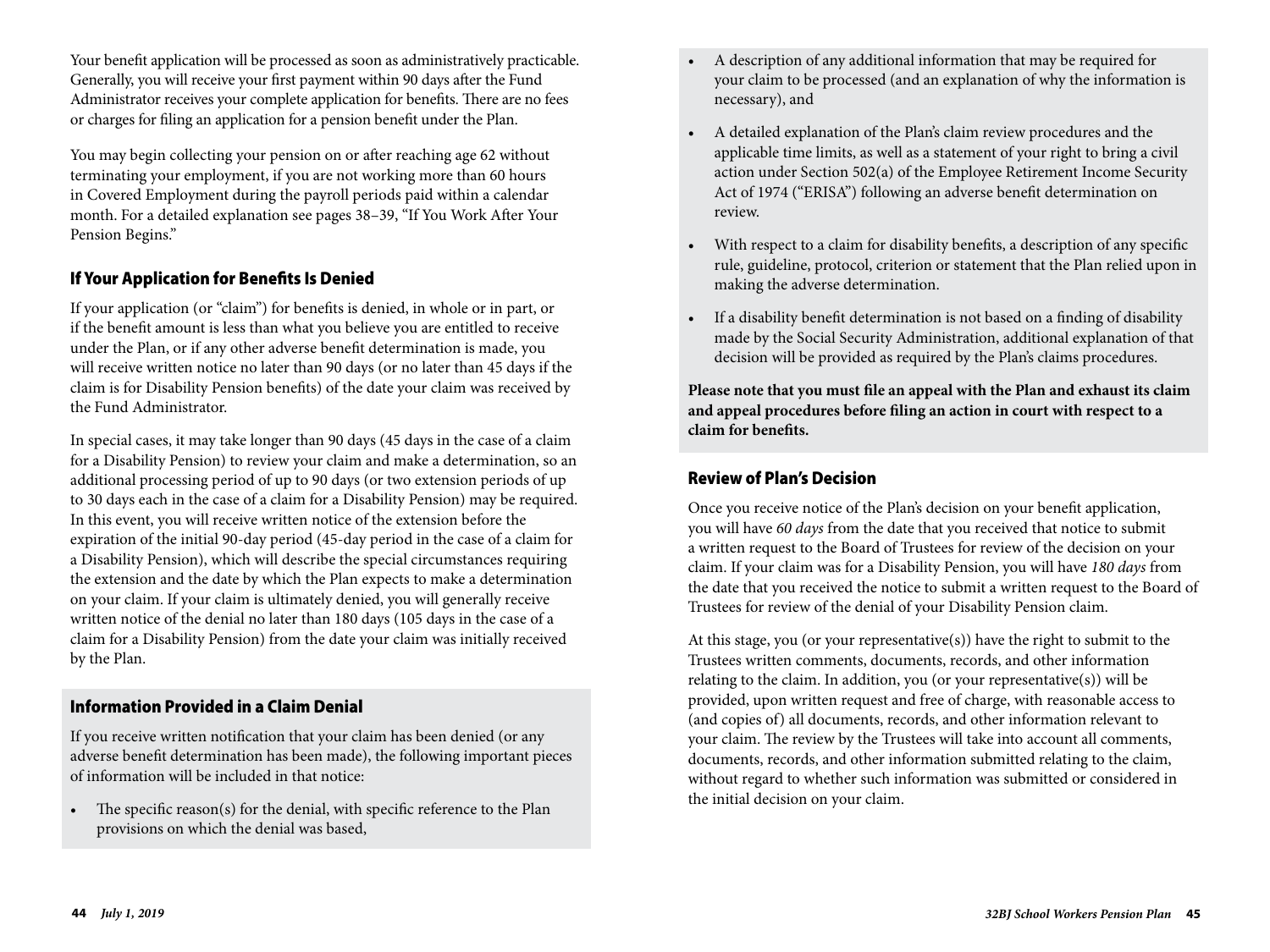Your benefit application will be processed as soon as administratively practicable. Generally, you will receive your first payment within 90 days after the Fund Administrator receives your complete application for benefits. There are no fees or charges for filing an application for a pension benefit under the Plan.

You may begin collecting your pension on or after reaching age 62 without terminating your employment, if you are not working more than 60 hours in Covered Employment during the payroll periods paid within a calendar month. For a detailed explanation see pages 38–39, "If You Work After Your Pension Begins."

## If Your Application for Benefits Is Denied

If your application (or "claim") for benefits is denied, in whole or in part, or if the benefit amount is less than what you believe you are entitled to receive under the Plan, or if any other adverse benefit determination is made, you will receive written notice no later than 90 days (or no later than 45 days if the claim is for Disability Pension benefits) of the date your claim was received by the Fund Administrator.

In special cases, it may take longer than 90 days (45 days in the case of a claim for a Disability Pension) to review your claim and make a determination, so an additional processing period of up to 90 days (or two extension periods of up to 30 days each in the case of a claim for a Disability Pension) may be required. In this event, you will receive written notice of the extension before the expiration of the initial 90-day period (45-day period in the case of a claim for a Disability Pension), which will describe the special circumstances requiring the extension and the date by which the Plan expects to make a determination on your claim. If your claim is ultimately denied, you will generally receive written notice of the denial no later than 180 days (105 days in the case of a claim for a Disability Pension) from the date your claim was initially received by the Plan.

### Information Provided in a Claim Denial

If you receive written notification that your claim has been denied (or any adverse benefit determination has been made), the following important pieces of information will be included in that notice:

• The specific reason(s) for the denial, with specific reference to the Plan provisions on which the denial was based,

- A description of any additional information that may be required for your claim to be processed (and an explanation of why the information is necessary), and
- A detailed explanation of the Plan's claim review procedures and the applicable time limits, as well as a statement of your right to bring a civil action under Section 502(a) of the Employee Retirement Income Security Act of 1974 ("ERISA") following an adverse benefit determination on review.
- With respect to a claim for disability benefits, a description of any specific rule, guideline, protocol, criterion or statement that the Plan relied upon in making the adverse determination.
- If a disability benefit determination is not based on a finding of disability made by the Social Security Administration, additional explanation of that decision will be provided as required by the Plan's claims procedures.

**Please note that you must file an appeal with the Plan and exhaust its claim and appeal procedures before filing an action in court with respect to a claim for benefits.**

## Review of Plan's Decision

Once you receive notice of the Plan's decision on your benefit application, you will have *60 days* from the date that you received that notice to submit a written request to the Board of Trustees for review of the decision on your claim. If your claim was for a Disability Pension, you will have *180 days* from the date that you received the notice to submit a written request to the Board of Trustees for review of the denial of your Disability Pension claim.

At this stage, you (or your representative(s)) have the right to submit to the Trustees written comments, documents, records, and other information relating to the claim. In addition, you (or your representative(s)) will be provided, upon written request and free of charge, with reasonable access to (and copies of) all documents, records, and other information relevant to your claim. The review by the Trustees will take into account all comments, documents, records, and other information submitted relating to the claim, without regard to whether such information was submitted or considered in the initial decision on your claim.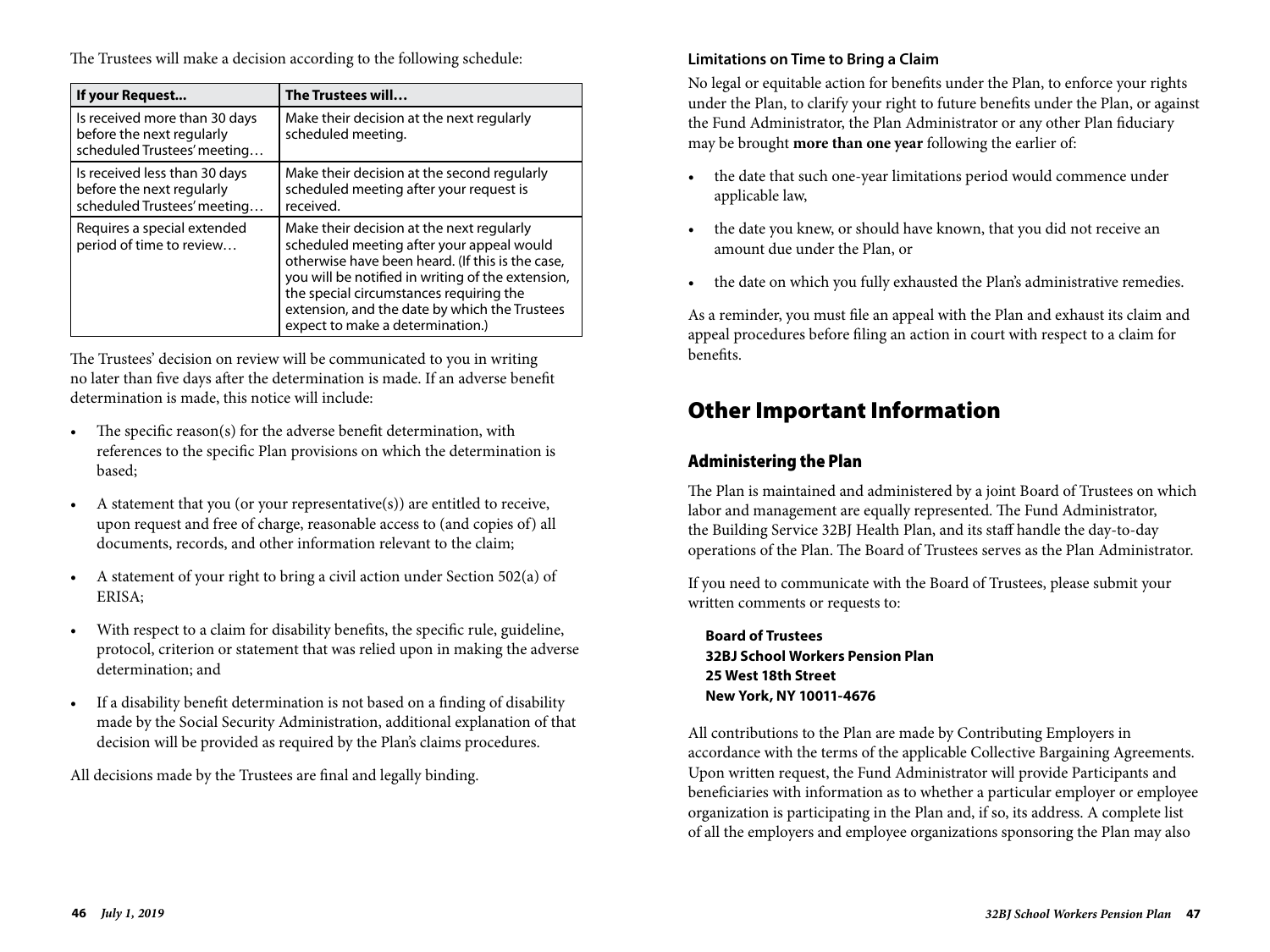The Trustees will make a decision according to the following schedule:

| If your Request                                                                           | The Trustees will                                                                                                                                                                                                                                                                                                               |
|-------------------------------------------------------------------------------------------|---------------------------------------------------------------------------------------------------------------------------------------------------------------------------------------------------------------------------------------------------------------------------------------------------------------------------------|
| Is received more than 30 days<br>before the next regularly<br>scheduled Trustees' meeting | Make their decision at the next regularly<br>scheduled meeting.                                                                                                                                                                                                                                                                 |
| Is received less than 30 days<br>before the next regularly<br>scheduled Trustees' meeting | Make their decision at the second regularly<br>scheduled meeting after your request is<br>received.                                                                                                                                                                                                                             |
| Requires a special extended<br>period of time to review                                   | Make their decision at the next regularly<br>scheduled meeting after your appeal would<br>otherwise have been heard. (If this is the case,<br>you will be notified in writing of the extension,<br>the special circumstances requiring the<br>extension, and the date by which the Trustees<br>expect to make a determination.) |

The Trustees' decision on review will be communicated to you in writing no later than five days after the determination is made. If an adverse benefit determination is made, this notice will include:

- The specific reason(s) for the adverse benefit determination, with references to the specific Plan provisions on which the determination is based;
- A statement that you (or your representative(s)) are entitled to receive, upon request and free of charge, reasonable access to (and copies of) all documents, records, and other information relevant to the claim;
- A statement of your right to bring a civil action under Section 502(a) of ERISA;
- With respect to a claim for disability benefits, the specific rule, guideline, protocol, criterion or statement that was relied upon in making the adverse determination; and
- If a disability benefit determination is not based on a finding of disability made by the Social Security Administration, additional explanation of that decision will be provided as required by the Plan's claims procedures.

All decisions made by the Trustees are final and legally binding.

## **Limitations on Time to Bring a Claim**

No legal or equitable action for benefits under the Plan, to enforce your rights under the Plan, to clarify your right to future benefits under the Plan, or against the Fund Administrator, the Plan Administrator or any other Plan fiduciary may be brought **more than one year** following the earlier of:

- the date that such one-year limitations period would commence under applicable law,
- the date you knew, or should have known, that you did not receive an amount due under the Plan, or
- the date on which you fully exhausted the Plan's administrative remedies.

As a reminder, you must file an appeal with the Plan and exhaust its claim and appeal procedures before filing an action in court with respect to a claim for benefits.

# Other Important Information

## Administering the Plan

The Plan is maintained and administered by a joint Board of Trustees on which labor and management are equally represented. The Fund Administrator, the Building Service 32BJ Health Plan, and its staff handle the day-to-day operations of the Plan. The Board of Trustees serves as the Plan Administrator.

If you need to communicate with the Board of Trustees, please submit your written comments or requests to:

**Board of Trustees 32BJ School Workers Pension Plan 25 West 18th Street New York, NY 10011-4676** 

All contributions to the Plan are made by Contributing Employers in accordance with the terms of the applicable Collective Bargaining Agreements. Upon written request, the Fund Administrator will provide Participants and beneficiaries with information as to whether a particular employer or employee organization is participating in the Plan and, if so, its address. A complete list of all the employers and employee organizations sponsoring the Plan may also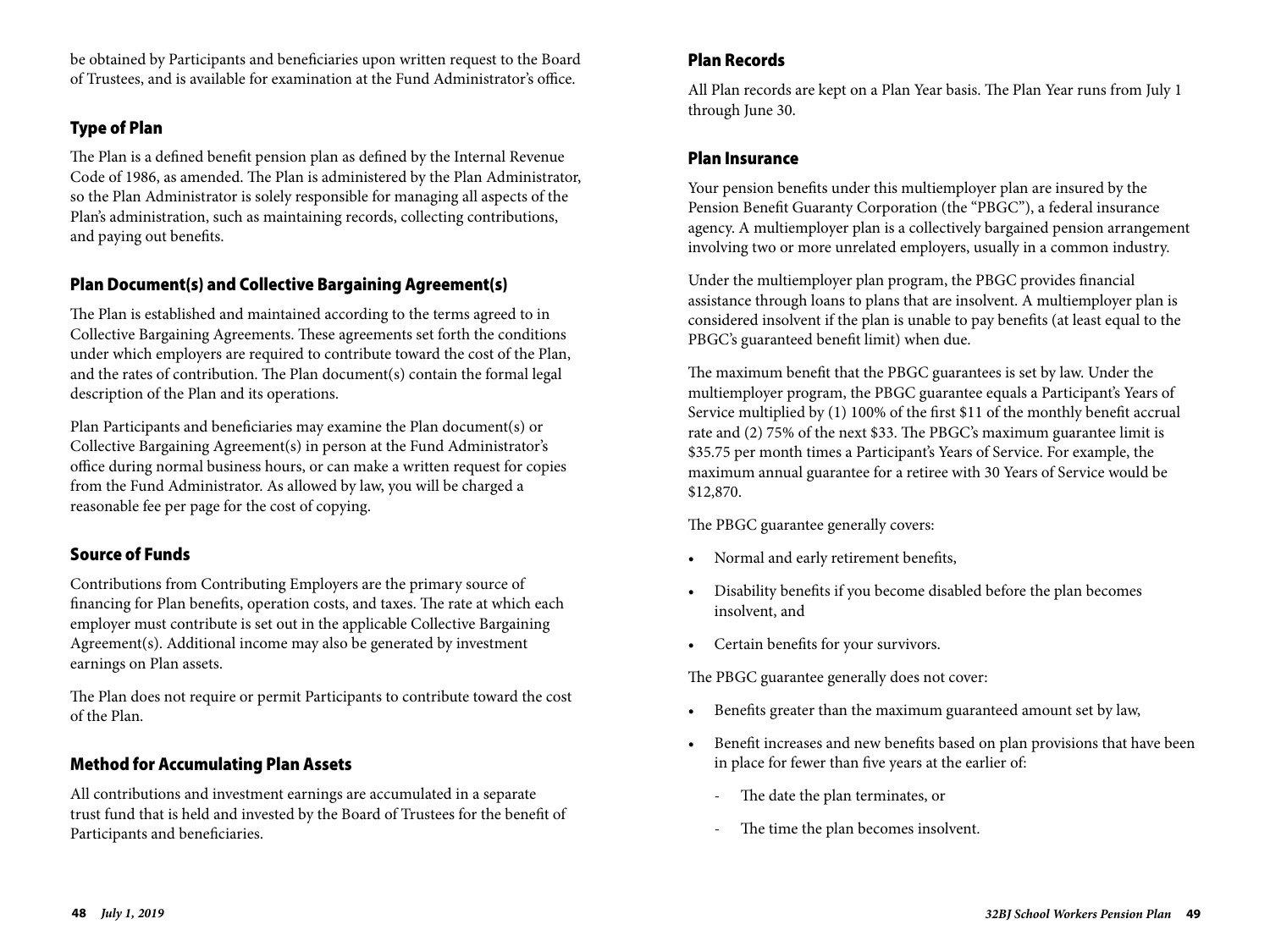be obtained by Participants and beneficiaries upon written request to the Board of Trustees, and is available for examination at the Fund Administrator's office.

## Type of Plan

The Plan is a defined benefit pension plan as defined by the Internal Revenue Code of 1986, as amended. The Plan is administered by the Plan Administrator, so the Plan Administrator is solely responsible for managing all aspects of the Plan's administration, such as maintaining records, collecting contributions, and paying out benefits.

## Plan Document(s) and Collective Bargaining Agreement(s)

The Plan is established and maintained according to the terms agreed to in Collective Bargaining Agreements. These agreements set forth the conditions under which employers are required to contribute toward the cost of the Plan, and the rates of contribution. The Plan document(s) contain the formal legal description of the Plan and its operations.

Plan Participants and beneficiaries may examine the Plan document(s) or Collective Bargaining Agreement(s) in person at the Fund Administrator's office during normal business hours, or can make a written request for copies from the Fund Administrator. As allowed by law, you will be charged a reasonable fee per page for the cost of copying.

## Source of Funds

Contributions from Contributing Employers are the primary source of financing for Plan benefits, operation costs, and taxes. The rate at which each employer must contribute is set out in the applicable Collective Bargaining Agreement(s). Additional income may also be generated by investment earnings on Plan assets.

The Plan does not require or permit Participants to contribute toward the cost of the Plan.

### Method for Accumulating Plan Assets

All contributions and investment earnings are accumulated in a separate trust fund that is held and invested by the Board of Trustees for the benefit of Participants and beneficiaries.

### Plan Records

All Plan records are kept on a Plan Year basis. The Plan Year runs from July 1 through June 30.

#### Plan Insurance

Your pension benefits under this multiemployer plan are insured by the Pension Benefit Guaranty Corporation (the "PBGC"), a federal insurance agency. A multiemployer plan is a collectively bargained pension arrangement involving two or more unrelated employers, usually in a common industry.

Under the multiemployer plan program, the PBGC provides financial assistance through loans to plans that are insolvent. A multiemployer plan is considered insolvent if the plan is unable to pay benefits (at least equal to the PBGC's guaranteed benefit limit) when due.

The maximum benefit that the PBGC guarantees is set by law. Under the multiemployer program, the PBGC guarantee equals a Participant's Years of Service multiplied by (1) 100% of the first \$11 of the monthly benefit accrual rate and (2) 75% of the next \$33. The PBGC's maximum guarantee limit is \$35.75 per month times a Participant's Years of Service. For example, the maximum annual guarantee for a retiree with 30 Years of Service would be \$12,870.

The PBGC guarantee generally covers:

- Normal and early retirement benefits,
- Disability benefits if you become disabled before the plan becomes insolvent, and
- Certain benefits for your survivors.

The PBGC guarantee generally does not cover:

- Benefits greater than the maximum guaranteed amount set by law,
- Benefit increases and new benefits based on plan provisions that have been in place for fewer than five years at the earlier of:
	- The date the plan terminates, or
	- The time the plan becomes insolvent.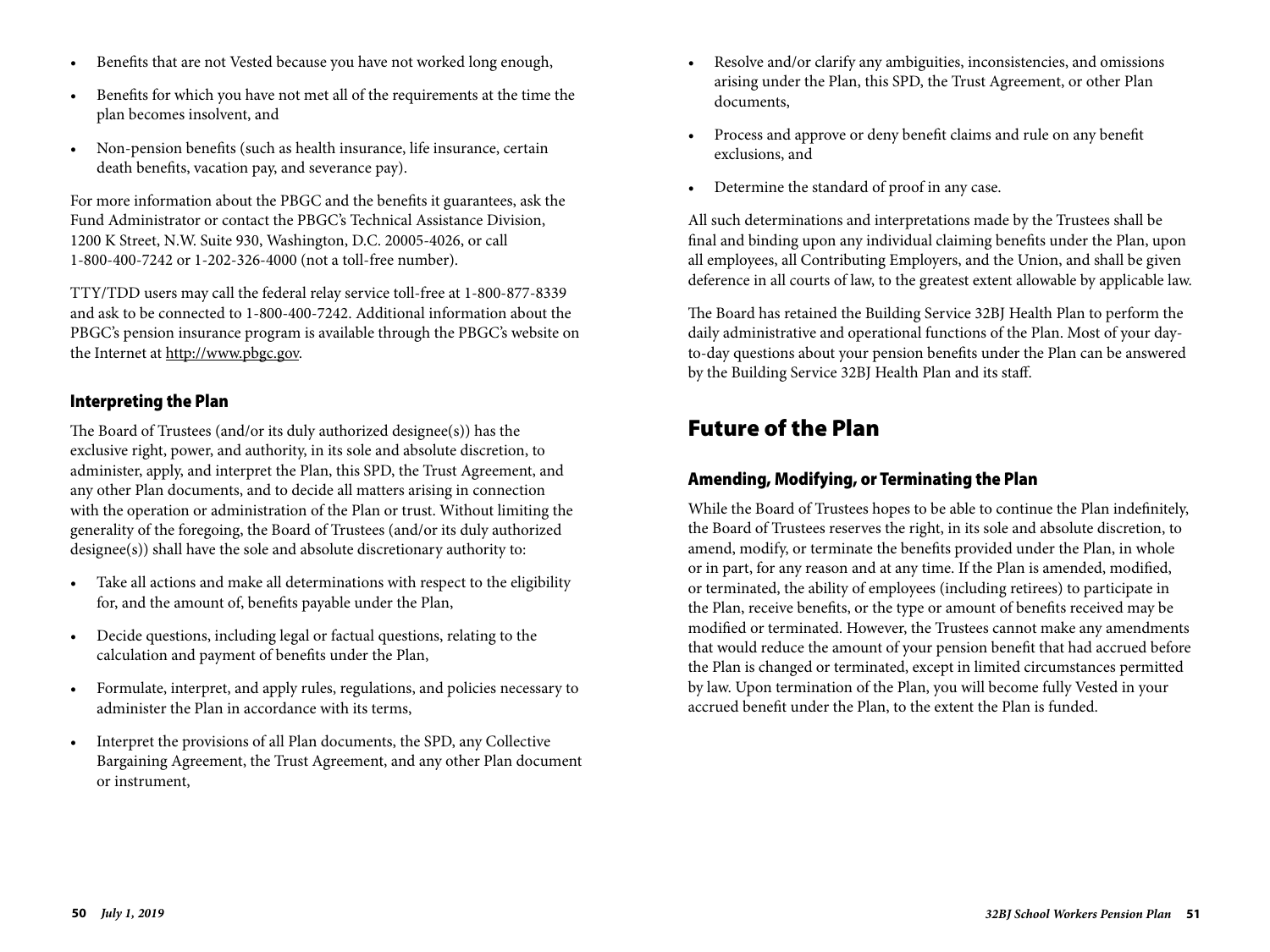- Benefits that are not Vested because you have not worked long enough,
- Benefits for which you have not met all of the requirements at the time the plan becomes insolvent, and
- Non-pension benefits (such as health insurance, life insurance, certain death benefits, vacation pay, and severance pay).

For more information about the PBGC and the benefits it guarantees, ask the Fund Administrator or contact the PBGC's Technical Assistance Division, 1200 K Street, N.W. Suite 930, Washington, D.C. 20005-4026, or call 1-800-400-7242 or 1-202-326-4000 (not a toll-free number).

TTY/TDD users may call the federal relay service toll-free at 1-800-877-8339 and ask to be connected to 1-800-400-7242. Additional information about the PBGC's pension insurance program is available through the PBGC's website on the Internet at http://www.pbgc.gov.

### Interpreting the Plan

The Board of Trustees (and/or its duly authorized designee(s)) has the exclusive right, power, and authority, in its sole and absolute discretion, to administer, apply, and interpret the Plan, this SPD, the Trust Agreement, and any other Plan documents, and to decide all matters arising in connection with the operation or administration of the Plan or trust. Without limiting the generality of the foregoing, the Board of Trustees (and/or its duly authorized designee(s)) shall have the sole and absolute discretionary authority to:

- Take all actions and make all determinations with respect to the eligibility for, and the amount of, benefits payable under the Plan,
- Decide questions, including legal or factual questions, relating to the calculation and payment of benefits under the Plan,
- Formulate, interpret, and apply rules, regulations, and policies necessary to administer the Plan in accordance with its terms,
- Interpret the provisions of all Plan documents, the SPD, any Collective Bargaining Agreement, the Trust Agreement, and any other Plan document or instrument,
- Resolve and/or clarify any ambiguities, inconsistencies, and omissions arising under the Plan, this SPD, the Trust Agreement, or other Plan documents,
- Process and approve or deny benefit claims and rule on any benefit exclusions, and
- Determine the standard of proof in any case.

All such determinations and interpretations made by the Trustees shall be final and binding upon any individual claiming benefits under the Plan, upon all employees, all Contributing Employers, and the Union, and shall be given deference in all courts of law, to the greatest extent allowable by applicable law.

The Board has retained the Building Service 32BJ Health Plan to perform the daily administrative and operational functions of the Plan. Most of your dayto-day questions about your pension benefits under the Plan can be answered by the Building Service 32BJ Health Plan and its staff.

## Future of the Plan

## Amending, Modifying, or Terminating the Plan

While the Board of Trustees hopes to be able to continue the Plan indefinitely, the Board of Trustees reserves the right, in its sole and absolute discretion, to amend, modify, or terminate the benefits provided under the Plan, in whole or in part, for any reason and at any time. If the Plan is amended, modified, or terminated, the ability of employees (including retirees) to participate in the Plan, receive benefits, or the type or amount of benefits received may be modified or terminated. However, the Trustees cannot make any amendments that would reduce the amount of your pension benefit that had accrued before the Plan is changed or terminated, except in limited circumstances permitted by law. Upon termination of the Plan, you will become fully Vested in your accrued benefit under the Plan, to the extent the Plan is funded.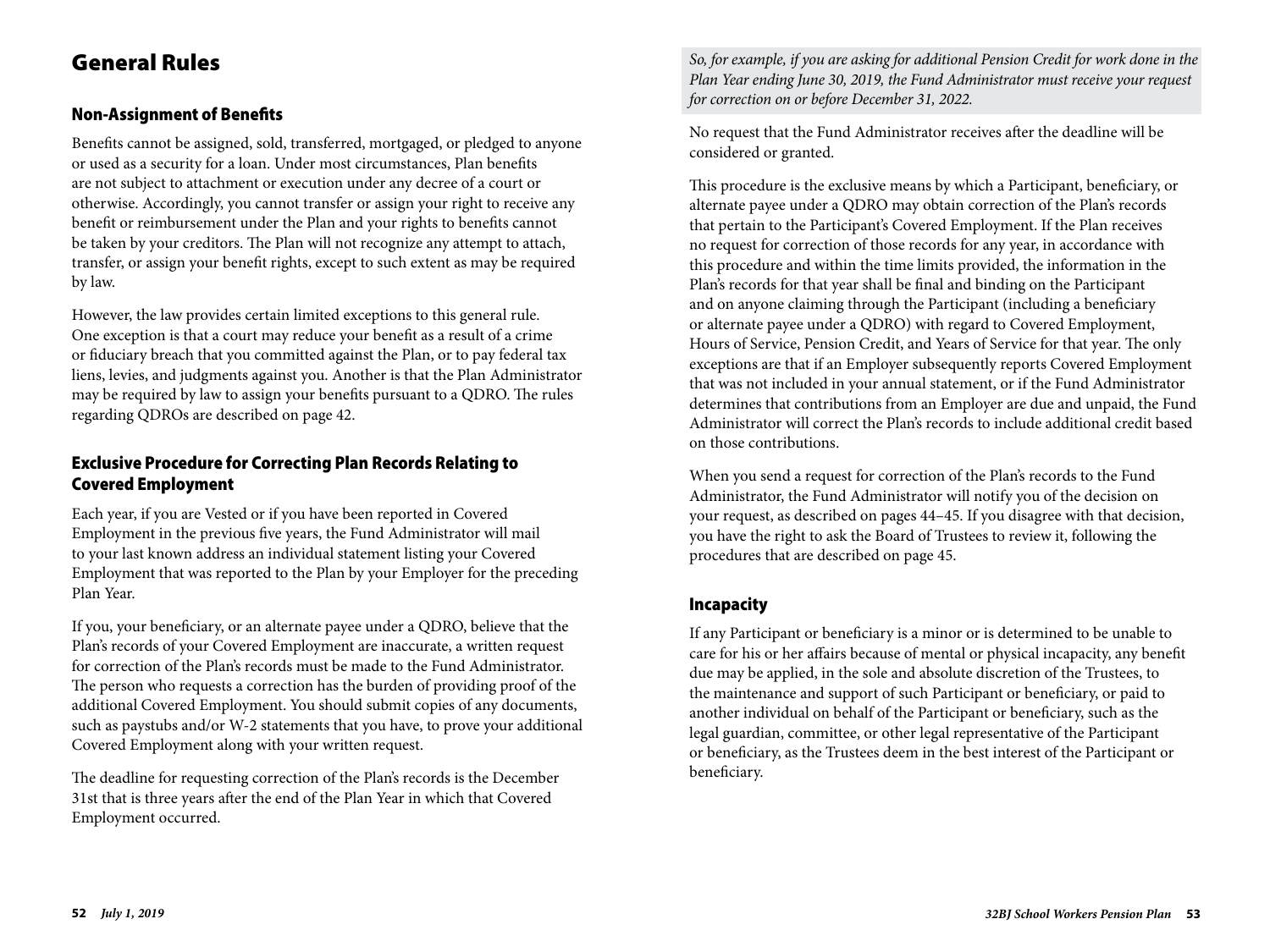## General Rules

## Non-Assignment of Benefits

Benefits cannot be assigned, sold, transferred, mortgaged, or pledged to anyone or used as a security for a loan. Under most circumstances, Plan benefits are not subject to attachment or execution under any decree of a court or otherwise. Accordingly, you cannot transfer or assign your right to receive any benefit or reimbursement under the Plan and your rights to benefits cannot be taken by your creditors. The Plan will not recognize any attempt to attach, transfer, or assign your benefit rights, except to such extent as may be required by law.

However, the law provides certain limited exceptions to this general rule. One exception is that a court may reduce your benefit as a result of a crime or fiduciary breach that you committed against the Plan, or to pay federal tax liens, levies, and judgments against you. Another is that the Plan Administrator may be required by law to assign your benefits pursuant to a QDRO. The rules regarding QDROs are described on page 42.

## Exclusive Procedure for Correcting Plan Records Relating to Covered Employment

Each year, if you are Vested or if you have been reported in Covered Employment in the previous five years, the Fund Administrator will mail to your last known address an individual statement listing your Covered Employment that was reported to the Plan by your Employer for the preceding Plan Year.

If you, your beneficiary, or an alternate payee under a QDRO, believe that the Plan's records of your Covered Employment are inaccurate, a written request for correction of the Plan's records must be made to the Fund Administrator. The person who requests a correction has the burden of providing proof of the additional Covered Employment. You should submit copies of any documents, such as paystubs and/or W-2 statements that you have, to prove your additional Covered Employment along with your written request.

The deadline for requesting correction of the Plan's records is the December 31st that is three years after the end of the Plan Year in which that Covered Employment occurred.

*So, for example, if you are asking for additional Pension Credit for work done in the Plan Year ending June 30, 2019, the Fund Administrator must receive your request for correction on or before December 31, 2022.* 

No request that the Fund Administrator receives after the deadline will be considered or granted.

This procedure is the exclusive means by which a Participant, beneficiary, or alternate payee under a QDRO may obtain correction of the Plan's records that pertain to the Participant's Covered Employment. If the Plan receives no request for correction of those records for any year, in accordance with this procedure and within the time limits provided, the information in the Plan's records for that year shall be final and binding on the Participant and on anyone claiming through the Participant (including a beneficiary or alternate payee under a QDRO) with regard to Covered Employment, Hours of Service, Pension Credit, and Years of Service for that year. The only exceptions are that if an Employer subsequently reports Covered Employment that was not included in your annual statement, or if the Fund Administrator determines that contributions from an Employer are due and unpaid, the Fund Administrator will correct the Plan's records to include additional credit based on those contributions.

When you send a request for correction of the Plan's records to the Fund Administrator, the Fund Administrator will notify you of the decision on your request, as described on pages 44–45. If you disagree with that decision, you have the right to ask the Board of Trustees to review it, following the procedures that are described on page 45.

### Incapacity

If any Participant or beneficiary is a minor or is determined to be unable to care for his or her affairs because of mental or physical incapacity, any benefit due may be applied, in the sole and absolute discretion of the Trustees, to the maintenance and support of such Participant or beneficiary, or paid to another individual on behalf of the Participant or beneficiary, such as the legal guardian, committee, or other legal representative of the Participant or beneficiary, as the Trustees deem in the best interest of the Participant or beneficiary.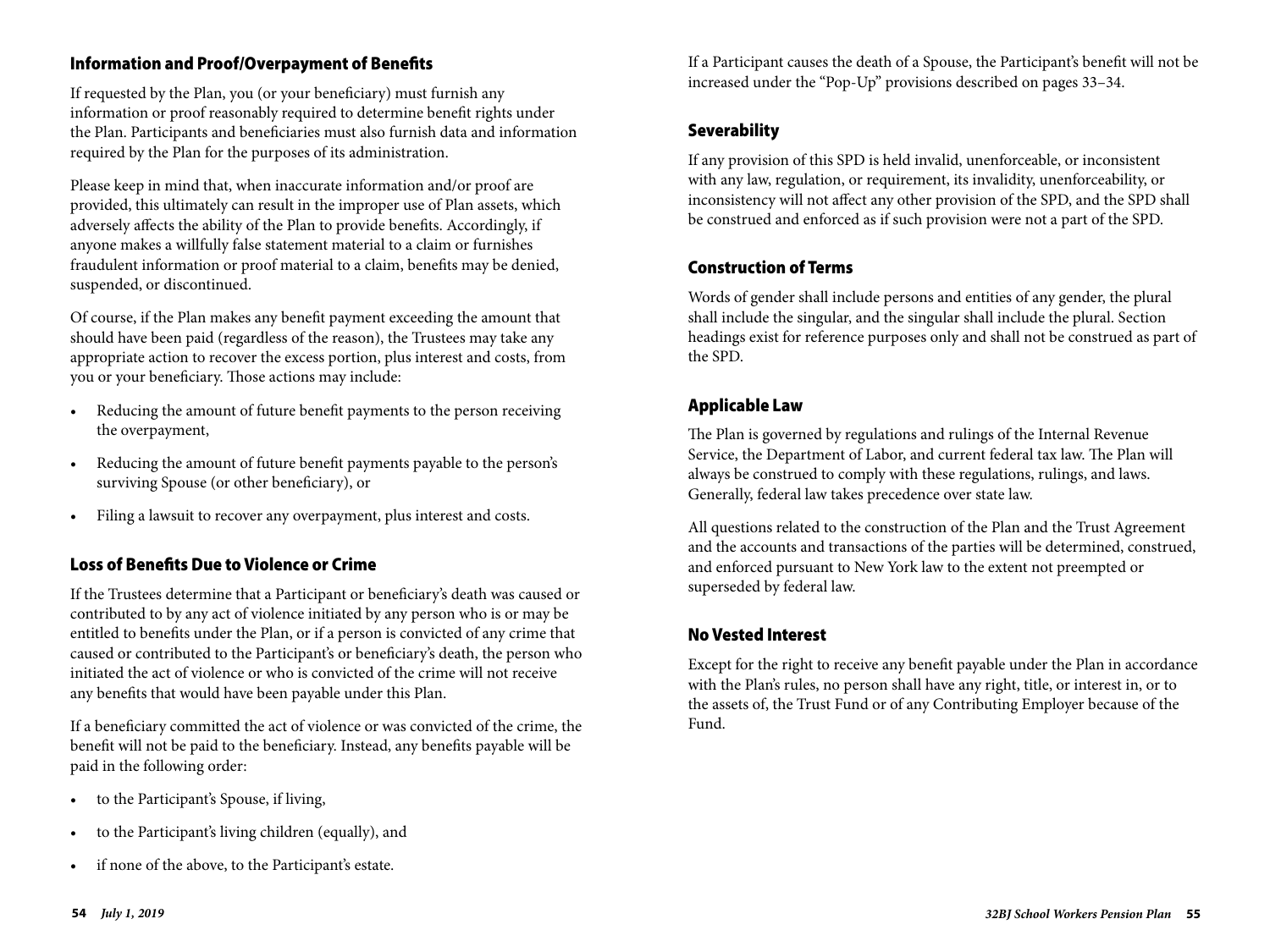## Information and Proof/Overpayment of Benefits

If requested by the Plan, you (or your beneficiary) must furnish any information or proof reasonably required to determine benefit rights under the Plan. Participants and beneficiaries must also furnish data and information required by the Plan for the purposes of its administration.

Please keep in mind that, when inaccurate information and/or proof are provided, this ultimately can result in the improper use of Plan assets, which adversely affects the ability of the Plan to provide benefits. Accordingly, if anyone makes a willfully false statement material to a claim or furnishes fraudulent information or proof material to a claim, benefits may be denied, suspended, or discontinued.

Of course, if the Plan makes any benefit payment exceeding the amount that should have been paid (regardless of the reason), the Trustees may take any appropriate action to recover the excess portion, plus interest and costs, from you or your beneficiary. Those actions may include:

- Reducing the amount of future benefit payments to the person receiving the overpayment,
- Reducing the amount of future benefit payments payable to the person's surviving Spouse (or other beneficiary), or
- Filing a lawsuit to recover any overpayment, plus interest and costs.

### Loss of Benefits Due to Violence or Crime

If the Trustees determine that a Participant or beneficiary's death was caused or contributed to by any act of violence initiated by any person who is or may be entitled to benefits under the Plan, or if a person is convicted of any crime that caused or contributed to the Participant's or beneficiary's death, the person who initiated the act of violence or who is convicted of the crime will not receive any benefits that would have been payable under this Plan.

If a beneficiary committed the act of violence or was convicted of the crime, the benefit will not be paid to the beneficiary. Instead, any benefits payable will be paid in the following order:

- to the Participant's Spouse, if living,
- to the Participant's living children (equally), and
- if none of the above, to the Participant's estate.

If a Participant causes the death of a Spouse, the Participant's benefit will not be increased under the "Pop-Up" provisions described on pages 33–34.

#### Severability

If any provision of this SPD is held invalid, unenforceable, or inconsistent with any law, regulation, or requirement, its invalidity, unenforceability, or inconsistency will not affect any other provision of the SPD, and the SPD shall be construed and enforced as if such provision were not a part of the SPD.

#### Construction of Terms

Words of gender shall include persons and entities of any gender, the plural shall include the singular, and the singular shall include the plural. Section headings exist for reference purposes only and shall not be construed as part of the SPD.

## Applicable Law

The Plan is governed by regulations and rulings of the Internal Revenue Service, the Department of Labor, and current federal tax law. The Plan will always be construed to comply with these regulations, rulings, and laws. Generally, federal law takes precedence over state law.

All questions related to the construction of the Plan and the Trust Agreement and the accounts and transactions of the parties will be determined, construed, and enforced pursuant to New York law to the extent not preempted or superseded by federal law.

#### No Vested Interest

Except for the right to receive any benefit payable under the Plan in accordance with the Plan's rules, no person shall have any right, title, or interest in, or to the assets of, the Trust Fund or of any Contributing Employer because of the Fund.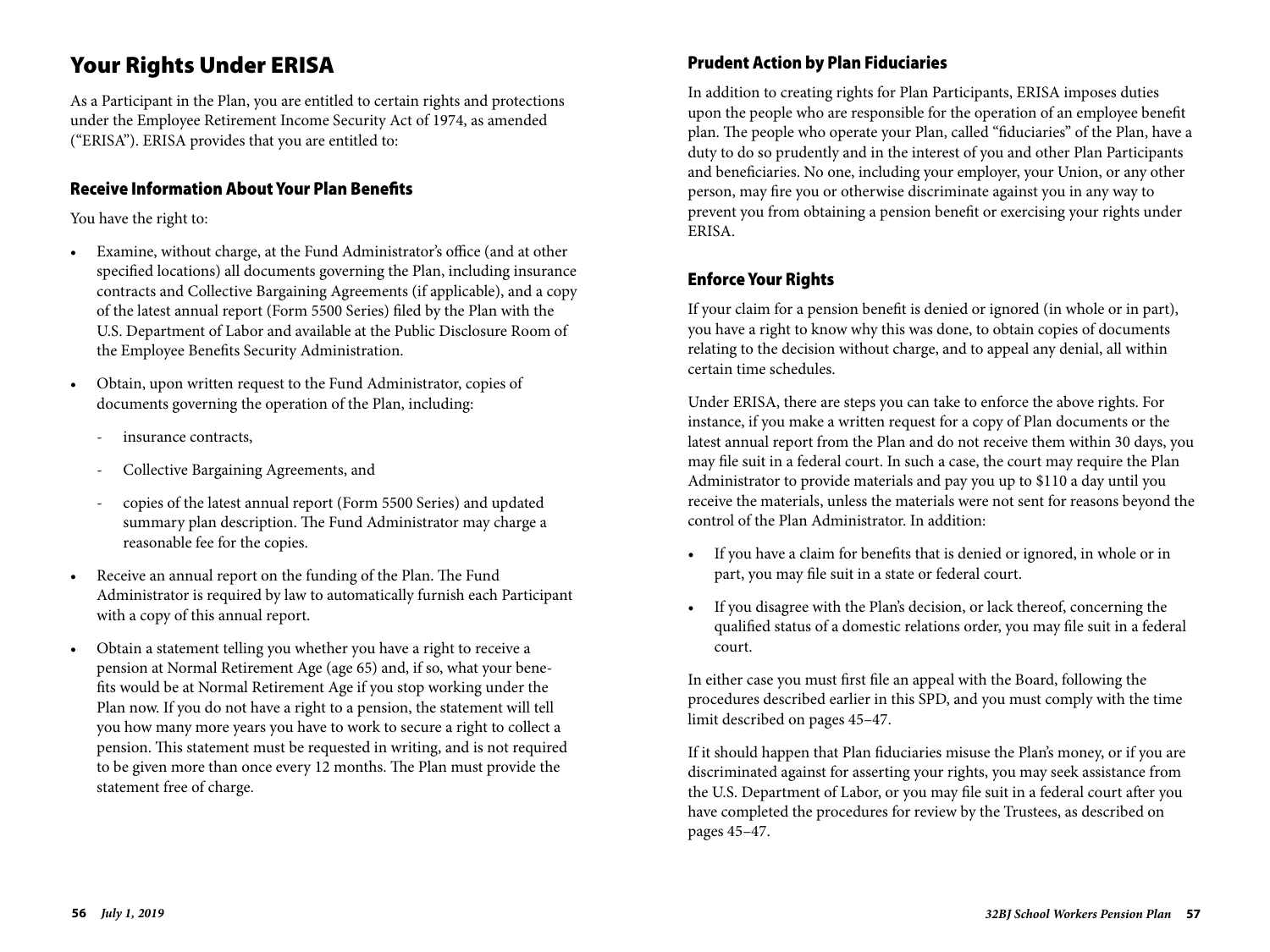## Your Rights Under ERISA

As a Participant in the Plan, you are entitled to certain rights and protections under the Employee Retirement Income Security Act of 1974, as amended ("ERISA"). ERISA provides that you are entitled to:

#### Receive Information About Your Plan Benefits

You have the right to:

- Examine, without charge, at the Fund Administrator's office (and at other specified locations) all documents governing the Plan, including insurance contracts and Collective Bargaining Agreements (if applicable), and a copy of the latest annual report (Form 5500 Series) filed by the Plan with the U.S. Department of Labor and available at the Public Disclosure Room of the Employee Benefits Security Administration.
- Obtain, upon written request to the Fund Administrator, copies of documents governing the operation of the Plan, including:
	- insurance contracts,
	- Collective Bargaining Agreements, and
	- copies of the latest annual report (Form 5500 Series) and updated summary plan description. The Fund Administrator may charge a reasonable fee for the copies.
- Receive an annual report on the funding of the Plan. The Fund Administrator is required by law to automatically furnish each Participant with a copy of this annual report.
- Obtain a statement telling you whether you have a right to receive a pension at Normal Retirement Age (age 65) and, if so, what your benefits would be at Normal Retirement Age if you stop working under the Plan now. If you do not have a right to a pension, the statement will tell you how many more years you have to work to secure a right to collect a pension. This statement must be requested in writing, and is not required to be given more than once every 12 months. The Plan must provide the statement free of charge.

## Prudent Action by Plan Fiduciaries

In addition to creating rights for Plan Participants, ERISA imposes duties upon the people who are responsible for the operation of an employee benefit plan. The people who operate your Plan, called "fiduciaries" of the Plan, have a duty to do so prudently and in the interest of you and other Plan Participants and beneficiaries. No one, including your employer, your Union, or any other person, may fire you or otherwise discriminate against you in any way to prevent you from obtaining a pension benefit or exercising your rights under ERISA.

## Enforce Your Rights

If your claim for a pension benefit is denied or ignored (in whole or in part), you have a right to know why this was done, to obtain copies of documents relating to the decision without charge, and to appeal any denial, all within certain time schedules.

Under ERISA, there are steps you can take to enforce the above rights. For instance, if you make a written request for a copy of Plan documents or the latest annual report from the Plan and do not receive them within 30 days, you may file suit in a federal court. In such a case, the court may require the Plan Administrator to provide materials and pay you up to \$110 a day until you receive the materials, unless the materials were not sent for reasons beyond the control of the Plan Administrator. In addition:

- If you have a claim for benefits that is denied or ignored, in whole or in part, you may file suit in a state or federal court.
- If you disagree with the Plan's decision, or lack thereof, concerning the qualified status of a domestic relations order, you may file suit in a federal court.

In either case you must first file an appeal with the Board, following the procedures described earlier in this SPD, and you must comply with the time limit described on pages 45–47.

If it should happen that Plan fiduciaries misuse the Plan's money, or if you are discriminated against for asserting your rights, you may seek assistance from the U.S. Department of Labor, or you may file suit in a federal court after you have completed the procedures for review by the Trustees, as described on pages 45–47.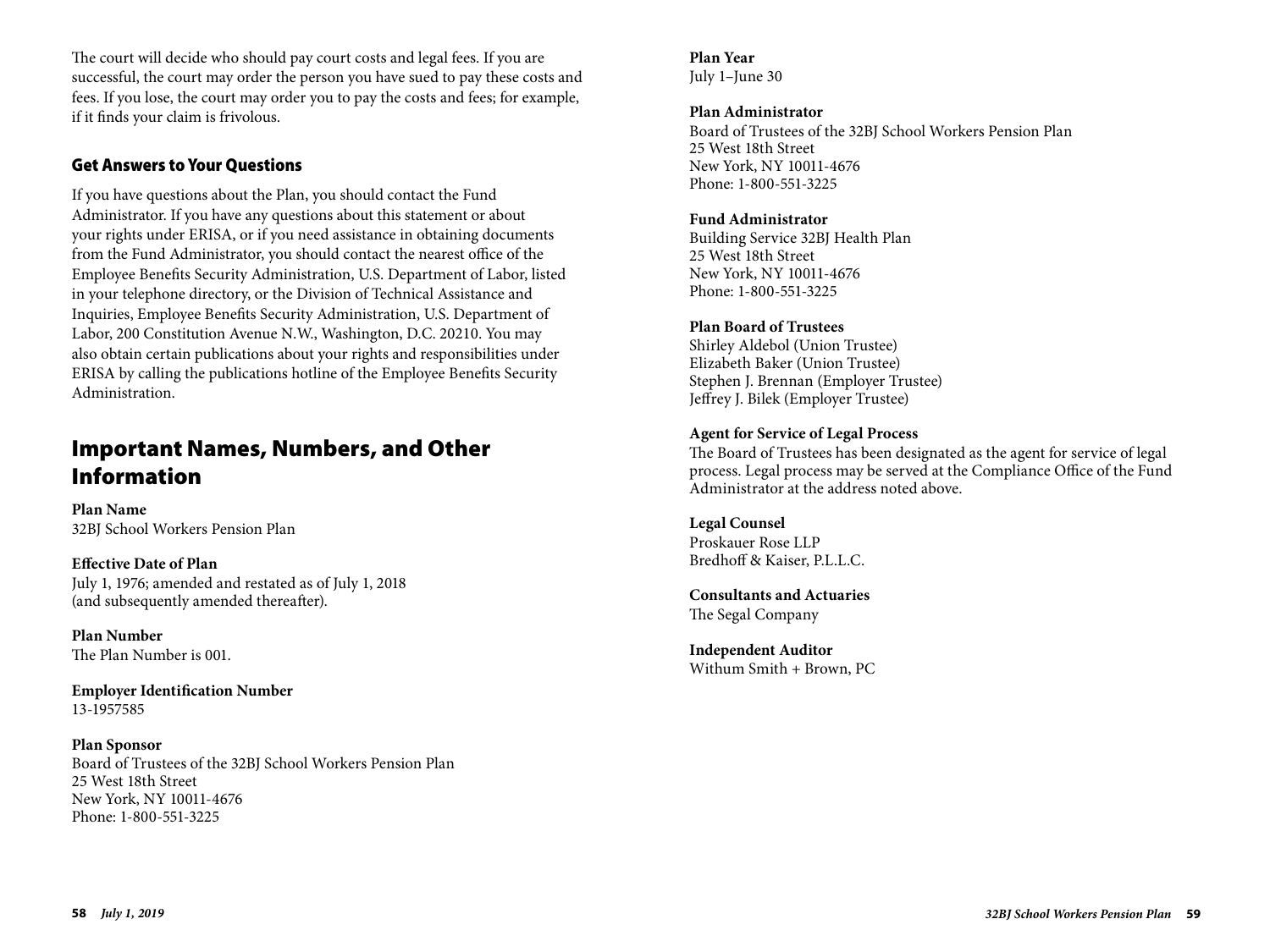The court will decide who should pay court costs and legal fees. If you are successful, the court may order the person you have sued to pay these costs and fees. If you lose, the court may order you to pay the costs and fees; for example, if it finds your claim is frivolous.

## Get Answers to Your Questions

If you have questions about the Plan, you should contact the Fund Administrator. If you have any questions about this statement or about your rights under ERISA, or if you need assistance in obtaining documents from the Fund Administrator, you should contact the nearest office of the Employee Benefits Security Administration, U.S. Department of Labor, listed in your telephone directory, or the Division of Technical Assistance and Inquiries, Employee Benefits Security Administration, U.S. Department of Labor, 200 Constitution Avenue N.W., Washington, D.C. 20210. You may also obtain certain publications about your rights and responsibilities under ERISA by calling the publications hotline of the Employee Benefits Security Administration.

## Important Names, Numbers, and Other Information

**Plan Name** 32BJ School Workers Pension Plan

**Effective Date of Plan** July 1, 1976; amended and restated as of July 1, 2018 (and subsequently amended thereafter).

**Plan Number** The Plan Number is 001.

**Employer Identification Number**  13-1957585

**Plan Sponsor** Board of Trustees of the 32BJ School Workers Pension Plan 25 West 18th Street New York, NY 10011-4676 Phone: 1-800-551-3225

### **Plan Year**

July 1–June 30

#### **Plan Administrator**

Board of Trustees of the 32BJ School Workers Pension Plan 25 West 18th Street New York, NY 10011-4676 Phone: 1-800-551-3225

#### **Fund Administrator**

Building Service 32BJ Health Plan 25 West 18th Street New York, NY 10011-4676 Phone: 1-800-551-3225

#### **Plan Board of Trustees**

Shirley Aldebol (Union Trustee) Elizabeth Baker (Union Trustee) Stephen J. Brennan (Employer Trustee) Jeffrey J. Bilek (Employer Trustee)

#### **Agent for Service of Legal Process**

The Board of Trustees has been designated as the agent for service of legal process. Legal process may be served at the Compliance Office of the Fund Administrator at the address noted above.

**Legal Counsel** Proskauer Rose LLP Bredhoff & Kaiser, P.L.L.C.

**Consultants and Actuaries** The Segal Company

**Independent Auditor** Withum Smith + Brown, PC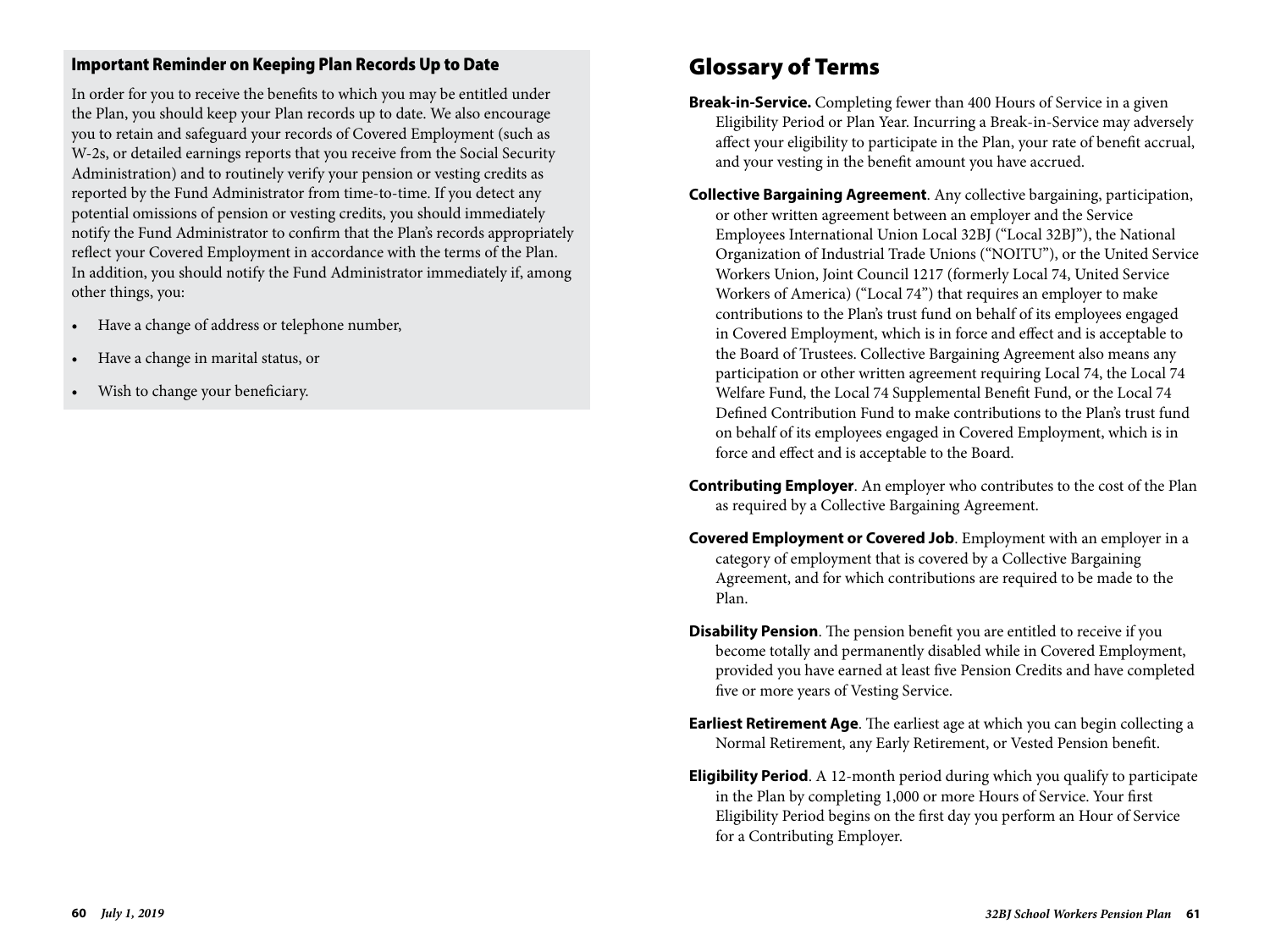### Important Reminder on Keeping Plan Records Up to Date

In order for you to receive the benefits to which you may be entitled under the Plan, you should keep your Plan records up to date. We also encourage you to retain and safeguard your records of Covered Employment (such as W-2s, or detailed earnings reports that you receive from the Social Security Administration) and to routinely verify your pension or vesting credits as reported by the Fund Administrator from time-to-time. If you detect any potential omissions of pension or vesting credits, you should immediately notify the Fund Administrator to confirm that the Plan's records appropriately reflect your Covered Employment in accordance with the terms of the Plan. In addition, you should notify the Fund Administrator immediately if, among other things, you:

- Have a change of address or telephone number,
- Have a change in marital status, or
- Wish to change your beneficiary.

## Glossary of Terms

- **Break-in-Service.** Completing fewer than 400 Hours of Service in a given Eligibility Period or Plan Year. Incurring a Break-in-Service may adversely affect your eligibility to participate in the Plan, your rate of benefit accrual, and your vesting in the benefit amount you have accrued.
- **Collective Bargaining Agreement**. Any collective bargaining, participation, or other written agreement between an employer and the Service Employees International Union Local 32BJ ("Local 32BJ"), the National Organization of Industrial Trade Unions ("NOITU"), or the United Service Workers Union, Joint Council 1217 (formerly Local 74, United Service Workers of America) ("Local 74") that requires an employer to make contributions to the Plan's trust fund on behalf of its employees engaged in Covered Employment, which is in force and effect and is acceptable to the Board of Trustees. Collective Bargaining Agreement also means any participation or other written agreement requiring Local 74, the Local 74 Welfare Fund, the Local 74 Supplemental Benefit Fund, or the Local 74 Defined Contribution Fund to make contributions to the Plan's trust fund on behalf of its employees engaged in Covered Employment, which is in force and effect and is acceptable to the Board.
- **Contributing Employer**. An employer who contributes to the cost of the Plan as required by a Collective Bargaining Agreement.
- **Covered Employment or Covered Job**. Employment with an employer in a category of employment that is covered by a Collective Bargaining Agreement, and for which contributions are required to be made to the Plan.
- **Disability Pension**. The pension benefit you are entitled to receive if you become totally and permanently disabled while in Covered Employment, provided you have earned at least five Pension Credits and have completed five or more years of Vesting Service.
- **Earliest Retirement Age**. The earliest age at which you can begin collecting a Normal Retirement, any Early Retirement, or Vested Pension benefit.
- **Eligibility Period**. A 12-month period during which you qualify to participate in the Plan by completing 1,000 or more Hours of Service. Your first Eligibility Period begins on the first day you perform an Hour of Service for a Contributing Employer.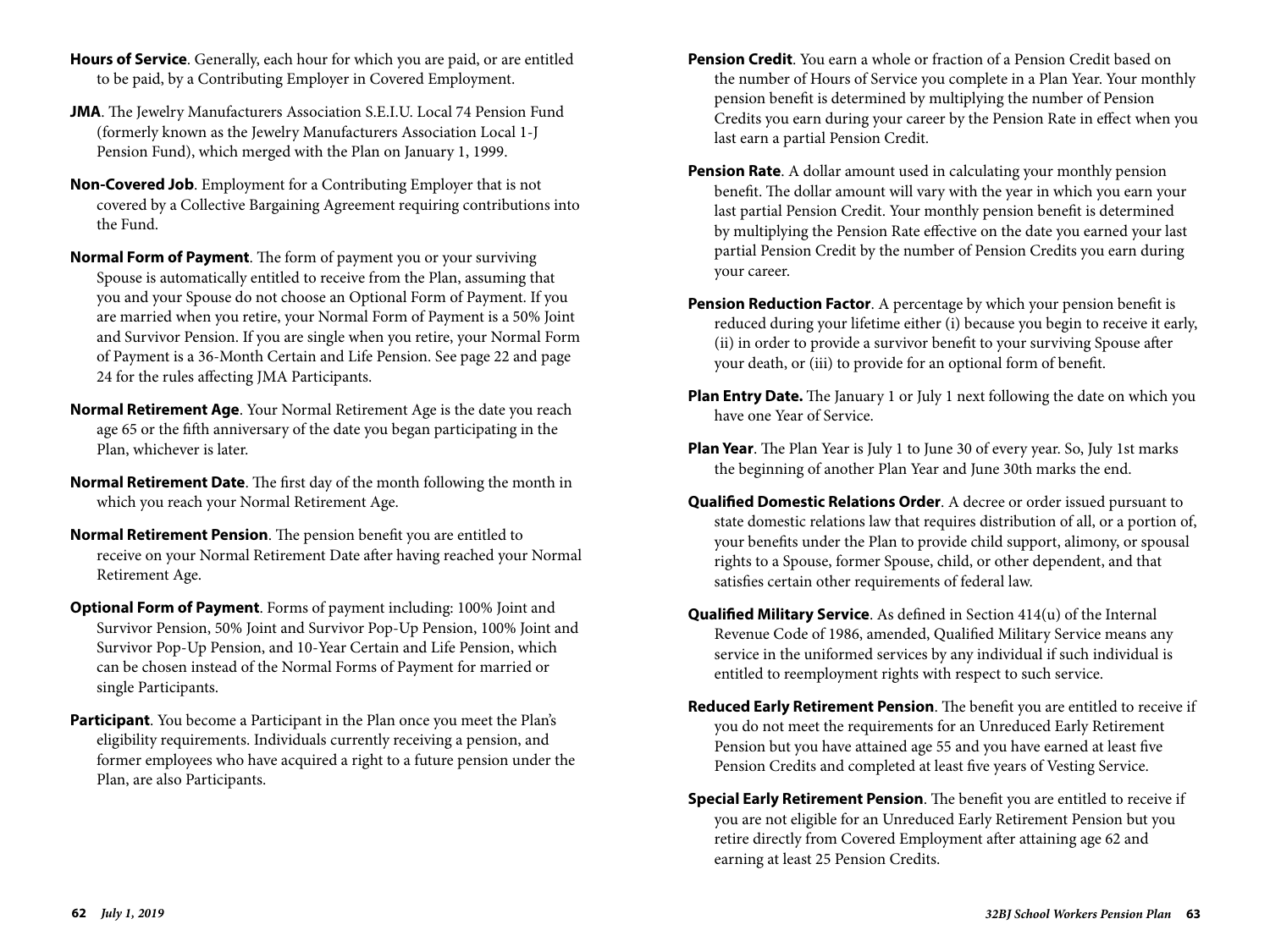- **Hours of Service**. Generally, each hour for which you are paid, or are entitled to be paid, by a Contributing Employer in Covered Employment.
- **JMA**. The Jewelry Manufacturers Association S.E.I.U. Local 74 Pension Fund (formerly known as the Jewelry Manufacturers Association Local 1-J Pension Fund), which merged with the Plan on January 1, 1999.
- **Non-Covered Job**. Employment for a Contributing Employer that is not covered by a Collective Bargaining Agreement requiring contributions into the Fund.
- **Normal Form of Payment**. The form of payment you or your surviving Spouse is automatically entitled to receive from the Plan, assuming that you and your Spouse do not choose an Optional Form of Payment. If you are married when you retire, your Normal Form of Payment is a 50% Joint and Survivor Pension. If you are single when you retire, your Normal Form of Payment is a 36-Month Certain and Life Pension. See page 22 and page 24 for the rules affecting JMA Participants.
- **Normal Retirement Age**. Your Normal Retirement Age is the date you reach age 65 or the fifth anniversary of the date you began participating in the Plan, whichever is later.
- **Normal Retirement Date**. The first day of the month following the month in which you reach your Normal Retirement Age.
- **Normal Retirement Pension**. The pension benefit you are entitled to receive on your Normal Retirement Date after having reached your Normal Retirement Age.
- **Optional Form of Payment**. Forms of payment including: 100% Joint and Survivor Pension, 50% Joint and Survivor Pop-Up Pension, 100% Joint and Survivor Pop-Up Pension, and 10-Year Certain and Life Pension, which can be chosen instead of the Normal Forms of Payment for married or single Participants.
- **Participant**. You become a Participant in the Plan once you meet the Plan's eligibility requirements. Individuals currently receiving a pension, and former employees who have acquired a right to a future pension under the Plan, are also Participants.
- **Pension Credit**. You earn a whole or fraction of a Pension Credit based on the number of Hours of Service you complete in a Plan Year. Your monthly pension benefit is determined by multiplying the number of Pension Credits you earn during your career by the Pension Rate in effect when you last earn a partial Pension Credit.
- **Pension Rate.** A dollar amount used in calculating your monthly pension benefit. The dollar amount will vary with the year in which you earn your last partial Pension Credit. Your monthly pension benefit is determined by multiplying the Pension Rate effective on the date you earned your last partial Pension Credit by the number of Pension Credits you earn during your career.
- **Pension Reduction Factor**. A percentage by which your pension benefit is reduced during your lifetime either (i) because you begin to receive it early, (ii) in order to provide a survivor benefit to your surviving Spouse after your death, or (iii) to provide for an optional form of benefit.
- **Plan Entry Date.** The January 1 or July 1 next following the date on which you have one Year of Service.
- **Plan Year**. The Plan Year is July 1 to June 30 of every year. So, July 1st marks the beginning of another Plan Year and June 30th marks the end.
- **Qualified Domestic Relations Order**. A decree or order issued pursuant to state domestic relations law that requires distribution of all, or a portion of, your benefits under the Plan to provide child support, alimony, or spousal rights to a Spouse, former Spouse, child, or other dependent, and that satisfies certain other requirements of federal law.
- **Qualified Military Service**. As defined in Section 414(u) of the Internal Revenue Code of 1986, amended, Qualified Military Service means any service in the uniformed services by any individual if such individual is entitled to reemployment rights with respect to such service.
- **Reduced Early Retirement Pension**. The benefit you are entitled to receive if you do not meet the requirements for an Unreduced Early Retirement Pension but you have attained age 55 and you have earned at least five Pension Credits and completed at least five years of Vesting Service.
- **Special Early Retirement Pension**. The benefit you are entitled to receive if you are not eligible for an Unreduced Early Retirement Pension but you retire directly from Covered Employment after attaining age 62 and earning at least 25 Pension Credits.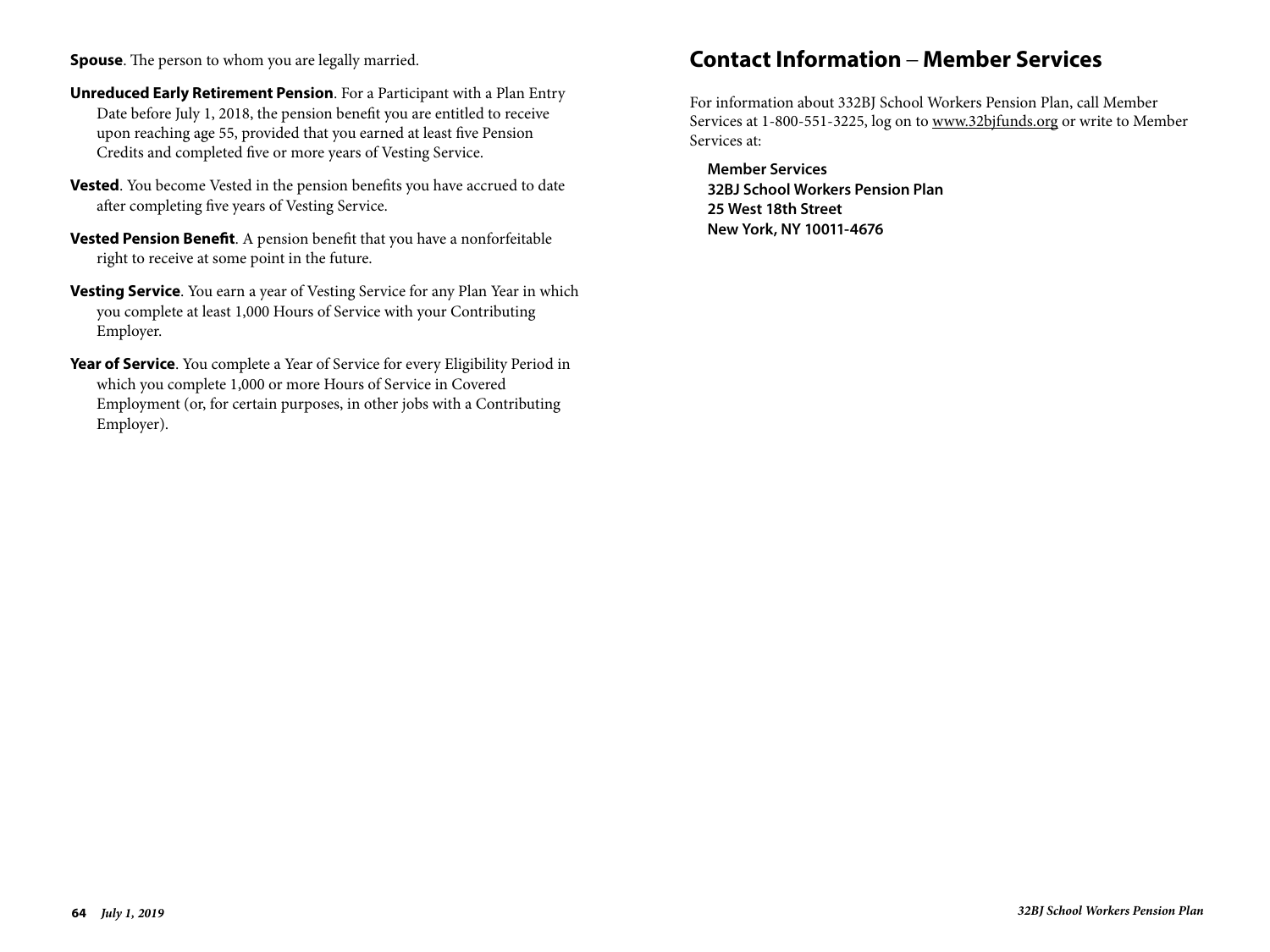- **Unreduced Early Retirement Pension**. For a Participant with a Plan Entry Date before July 1, 2018, the pension benefit you are entitled to receive upon reaching age 55, provided that you earned at least five Pension Credits and completed five or more years of Vesting Service.  $\mathcal{I}$
- Vested. You become Vested in the pension benefits you have accrued to date after completing five years of Vesting Service. and completing live years of vesting Service.
- **Vested Pension Benefit**. A pension benefit that you have a nonforfeitable right to receive at some point in the future.
- **Vesting Service**. You earn a year of Vesting Service for any Plan Year in which you complete at least 1,000 Hours of Service with your Contributing you complete at least 1,000 Hours of Service with your Contributing Employer. you
- Year of Service. You complete a Year of Service for every Eligibility Period in which you complete 1,000 or more Hours of Service in Covered Employment (or, for certain purposes, in other jobs with a Contributing Employer).  $\mathbb{Z}$  is  $\mathbb{Z}$  or  $\mathbb{Z}$  .

# **Contact Information \_ Member Services**

For information about 332BJ School Workers Pension Plan, call Member Services at 1-800-551-3225, log on to www.32bjfunds.org or write to Member Services at:

**Member Services 32BJ School Workers Pension Plan 25 West 18th Street New York, NY 10011-4676**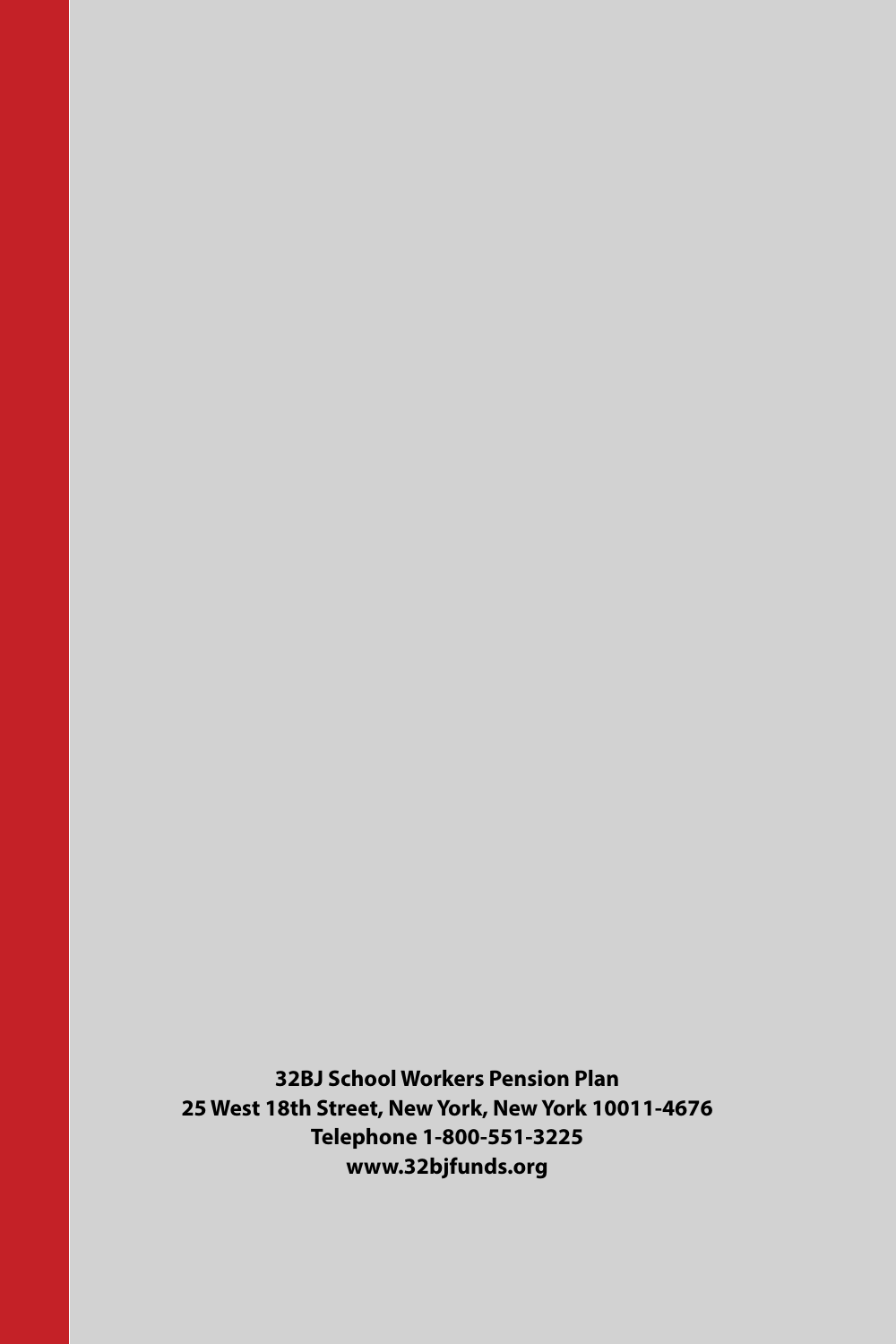**32BJ School Workers Pension Plan 25 West 18th Street, New York, New York 10011-4676 Telephone 1-800-551-3225 www.32bjfunds.org**